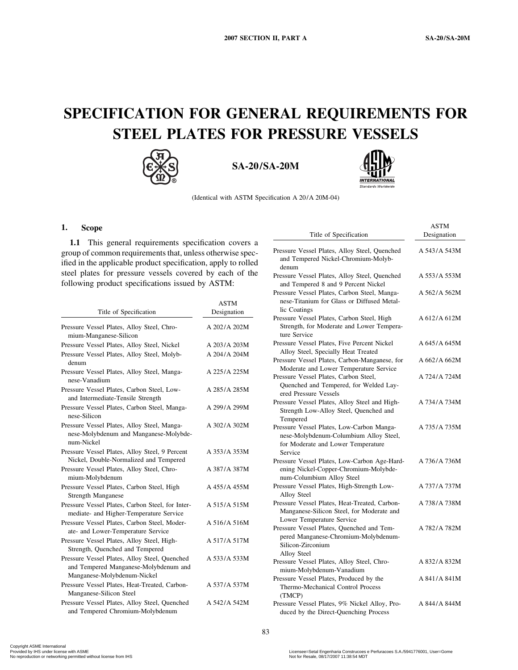ASTM

## **SPECIFICATION FOR GENERAL REQUIREMENTS FOR STEEL PLATES FOR PRESSURE VESSELS**



**SA-20/SA-20M**



(Identical with ASTM Specification A 20/A 20M-04)

#### **1. Scope**

**1.1** This general requirements specification covers a group of common requirements that, unless otherwise specified in the applicable product specification, apply to rolled steel plates for pressure vessels covered by each of the following product specifications issued by ASTM:

|                                                                                                                       | <b>ASTM</b>  |
|-----------------------------------------------------------------------------------------------------------------------|--------------|
| Title of Specification                                                                                                | Designation  |
| Pressure Vessel Plates, Alloy Steel, Chro-<br>mium-Manganese-Silicon                                                  | A 202/A 202M |
| Pressure Vessel Plates, Alloy Steel, Nickel                                                                           | A 203/A 203M |
| Pressure Vessel Plates, Alloy Steel, Molyb-<br>denum                                                                  | A 204/A 204M |
| Pressure Vessel Plates, Alloy Steel, Manga-<br>nese-Vanadium                                                          | A 225/A 225M |
| Pressure Vessel Plates, Carbon Steel, Low-<br>and Intermediate-Tensile Strength                                       | A 285/A 285M |
| Pressure Vessel Plates, Carbon Steel, Manga-<br>nese-Silicon                                                          | A 299/A 299M |
| Pressure Vessel Plates, Alloy Steel, Manga-<br>nese-Molybdenum and Manganese-Molybde-<br>num-Nickel                   | A 302/A 302M |
| Pressure Vessel Plates, Alloy Steel, 9 Percent<br>Nickel, Double-Normalized and Tempered                              | A 353/A 353M |
| Pressure Vessel Plates, Alloy Steel, Chro-<br>mium-Molybdenum                                                         | A 387/A 387M |
| Pressure Vessel Plates, Carbon Steel, High<br><b>Strength Manganese</b>                                               | A 455/A 455M |
| Pressure Vessel Plates, Carbon Steel, for Inter-<br>mediate- and Higher-Temperature Service                           | A 515/A 515M |
| Pressure Vessel Plates, Carbon Steel, Moder-<br>ate- and Lower-Temperature Service                                    | A 516/A 516M |
| Pressure Vessel Plates, Alloy Steel, High-<br>Strength, Quenched and Tempered                                         | A 517/A 517M |
| Pressure Vessel Plates, Alloy Steel, Quenched<br>and Tempered Manganese-Molybdenum and<br>Manganese-Molybdenum-Nickel | A 533/A 533M |
| Pressure Vessel Plates, Heat-Treated, Carbon-<br>Manganese-Silicon Steel                                              | A 537/A 537M |
| Pressure Vessel Plates, Alloy Steel, Quenched<br>and Tempered Chromium-Molybdenum                                     | A 542/A 542M |

| Title of Specification                                                                                                               | Designation  |
|--------------------------------------------------------------------------------------------------------------------------------------|--------------|
| Pressure Vessel Plates, Alloy Steel, Quenched<br>and Tempered Nickel-Chromium-Molyb-<br>denum                                        | A 543/A 543M |
| Pressure Vessel Plates, Alloy Steel, Quenched<br>and Tempered 8 and 9 Percent Nickel                                                 | A 553/A 553M |
| Pressure Vessel Plates, Carbon Steel, Manga-<br>nese-Titanium for Glass or Diffused Metal-<br>lic Coatings                           | A 562/A 562M |
| Pressure Vessel Plates, Carbon Steel, High<br>Strength, for Moderate and Lower Tempera-<br>ture Service                              | A 612/A 612M |
| Pressure Vessel Plates, Five Percent Nickel<br>Alloy Steel, Specially Heat Treated                                                   | A 645/A 645M |
| Pressure Vessel Plates, Carbon-Manganese, for<br>Moderate and Lower Temperature Service                                              | A 662/A 662M |
| Pressure Vessel Plates, Carbon Steel,<br>Quenched and Tempered, for Welded Lay-<br>ered Pressure Vessels                             | A 724/A 724M |
| Pressure Vessel Plates, Alloy Steel and High-<br>Strength Low-Alloy Steel, Quenched and<br>Tempered                                  | A 734/A 734M |
| Pressure Vessel Plates, Low-Carbon Manga-<br>nese-Molybdenum-Columbium Alloy Steel,<br>for Moderate and Lower Temperature<br>Service | A 735/A 735M |
| Pressure Vessel Plates, Low-Carbon Age-Hard-<br>ening Nickel-Copper-Chromium-Molybde-<br>num-Columbium Alloy Steel                   | A 736/A 736M |
| Pressure Vessel Plates, High-Strength Low-<br>Alloy Steel                                                                            | A 737/A 737M |
| Pressure Vessel Plates, Heat-Treated, Carbon-<br>Manganese-Silicon Steel, for Moderate and<br>Lower Temperature Service              | A 738/A 738M |
| Pressure Vessel Plates, Quenched and Tem-<br>pered Manganese-Chromium-Molybdenum-<br>Silicon-Zirconium<br>Alloy Steel                | A 782/A 782M |
| Pressure Vessel Plates, Alloy Steel, Chro-<br>mium-Molybdenum-Vanadium                                                               | A 832/A 832M |
| Pressure Vessel Plates, Produced by the<br>Thermo-Mechanical Control Process<br>(TMCP)                                               | A 841/A 841M |
| Pressure Vessel Plates, 9% Nickel Alloy, Pro-<br>duced by the Direct-Quenching Process                                               | A 844/A 844M |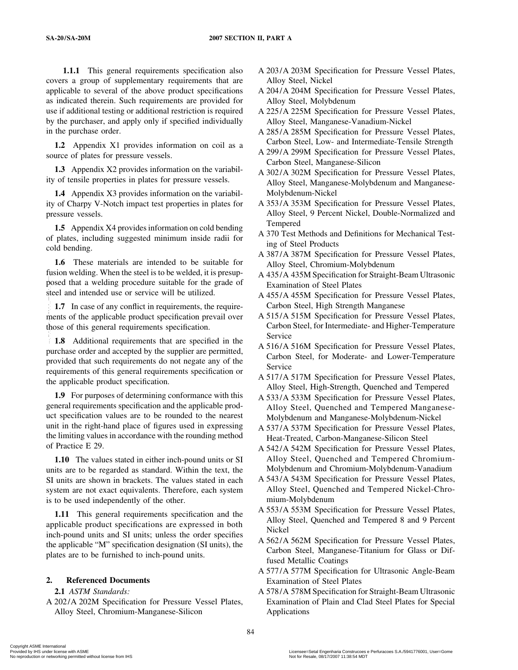1.1.1 This general requirements specification also covers a group of supplementary requirements that are applicable to several of the above product specifications as indicated therein. Such requirements are provided for use if additional testing or additional restriction is required by the purchaser, and apply only if specified individually in the purchase order.

**1.2** Appendix X1 provides information on coil as a source of plates for pressure vessels.

**1.3** Appendix X2 provides information on the variability of tensile properties in plates for pressure vessels.

**1.4** Appendix X3 provides information on the variability of Charpy V-Notch impact test properties in plates for pressure vessels.

**1.5** Appendix X4 provides information on cold bending of plates, including suggested minimum inside radii for cold bending.

**1.6** These materials are intended to be suitable for fusion welding. When the steel is to be welded, it is presupposed that a welding procedure suitable for the grade of steel and intended use or service will be utilized.

**1.7** In case of any conflict in requirements, the requirements of the applicable product specification prevail over those of this general requirements specification.  $\mathbf{j},\mathbf{j},\mathbf{j}$  ,  $\mathbf{j},\mathbf{j}$  ,  $\mathbf{j},\mathbf{j}$  ,  $\mathbf{j},\mathbf{j}$ 

**1.8** Additional requirements that are specified in the purchase order and accepted by the supplier are permitted, provided that such requirements do not negate any of the requirements of this general requirements specification or the applicable product specification.

**1.9** For purposes of determining conformance with this general requirements specification and the applicable product specification values are to be rounded to the nearest unit in the right-hand place of figures used in expressing the limiting values in accordance with the rounding method of Practice E 29.

**1.10** The values stated in either inch-pound units or SI units are to be regarded as standard. Within the text, the SI units are shown in brackets. The values stated in each system are not exact equivalents. Therefore, each system is to be used independently of the other.

**1.11** This general requirements specification and the applicable product specifications are expressed in both inch-pound units and SI units; unless the order specifies the applicable "M" specification designation (SI units), the plates are to be furnished to inch-pound units.

#### **2. Referenced Documents**

**2.1** *ASTM Standards:*

A 202/A 202M Specification for Pressure Vessel Plates, Alloy Steel, Chromium-Manganese-Silicon

- A 203/A 203M Specification for Pressure Vessel Plates, Alloy Steel, Nickel
- A 204/A 204M Specification for Pressure Vessel Plates, Alloy Steel, Molybdenum
- A 225/A 225M Specification for Pressure Vessel Plates, Alloy Steel, Manganese-Vanadium-Nickel
- A 285/A 285M Specification for Pressure Vessel Plates, Carbon Steel, Low- and Intermediate-Tensile Strength
- A 299/A 299M Specification for Pressure Vessel Plates, Carbon Steel, Manganese-Silicon
- A 302/A 302M Specification for Pressure Vessel Plates, Alloy Steel, Manganese-Molybdenum and Manganese-Molybdenum-Nickel
- A 353/A 353M Specification for Pressure Vessel Plates, Alloy Steel, 9 Percent Nickel, Double-Normalized and Tempered
- A 370 Test Methods and Definitions for Mechanical Testing of Steel Products
- A 387/A 387M Specification for Pressure Vessel Plates, Alloy Steel, Chromium-Molybdenum
- A 435/A 435M Specification for Straight-Beam Ultrasonic Examination of Steel Plates
- A 455/A 455M Specification for Pressure Vessel Plates, Carbon Steel, High Strength Manganese
- A 515/A 515M Specification for Pressure Vessel Plates, Carbon Steel, for Intermediate- and Higher-Temperature Service
- A 516/A 516M Specification for Pressure Vessel Plates, Carbon Steel, for Moderate- and Lower-Temperature Service
- A 517/A 517M Specification for Pressure Vessel Plates, Alloy Steel, High-Strength, Quenched and Tempered
- A 533/A 533M Specification for Pressure Vessel Plates, Alloy Steel, Quenched and Tempered Manganese-Molybdenum and Manganese-Molybdenum-Nickel
- A 537/A 537M Specification for Pressure Vessel Plates, Heat-Treated, Carbon-Manganese-Silicon Steel
- A 542/A 542M Specification for Pressure Vessel Plates, Alloy Steel, Quenched and Tempered Chromium-Molybdenum and Chromium-Molybdenum-Vanadium
- A 543/A 543M Specification for Pressure Vessel Plates, Alloy Steel, Quenched and Tempered Nickel-Chromium-Molybdenum
- A 553/A 553M Specification for Pressure Vessel Plates, Alloy Steel, Quenched and Tempered 8 and 9 Percent Nickel
- A 562/A 562M Specification for Pressure Vessel Plates, Carbon Steel, Manganese-Titanium for Glass or Diffused Metallic Coatings
- A 577/A 577M Specification for Ultrasonic Angle-Beam Examination of Steel Plates
- A 578/A 578M Specification for Straight-Beam Ultrasonic Examination of Plain and Clad Steel Plates for Special Applications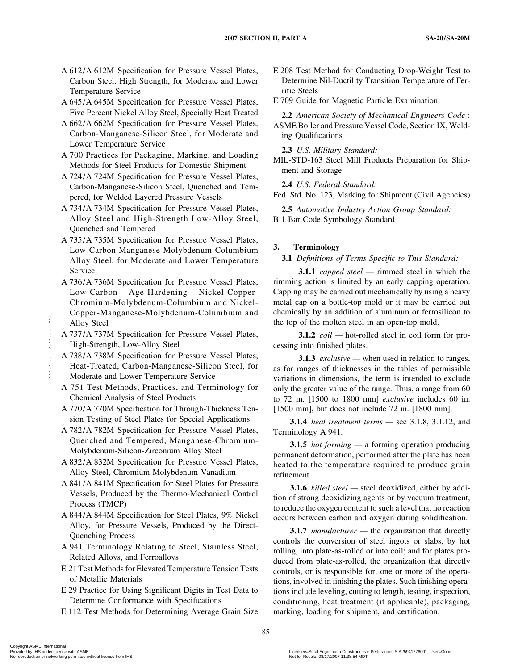- A 612/A 612M Specification for Pressure Vessel Plates, Carbon Steel, High Strength, for Moderate and Lower Temperature Service
- A 645/A 645M Specification for Pressure Vessel Plates, Five Percent Nickel Alloy Steel, Specially Heat Treated
- A 662/A 662M Specification for Pressure Vessel Plates, Carbon-Manganese-Silicon Steel, for Moderate and Lower Temperature Service
- A 700 Practices for Packaging, Marking, and Loading Methods for Steel Products for Domestic Shipment
- A 724/A 724M Specification for Pressure Vessel Plates, Carbon-Manganese-Silicon Steel, Quenched and Tempered, for Welded Layered Pressure Vessels
- A 734/A 734M Specification for Pressure Vessel Plates, Alloy Steel and High-Strength Low-Alloy Steel, Quenched and Tempered
- A 735/A 735M Specification for Pressure Vessel Plates, Low-Carbon Manganese-Molybdenum-Columbium Alloy Steel, for Moderate and Lower Temperature Service
- A 736/A 736M Specification for Pressure Vessel Plates, Low-Carbon Age-Hardening Nickel-Copper-Chromium-Molybdenum-Columbium and Nickel-Copper-Manganese-Molybdenum-Columbium and Alloy Steel
- A 737/A 737M Specification for Pressure Vessel Plates, High-Strength, Low-Alloy Steel
- A 738/A 738M Specification for Pressure Vessel Plates, Heat-Treated, Carbon-Manganese-Silicon Steel, for Moderate and Lower Temperature Service
- A 751 Test Methods, Practices, and Terminology for Chemical Analysis of Steel Products
- A 770/A 770M Specification for Through-Thickness Tension Testing of Steel Plates for Special Applications
- A 782/A 782M Specification for Pressure Vessel Plates, Quenched and Tempered, Manganese-Chromium-Molybdenum-Silicon-Zirconium Alloy Steel
- A 832/A 832M Specification for Pressure Vessel Plates, Alloy Steel, Chromium-Molybdenum-Vanadium
- A 841/A 841M Specification for Steel Plates for Pressure Vessels, Produced by the Thermo-Mechanical Control Process (TMCP)
- A 844/A 844M Specification for Steel Plates, 9% Nickel Alloy, for Pressure Vessels, Produced by the Direct-Quenching Process
- A 941 Terminology Relating to Steel, Stainless Steel, Related Alloys, and Ferroalloys
- E 21 Test Methods for Elevated Temperature Tension Tests of Metallic Materials
- E 29 Practice for Using Significant Digits in Test Data to Determine Conformance with Specifications
- E 112 Test Methods for Determining Average Grain Size
- E 208 Test Method for Conducting Drop-Weight Test to Determine Nil-Ductility Transition Temperature of Ferritic Steels
- E 709 Guide for Magnetic Particle Examination
- **2.2** *American Society of Mechanical Engineers Code* : ASME Boiler and Pressure Vessel Code, Section IX, Weld-
- ing Qualifications
	- **2.3** *U.S. Military Standard:*
- MIL-STD-163 Steel Mill Products Preparation for Shipment and Storage

**2.4** *U.S. Federal Standard:*

Fed. Std. No. 123, Marking for Shipment (Civil Agencies)

**2.5** *Automotive Industry Action Group Standard:* B 1 Bar Code Symbology Standard

#### **3. Terminology**

**3.1** *Definitions of Terms Specific to This Standard:*

**3.1.1** *capped steel —* rimmed steel in which the rimming action is limited by an early capping operation. Capping may be carried out mechanically by using a heavy metal cap on a bottle-top mold or it may be carried out chemically by an addition of aluminum or ferrosilicon to the top of the molten steel in an open-top mold.

**3.1.2** *coil —* hot-rolled steel in coil form for processing into finished plates.

**3.1.3** *exclusive —* when used in relation to ranges, as for ranges of thicknesses in the tables of permissible variations in dimensions, the term is intended to exclude only the greater value of the range. Thus, a range from 60 to 72 in. [1500 to 1800 mm] *exclusive* includes 60 in. [1500 mm], but does not include 72 in. [1800 mm].

**3.1.4** *heat treatment terms —* see 3.1.8, 3.1.12, and Terminology A 941.

**3.1.5** *hot forming —* a forming operation producing permanent deformation, performed after the plate has been heated to the temperature required to produce grain refinement.

**3.1.6** *killed steel —* steel deoxidized, either by addition of strong deoxidizing agents or by vacuum treatment, to reduce the oxygen content to such a level that no reaction occurs between carbon and oxygen during solidification.

**3.1.7** *manufacturer —* the organization that directly controls the conversion of steel ingots or slabs, by hot rolling, into plate-as-rolled or into coil; and for plates produced from plate-as-rolled, the organization that directly controls, or is responsible for, one or more of the operations, involved in finishing the plates. Such finishing operations include leveling, cutting to length, testing, inspection, conditioning, heat treatment (if applicable), packaging, marking, loading for shipment, and certification.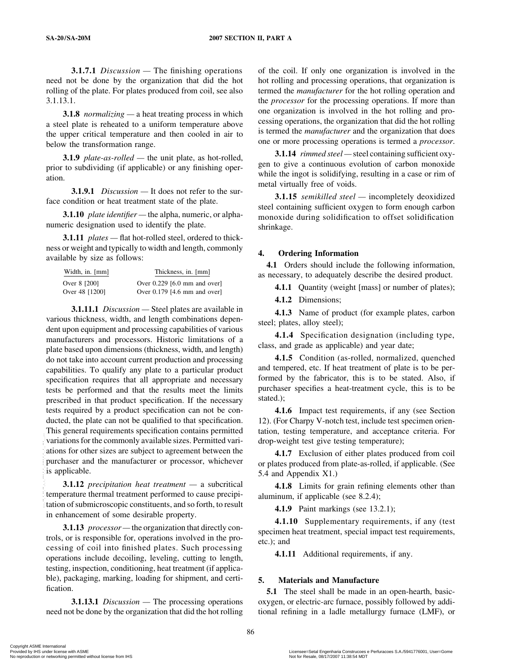**3.1.7.1** *Discussion —* The finishing operations need not be done by the organization that did the hot rolling of the plate. For plates produced from coil, see also 3.1.13.1.

**3.1.8** *normalizing —* a heat treating process in which a steel plate is reheated to a uniform temperature above the upper critical temperature and then cooled in air to below the transformation range.

**3.1.9** *plate-as-rolled —* the unit plate, as hot-rolled, prior to subdividing (if applicable) or any finishing operation.

**3.1.9.1** *Discussion —* It does not refer to the surface condition or heat treatment state of the plate.

**3.1.10** *plate identifier —* the alpha, numeric, or alphanumeric designation used to identify the plate.

**3.1.11** *plates —* flat hot-rolled steel, ordered to thickness or weight and typically to width and length, commonly available by size as follows:

| Width, in. [mm] | Thickness, in. [mm]            |
|-----------------|--------------------------------|
| Over 8 [200]    | Over $0.229$ [6.0 mm and over] |
| Over 48 [1200]  | Over $0.179$ [4.6 mm and over] |

**3.1.11.1** *Discussion —* Steel plates are available in various thickness, width, and length combinations dependent upon equipment and processing capabilities of various manufacturers and processors. Historic limitations of a plate based upon dimensions (thickness, width, and length) do not take into account current production and processing capabilities. To qualify any plate to a particular product specification requires that all appropriate and necessary tests be performed and that the results meet the limits prescribed in that product specification. If the necessary tests required by a product specification can not be conducted, the plate can not be qualified to that specification. This general requirements specification contains permitted variations for the commonly available sizes. Permitted variations for other sizes are subject to agreement between the purchaser and the manufacturer or processor, whichever is applicable.

**3.1.12** *precipitation heat treatment —* a subcritical temperature thermal treatment performed to cause precipitation of submicroscopic constituents, and so forth, to result in enhancement of some desirable property.

**3.1.13** *processor —* the organization that directly controls, or is responsible for, operations involved in the processing of coil into finished plates. Such processing operations include decoiling, leveling, cutting to length, testing, inspection, conditioning, heat treatment (if applicable), packaging, marking, loading for shipment, and certification.

**3.1.13.1** *Discussion —* The processing operations need not be done by the organization that did the hot rolling

of the coil. If only one organization is involved in the hot rolling and processing operations, that organization is termed the *manufacturer* for the hot rolling operation and the *processor* for the processing operations. If more than one organization is involved in the hot rolling and processing operations, the organization that did the hot rolling is termed the *manufacturer* and the organization that does one or more processing operations is termed a *processor*.

**3.1.14** *rimmed steel —* steel containing sufficient oxygen to give a continuous evolution of carbon monoxide while the ingot is solidifying, resulting in a case or rim of metal virtually free of voids.

**3.1.15** *semikilled steel —* incompletely deoxidized steel containing sufficient oxygen to form enough carbon monoxide during solidification to offset solidification shrinkage.

#### **4. Ordering Information**

**4.1** Orders should include the following information, as necessary, to adequately describe the desired product.

**4.1.1** Quantity (weight [mass] or number of plates);

**4.1.2** Dimensions;

**4.1.3** Name of product (for example plates, carbon steel; plates, alloy steel);

**4.1.4** Specification designation (including type, class, and grade as applicable) and year date;

**4.1.5** Condition (as-rolled, normalized, quenched and tempered, etc. If heat treatment of plate is to be performed by the fabricator, this is to be stated. Also, if purchaser specifies a heat-treatment cycle, this is to be stated.);

**4.1.6** Impact test requirements, if any (see Section 12). (For Charpy V-notch test, include test specimen orientation, testing temperature, and acceptance criteria. For drop-weight test give testing temperature);

**4.1.7** Exclusion of either plates produced from coil or plates produced from plate-as-rolled, if applicable. (See 5.4 and Appendix X1.)

**4.1.8** Limits for grain refining elements other than aluminum, if applicable (see 8.2.4);

**4.1.9** Paint markings (see 13.2.1);

**4.1.10** Supplementary requirements, if any (test specimen heat treatment, special impact test requirements, etc.); and

**4.1.11** Additional requirements, if any.

#### **5. Materials and Manufacture**

**5.1** The steel shall be made in an open-hearth, basicoxygen, or electric-arc furnace, possibly followed by additional refining in a ladle metallurgy furnace (LMF), or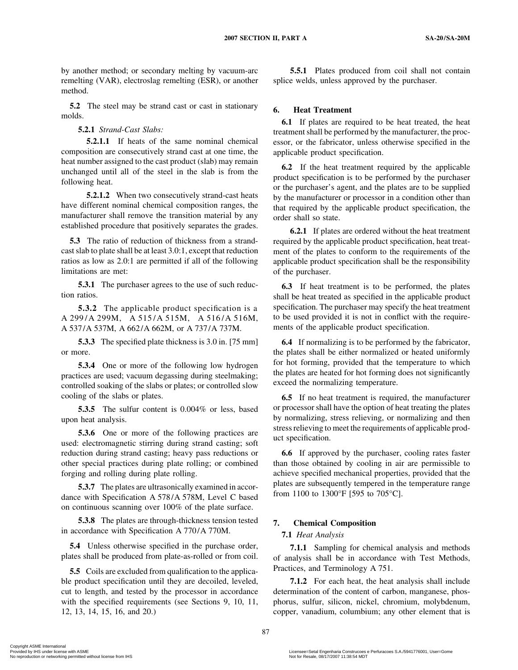by another method; or secondary melting by vacuum-arc remelting (VAR), electroslag remelting (ESR), or another method.

**5.2** The steel may be strand cast or cast in stationary molds.

#### **5.2.1** *Strand-Cast Slabs:*

**5.2.1.1** If heats of the same nominal chemical composition are consecutively strand cast at one time, the heat number assigned to the cast product (slab) may remain unchanged until all of the steel in the slab is from the following heat.

**5.2.1.2** When two consecutively strand-cast heats have different nominal chemical composition ranges, the manufacturer shall remove the transition material by any established procedure that positively separates the grades.

**5.3** The ratio of reduction of thickness from a strandcast slab to plate shall be at least 3.0:1, except that reduction ratios as low as 2.0:1 are permitted if all of the following limitations are met:

**5.3.1** The purchaser agrees to the use of such reduction ratios.

**5.3.2** The applicable product specification is a A 299/A 299M, A 515/A 515M, A 516/A 516M, A 537/A 537M, A 662/A 662M, or A 737/A 737M.

**5.3.3** The specified plate thickness is 3.0 in. [75 mm] or more.

**5.3.4** One or more of the following low hydrogen practices are used; vacuum degassing during steelmaking; controlled soaking of the slabs or plates; or controlled slow cooling of the slabs or plates.

**5.3.5** The sulfur content is 0.004% or less, based upon heat analysis.

**5.3.6** One or more of the following practices are used: electromagnetic stirring during strand casting; soft reduction during strand casting; heavy pass reductions or other special practices during plate rolling; or combined forging and rolling during plate rolling.

**5.3.7** The plates are ultrasonically examined in accordance with Specification A 578/A 578M, Level C based on continuous scanning over 100% of the plate surface.

**5.3.8** The plates are through-thickness tension tested in accordance with Specification A 770/A 770M.

**5.4** Unless otherwise specified in the purchase order, plates shall be produced from plate-as-rolled or from coil.

**5.5** Coils are excluded from qualification to the applicable product specification until they are decoiled, leveled, cut to length, and tested by the processor in accordance with the specified requirements (see Sections 9, 10, 11, 12, 13, 14, 15, 16, and 20.)

**5.5.1** Plates produced from coil shall not contain splice welds, unless approved by the purchaser.

#### **6. Heat Treatment**

**6.1** If plates are required to be heat treated, the heat treatment shall be performed by the manufacturer, the processor, or the fabricator, unless otherwise specified in the applicable product specification.

**6.2** If the heat treatment required by the applicable product specification is to be performed by the purchaser or the purchaser's agent, and the plates are to be supplied by the manufacturer or processor in a condition other than that required by the applicable product specification, the order shall so state.

**6.2.1** If plates are ordered without the heat treatment required by the applicable product specification, heat treatment of the plates to conform to the requirements of the applicable product specification shall be the responsibility of the purchaser.

**6.3** If heat treatment is to be performed, the plates shall be heat treated as specified in the applicable product specification. The purchaser may specify the heat treatment to be used provided it is not in conflict with the requirements of the applicable product specification.

**6.4** If normalizing is to be performed by the fabricator, the plates shall be either normalized or heated uniformly for hot forming, provided that the temperature to which the plates are heated for hot forming does not significantly exceed the normalizing temperature.

**6.5** If no heat treatment is required, the manufacturer or processor shall have the option of heat treating the plates by normalizing, stress relieving, or normalizing and then stress relieving to meet the requirements of applicable product specification.

**6.6** If approved by the purchaser, cooling rates faster than those obtained by cooling in air are permissible to achieve specified mechanical properties, provided that the plates are subsequently tempered in the temperature range from 1100 to 1300°F [595 to 705°C].

#### **7. Chemical Composition**

#### **7.1** *Heat Analysis*

**7.1.1** Sampling for chemical analysis and methods of analysis shall be in accordance with Test Methods, Practices, and Terminology A 751.

**7.1.2** For each heat, the heat analysis shall include determination of the content of carbon, manganese, phosphorus, sulfur, silicon, nickel, chromium, molybdenum, copper, vanadium, columbium; any other element that is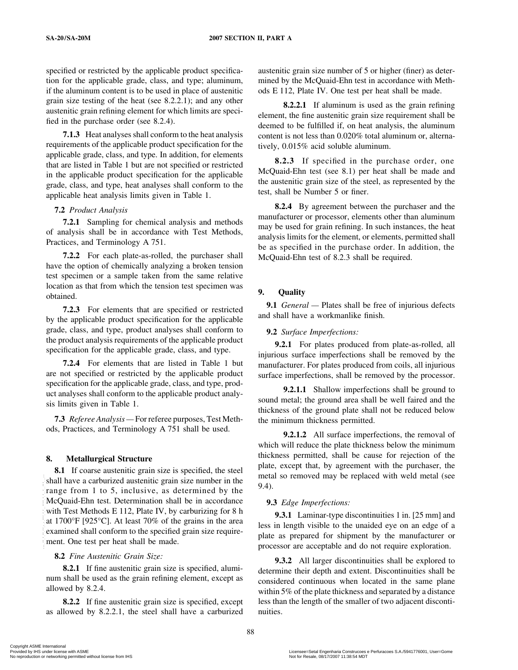specified or restricted by the applicable product specification for the applicable grade, class, and type; aluminum, if the aluminum content is to be used in place of austenitic grain size testing of the heat (see 8.2.2.1); and any other austenitic grain refining element for which limits are specified in the purchase order (see 8.2.4).

**7.1.3** Heat analyses shall conform to the heat analysis requirements of the applicable product specification for the applicable grade, class, and type. In addition, for elements that are listed in Table 1 but are not specified or restricted in the applicable product specification for the applicable grade, class, and type, heat analyses shall conform to the applicable heat analysis limits given in Table 1.

#### **7.2** *Product Analysis*

**7.2.1** Sampling for chemical analysis and methods of analysis shall be in accordance with Test Methods, Practices, and Terminology A 751.

**7.2.2** For each plate-as-rolled, the purchaser shall have the option of chemically analyzing a broken tension test specimen or a sample taken from the same relative location as that from which the tension test specimen was obtained.

**7.2.3** For elements that are specified or restricted by the applicable product specification for the applicable grade, class, and type, product analyses shall conform to the product analysis requirements of the applicable product specification for the applicable grade, class, and type.

**7.2.4** For elements that are listed in Table 1 but are not specified or restricted by the applicable product specification for the applicable grade, class, and type, product analyses shall conform to the applicable product analysis limits given in Table 1.

**7.3** *Referee Analysis —* For referee purposes, Test Methods, Practices, and Terminology A 751 shall be used.

#### **8. Metallurgical Structure**

**8.1** If coarse austenitic grain size is specified, the steel shall have a carburized austenitic grain size number in the range from 1 to 5, inclusive, as determined by the McQuaid-Ehn test. Determination shall be in accordance with Test Methods E 112, Plate IV, by carburizing for 8 h at 1700°F [925°C]. At least 70% of the grains in the area examined shall conform to the specified grain size requirement. One test per heat shall be made.

#### **8.2** *Fine Austenitic Grain Size:*

**8.2.1** If fine austenitic grain size is specified, aluminum shall be used as the grain refining element, except as allowed by 8.2.4.

**8.2.2** If fine austenitic grain size is specified, except as allowed by 8.2.2.1, the steel shall have a carburized austenitic grain size number of 5 or higher (finer) as determined by the McQuaid-Ehn test in accordance with Methods E 112, Plate IV. One test per heat shall be made.

**8.2.2.1** If aluminum is used as the grain refining element, the fine austenitic grain size requirement shall be deemed to be fulfilled if, on heat analysis, the aluminum content is not less than 0.020% total aluminum or, alternatively, 0.015% acid soluble aluminum.

**8.2.3** If specified in the purchase order, one McQuaid-Ehn test (see 8.1) per heat shall be made and the austenitic grain size of the steel, as represented by the test, shall be Number 5 or finer.

**8.2.4** By agreement between the purchaser and the manufacturer or processor, elements other than aluminum may be used for grain refining. In such instances, the heat analysis limits for the element, or elements, permitted shall be as specified in the purchase order. In addition, the McQuaid-Ehn test of 8.2.3 shall be required.

#### **9. Quality**

**9.1** *General —* Plates shall be free of injurious defects and shall have a workmanlike finish.

#### **9.2** *Surface Imperfections:*

**9.2.1** For plates produced from plate-as-rolled, all injurious surface imperfections shall be removed by the manufacturer. For plates produced from coils, all injurious surface imperfections, shall be removed by the processor.

**9.2.1.1** Shallow imperfections shall be ground to sound metal; the ground area shall be well faired and the thickness of the ground plate shall not be reduced below the minimum thickness permitted.

**9.2.1.2** All surface imperfections, the removal of which will reduce the plate thickness below the minimum thickness permitted, shall be cause for rejection of the plate, except that, by agreement with the purchaser, the metal so removed may be replaced with weld metal (see 9.4).

#### **9.3** *Edge Imperfections:*

**9.3.1** Laminar-type discontinuities 1 in. [25 mm] and less in length visible to the unaided eye on an edge of a plate as prepared for shipment by the manufacturer or processor are acceptable and do not require exploration.

**9.3.2** All larger discontinuities shall be explored to determine their depth and extent. Discontinuities shall be considered continuous when located in the same plane within 5% of the plate thickness and separated by a distance less than the length of the smaller of two adjacent discontinuities.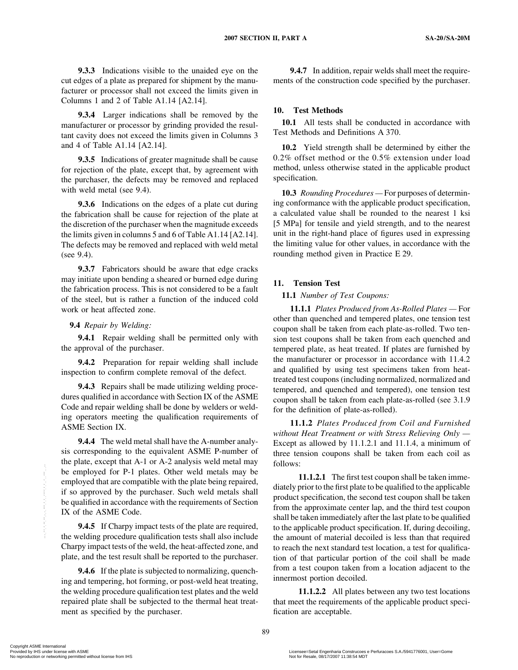**9.3.3** Indications visible to the unaided eye on the cut edges of a plate as prepared for shipment by the manufacturer or processor shall not exceed the limits given in Columns 1 and 2 of Table A1.14 [A2.14].

**9.3.4** Larger indications shall be removed by the manufacturer or processor by grinding provided the resultant cavity does not exceed the limits given in Columns 3 and 4 of Table A1.14 [A2.14].

**9.3.5** Indications of greater magnitude shall be cause for rejection of the plate, except that, by agreement with the purchaser, the defects may be removed and replaced with weld metal (see 9.4).

**9.3.6** Indications on the edges of a plate cut during the fabrication shall be cause for rejection of the plate at the discretion of the purchaser when the magnitude exceeds the limits given in columns 5 and 6 of Table A1.14 [A2.14]. The defects may be removed and replaced with weld metal (see 9.4).

**9.3.7** Fabricators should be aware that edge cracks may initiate upon bending a sheared or burned edge during the fabrication process. This is not considered to be a fault of the steel, but is rather a function of the induced cold work or heat affected zone.

#### **9.4** *Repair by Welding:*

**9.4.1** Repair welding shall be permitted only with the approval of the purchaser.

**9.4.2** Preparation for repair welding shall include inspection to confirm complete removal of the defect.

**9.4.3** Repairs shall be made utilizing welding procedures qualified in accordance with Section IX of the ASME Code and repair welding shall be done by welders or welding operators meeting the qualification requirements of ASME Section IX.

**9.4.4** The weld metal shall have the A-number analysis corresponding to the equivalent ASME P-number of the plate, except that A-1 or A-2 analysis weld metal may be employed for P-1 plates. Other weld metals may be employed that are compatible with the plate being repaired, if so approved by the purchaser. Such weld metals shall be qualified in accordance with the requirements of Section IX of the ASME Code.

**9.4.5** If Charpy impact tests of the plate are required, the welding procedure qualification tests shall also include Charpy impact tests of the weld, the heat-affected zone, and plate, and the test result shall be reported to the purchaser.

**9.4.6** If the plate is subjected to normalizing, quenching and tempering, hot forming, or post-weld heat treating, the welding procedure qualification test plates and the weld repaired plate shall be subjected to the thermal heat treatment as specified by the purchaser.

**9.4.7** In addition, repair welds shall meet the requirements of the construction code specified by the purchaser.

#### **10. Test Methods**

**10.1** All tests shall be conducted in accordance with Test Methods and Definitions A 370.

**10.2** Yield strength shall be determined by either the 0.2% offset method or the 0.5% extension under load method, unless otherwise stated in the applicable product specification.

**10.3** *Rounding Procedures —* For purposes of determining conformance with the applicable product specification, a calculated value shall be rounded to the nearest 1 ksi [5 MPa] for tensile and yield strength, and to the nearest unit in the right-hand place of figures used in expressing the limiting value for other values, in accordance with the rounding method given in Practice E 29.

#### **11. Tension Test**

#### **11.1** *Number of Test Coupons:*

**11.1.1** *Plates Produced from As-Rolled Plates —* For other than quenched and tempered plates, one tension test coupon shall be taken from each plate-as-rolled. Two tension test coupons shall be taken from each quenched and tempered plate, as heat treated. If plates are furnished by the manufacturer or processor in accordance with 11.4.2 and qualified by using test specimens taken from heattreated test coupons (including normalized, normalized and tempered, and quenched and tempered), one tension test coupon shall be taken from each plate-as-rolled (see 3.1.9 for the definition of plate-as-rolled).

**11.1.2** *Plates Produced from Coil and Furnished without Heat Treatment or with Stress Relieving Only —* Except as allowed by 11.1.2.1 and 11.1.4, a minimum of three tension coupons shall be taken from each coil as follows:

**11.1.2.1** The first test coupon shall be taken immediately prior to the first plate to be qualified to the applicable product specification, the second test coupon shall be taken from the approximate center lap, and the third test coupon shall be taken immediately after the last plate to be qualified to the applicable product specification. If, during decoiling, the amount of material decoiled is less than that required to reach the next standard test location, a test for qualification of that particular portion of the coil shall be made from a test coupon taken from a location adjacent to the innermost portion decoiled.

**11.1.2.2** All plates between any two test locations that meet the requirements of the applicable product specification are acceptable.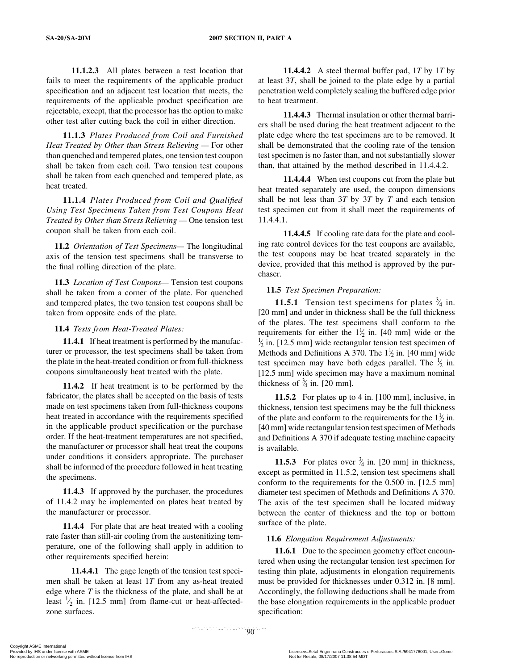**11.1.2.3** All plates between a test location that fails to meet the requirements of the applicable product specification and an adjacent test location that meets, the requirements of the applicable product specification are rejectable, except, that the processor has the option to make other test after cutting back the coil in either direction.

**11.1.3** *Plates Produced from Coil and Furnished Heat Treated by Other than Stress Relieving —* For other than quenched and tempered plates, one tension test coupon shall be taken from each coil. Two tension test coupons shall be taken from each quenched and tempered plate, as heat treated.

**11.1.4** *Plates Produced from Coil and Qualified Using Test Specimens Taken from Test Coupons Heat Treated by Other than Stress Relieving —* One tension test coupon shall be taken from each coil.

**11.2** *Orientation of Test Specimens—* The longitudinal axis of the tension test specimens shall be transverse to the final rolling direction of the plate.

**11.3** *Location of Test Coupons—* Tension test coupons shall be taken from a corner of the plate. For quenched and tempered plates, the two tension test coupons shall be taken from opposite ends of the plate.

#### **11.4** *Tests from Heat-Treated Plates:*

**11.4.1** If heat treatment is performed by the manufacturer or processor, the test specimens shall be taken from the plate in the heat-treated condition or from full-thickness coupons simultaneously heat treated with the plate.

**11.4.2** If heat treatment is to be performed by the fabricator, the plates shall be accepted on the basis of tests made on test specimens taken from full-thickness coupons heat treated in accordance with the requirements specified in the applicable product specification or the purchase order. If the heat-treatment temperatures are not specified, the manufacturer or processor shall heat treat the coupons under conditions it considers appropriate. The purchaser shall be informed of the procedure followed in heat treating the specimens.

**11.4.3** If approved by the purchaser, the procedures of 11.4.2 may be implemented on plates heat treated by the manufacturer or processor.

**11.4.4** For plate that are heat treated with a cooling rate faster than still-air cooling from the austenitizing temperature, one of the following shall apply in addition to other requirements specified herein:

**11.4.4.1** The gage length of the tension test specimen shall be taken at least 1*T* from any as-heat treated edge where *T* is the thickness of the plate, and shall be at least  $\frac{1}{2}$  in. [12.5 mm] from flame-cut or heat-affected-⁄ zone surfaces.

**11.4.4.2** A steel thermal buffer pad, 1*T* by 1*T* by at least 3*T*, shall be joined to the plate edge by a partial penetration weld completely sealing the buffered edge prior to heat treatment.

**11.4.4.3** Thermal insulation or other thermal barriers shall be used during the heat treatment adjacent to the plate edge where the test specimens are to be removed. It shall be demonstrated that the cooling rate of the tension test specimen is no faster than, and not substantially slower than, that attained by the method described in 11.4.4.2.

**11.4.4.4** When test coupons cut from the plate but heat treated separately are used, the coupon dimensions shall be not less than 3*T* by 3*T* by *T* and each tension test specimen cut from it shall meet the requirements of 11.4.4.1.

**11.4.4.5** If cooling rate data for the plate and cooling rate control devices for the test coupons are available, the test coupons may be heat treated separately in the device, provided that this method is approved by the purchaser.

#### **11.5** *Test Specimen Preparation:*

**11.5.1** Tension test specimens for plates  $\frac{3}{4}$  in. ⁄ [20 mm] and under in thickness shall be the full thickness of the plates. The test specimens shall conform to the requirements for either the  $1\frac{1}{2}$  in. [40 mm] wide or the ⁄  $\frac{1}{2}$  in. [12.5 mm] wide rectangular tension test specimen of ⁄ Methods and Definitions A 370. The  $1\frac{1}{2}$  in. [40 mm] wide ⁄ test specimen may have both edges parallel. The  $\frac{1}{2}$  in. ⁄ [12.5 mm] wide specimen may have a maximum nominal thickness of  $\frac{3}{4}$  in. [20 mm]. ⁄

**11.5.2** For plates up to 4 in. [100 mm], inclusive, in thickness, tension test specimens may be the full thickness of the plate and conform to the requirements for the  $1\frac{1}{2}$  in. ⁄ [40 mm] wide rectangular tension test specimen of Methods and Definitions A 370 if adequate testing machine capacity is available.

**11.5.3** For plates over  $\frac{3}{4}$  in. [20 mm] in thickness, ⁄ except as permitted in 11.5.2, tension test specimens shall conform to the requirements for the 0.500 in. [12.5 mm] diameter test specimen of Methods and Definitions A 370. The axis of the test specimen shall be located midway between the center of thickness and the top or bottom surface of the plate.

#### **11.6** *Elongation Requirement Adjustments:*

**11.6.1** Due to the specimen geometry effect encountered when using the rectangular tension test specimen for testing thin plate, adjustments in elongation requirements must be provided for thicknesses under 0.312 in. [8 mm]. Accordingly, the following deductions shall be made from the base elongation requirements in the applicable product specification:

90  $-$ \*\*\*,,,,\*\*,\*,\*,,,,,,,\*,,,,,,,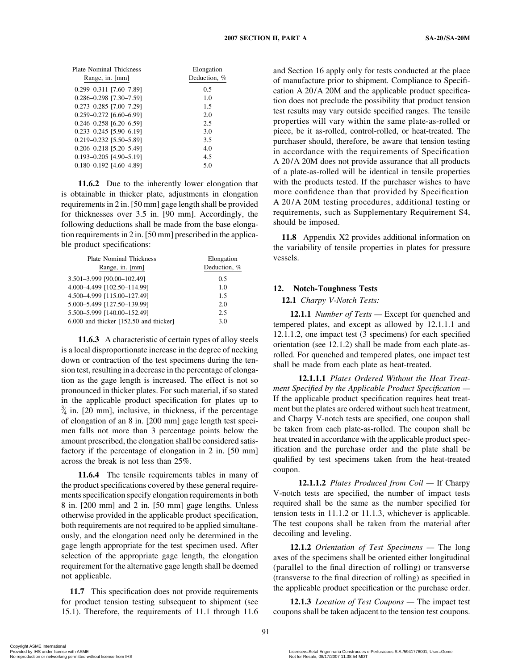| Plate Nominal Thickness<br>Range, in. [mm] | Elongation<br>Deduction. % |
|--------------------------------------------|----------------------------|
| 0.299-0.311 [7.60-7.89]                    | 0.5                        |
| 0.286-0.298 [7.30-7.59]                    | 1.0                        |
| $0.273 - 0.285$ [7.00-7.29]                | 1.5                        |
| $0.259 - 0.272$ [6.60-6.99]                | 2.0                        |
| $0.246 - 0.258$ [6.20-6.59]                | 2.5                        |
| $0.233 - 0.245$ [5.90-6.19]                | 3.0                        |
| $0.219 - 0.232$ [5.50-5.89]                | 3.5                        |
| $0.206 - 0.218$ [5.20-5.49]                | 4.0                        |
| $0.193 - 0.205$ [4.90-5.19]                | 4.5                        |
| $0.180 - 0.192$ [4.60-4.89]                | 5.0                        |

**11.6.2** Due to the inherently lower elongation that is obtainable in thicker plate, adjustments in elongation requirements in 2 in. [50 mm] gage length shall be provided for thicknesses over 3.5 in. [90 mm]. Accordingly, the following deductions shall be made from the base elongation requirements in 2 in. [50 mm] prescribed in the applicable product specifications:

| <b>Plate Nominal Thickness</b>         | Elongation   |
|----------------------------------------|--------------|
| Range, in. [mm]                        | Deduction, % |
| 3.501-3.999 [90.00-102.49]             | 0.5          |
| 4.000-4.499 [102.50-114.99]            | 1.0          |
| 4.500-4.999 [115.00-127.49]            | 1.5          |
| 5.000-5.499 [127.50-139.99]            | 2.0          |
| 5.500-5.999 [140.00-152.49]            | 2.5          |
| 6.000 and thicker [152.50 and thicker] | 3.0          |
|                                        |              |

**11.6.3** A characteristic of certain types of alloy steels is a local disproportionate increase in the degree of necking down or contraction of the test specimens during the tension test, resulting in a decrease in the percentage of elongation as the gage length is increased. The effect is not so pronounced in thicker plates. For such material, if so stated in the applicable product specification for plates up to  $\frac{3}{4}$  in. [20 mm], inclusive, in thickness, if the percentage ⁄ of elongation of an 8 in. [200 mm] gage length test specimen falls not more than 3 percentage points below the amount prescribed, the elongation shall be considered satisfactory if the percentage of elongation in 2 in. [50 mm] across the break is not less than 25%.

**11.6.4** The tensile requirements tables in many of the product specifications covered by these general requirements specification specify elongation requirements in both 8 in. [200 mm] and 2 in. [50 mm] gage lengths. Unless otherwise provided in the applicable product specification, both requirements are not required to be applied simultaneously, and the elongation need only be determined in the gage length appropriate for the test specimen used. After selection of the appropriate gage length, the elongation requirement for the alternative gage length shall be deemed not applicable.

**11.7** This specification does not provide requirements for product tension testing subsequent to shipment (see 15.1). Therefore, the requirements of 11.1 through 11.6 and Section 16 apply only for tests conducted at the place of manufacture prior to shipment. Compliance to Specification A 20/A 20M and the applicable product specification does not preclude the possibility that product tension test results may vary outside specified ranges. The tensile properties will vary within the same plate-as-rolled or piece, be it as-rolled, control-rolled, or heat-treated. The purchaser should, therefore, be aware that tension testing in accordance with the requirements of Specification A 20/A 20M does not provide assurance that all products of a plate-as-rolled will be identical in tensile properties with the products tested. If the purchaser wishes to have more confidence than that provided by Specification A 20/A 20M testing procedures, additional testing or requirements, such as Supplementary Requirement S4, should be imposed.

**11.8** Appendix X2 provides additional information on the variability of tensile properties in plates for pressure vessels.

#### **12. Notch-Toughness Tests**

#### **12.1** *Charpy V-Notch Tests:*

**12.1.1** *Number of Tests —* Except for quenched and tempered plates, and except as allowed by 12.1.1.1 and 12.1.1.2, one impact test (3 specimens) for each specified orientation (see 12.1.2) shall be made from each plate-asrolled. For quenched and tempered plates, one impact test shall be made from each plate as heat-treated.

**12.1.1.1** *Plates Ordered Without the Heat Treatment Specified by the Applicable Product Specification —* If the applicable product specification requires heat treatment but the plates are ordered without such heat treatment, and Charpy V-notch tests are specified, one coupon shall be taken from each plate-as-rolled. The coupon shall be heat treated in accordance with the applicable product specification and the purchase order and the plate shall be qualified by test specimens taken from the heat-treated coupon.

**12.1.1.2** *Plates Produced from Coil —* If Charpy V-notch tests are specified, the number of impact tests required shall be the same as the number specified for tension tests in 11.1.2 or 11.1.3, whichever is applicable. The test coupons shall be taken from the material after decoiling and leveling.

**12.1.2** *Orientation of Test Specimens —* The long axes of the specimens shall be oriented either longitudinal (parallel to the final direction of rolling) or transverse (transverse to the final direction of rolling) as specified in the applicable product specification or the purchase order.

**12.1.3** *Location of Test Coupons —* The impact test coupons shall be taken adjacent to the tension test coupons.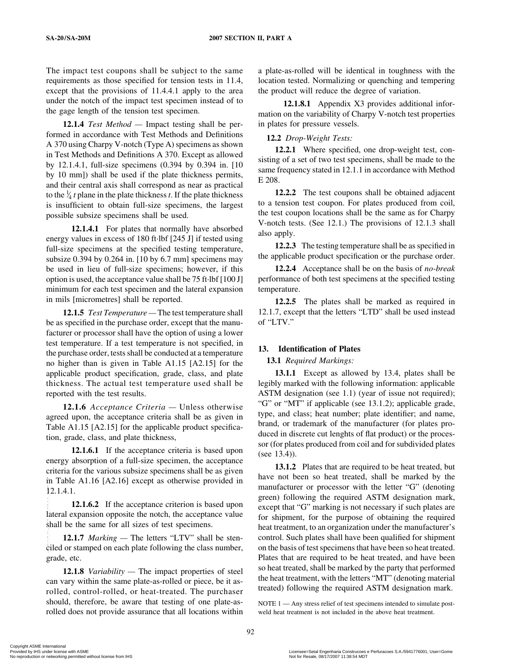The impact test coupons shall be subject to the same requirements as those specified for tension tests in 11.4, except that the provisions of 11.4.4.1 apply to the area under the notch of the impact test specimen instead of to the gage length of the tension test specimen.

**12.1.4** *Test Method —* Impact testing shall be performed in accordance with Test Methods and Definitions A 370 using Charpy V-notch (Type A) specimens as shown in Test Methods and Definitions A 370. Except as allowed by 12.1.4.1, full-size specimens (0.394 by 0.394 in. [10 by 10 mm]) shall be used if the plate thickness permits, and their central axis shall correspond as near as practical to the  $\frac{1}{4}$  *t* plane in the plate thickness *t*. If the plate thickness ⁄ is insufficient to obtain full-size specimens, the largest possible subsize specimens shall be used.

**12.1.4.1** For plates that normally have absorbed energy values in excess of 180 ft·lbf [245 J] if tested using full-size specimens at the specified testing temperature, subsize 0.394 by 0.264 in. [10 by 6.7 mm] specimens may be used in lieu of full-size specimens; however, if this option is used, the acceptance value shall be 75 ft·lbf [100 J] minimum for each test specimen and the lateral expansion in mils [micrometres] shall be reported.

**12.1.5** *Test Temperature —* The test temperature shall be as specified in the purchase order, except that the manufacturer or processor shall have the option of using a lower test temperature. If a test temperature is not specified, in the purchase order, tests shall be conducted at a temperature no higher than is given in Table A1.15 [A2.15] for the applicable product specification, grade, class, and plate thickness. The actual test temperature used shall be reported with the test results.

**12.1.6** *Acceptance Criteria —* Unless otherwise agreed upon, the acceptance criteria shall be as given in Table A1.15 [A2.15] for the applicable product specification, grade, class, and plate thickness,

**12.1.6.1** If the acceptance criteria is based upon energy absorption of a full-size specimen, the acceptance criteria for the various subsize specimens shall be as given in Table A1.16 [A2.16] except as otherwise provided in 12.1.4.1.

**12.1.6.2** If the acceptance criterion is based upon lateral expansion opposite the notch, the acceptance value shall be the same for all sizes of test specimens.  $\prod_{i=1}^n$ ,  $\prod_{i=1}^n$ 

**12.1.7** *Marking —* The letters "LTV" shall be stenciled or stamped on each plate following the class number, grade, etc.

**12.1.8** *Variability —* The impact properties of steel can vary within the same plate-as-rolled or piece, be it asrolled, control-rolled, or heat-treated. The purchaser should, therefore, be aware that testing of one plate-asrolled does not provide assurance that all locations within a plate-as-rolled will be identical in toughness with the location tested. Normalizing or quenching and tempering the product will reduce the degree of variation.

**12.1.8.1** Appendix X3 provides additional information on the variability of Charpy V-notch test properties in plates for pressure vessels.

**12.2** *Drop-Weight Tests:*

**12.2.1** Where specified, one drop-weight test, consisting of a set of two test specimens, shall be made to the same frequency stated in 12.1.1 in accordance with Method E 208.

**12.2.2** The test coupons shall be obtained adjacent to a tension test coupon. For plates produced from coil, the test coupon locations shall be the same as for Charpy V-notch tests. (See 12.1.) The provisions of 12.1.3 shall also apply.

**12.2.3** The testing temperature shall be as specified in the applicable product specification or the purchase order.

**12.2.4** Acceptance shall be on the basis of *no-break* performance of both test specimens at the specified testing temperature.

**12.2.5** The plates shall be marked as required in 12.1.7, except that the letters "LTD" shall be used instead of "LTV."

#### **13. Identification of Plates**

**13.1** *Required Markings:*

**13.1.1** Except as allowed by 13.4, plates shall be legibly marked with the following information: applicable ASTM designation (see 1.1) (year of issue not required); "G" or "MT" if applicable (see 13.1.2); applicable grade, type, and class; heat number; plate identifier; and name, brand, or trademark of the manufacturer (for plates produced in discrete cut lenghts of flat product) or the processor (for plates produced from coil and for subdivided plates (see 13.4)).

**13.1.2** Plates that are required to be heat treated, but have not been so heat treated, shall be marked by the manufacturer or processor with the letter "G" (denoting green) following the required ASTM designation mark, except that "G" marking is not necessary if such plates are for shipment, for the purpose of obtaining the required heat treatment, to an organization under the manufacturer's control. Such plates shall have been qualified for shipment on the basis of test specimens that have been so heat treated. Plates that are required to be heat treated, and have been so heat treated, shall be marked by the party that performed the heat treatment, with the letters "MT" (denoting material treated) following the required ASTM designation mark.

NOTE 1 — Any stress relief of test specimens intended to simulate postweld heat treatment is not included in the above heat treatment.

92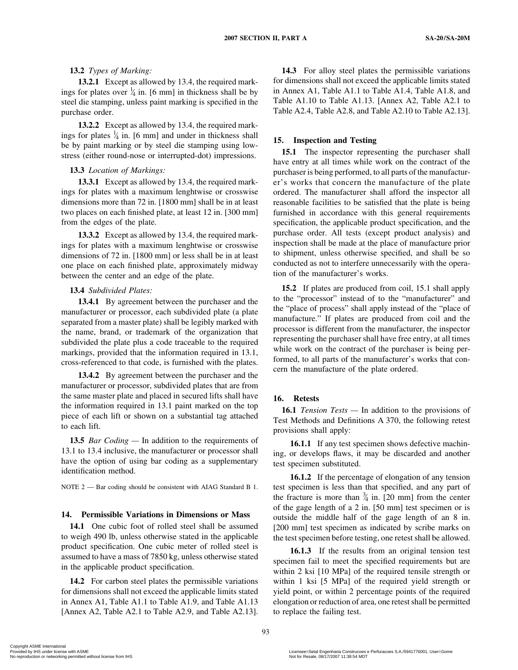#### **13.2** *Types of Marking:*

**13.2.1** Except as allowed by 13.4, the required markings for plates over  $\frac{1}{4}$  in. [6 mm] in thickness shall be by ⁄ steel die stamping, unless paint marking is specified in the purchase order.

**13.2.2** Except as allowed by 13.4, the required markings for plates  $\frac{1}{4}$  in. [6 mm] and under in thickness shall ⁄ be by paint marking or by steel die stamping using lowstress (either round-nose or interrupted-dot) impressions.

#### **13.3** *Location of Markings:*

**13.3.1** Except as allowed by 13.4, the required markings for plates with a maximum lenghtwise or crosswise dimensions more than 72 in. [1800 mm] shall be in at least two places on each finished plate, at least 12 in. [300 mm] from the edges of the plate.

**13.3.2** Except as allowed by 13.4, the required markings for plates with a maximum lenghtwise or crosswise dimensions of 72 in. [1800 mm] or less shall be in at least one place on each finished plate, approximately midway between the center and an edge of the plate.

#### **13.4** *Subdivided Plates:*

**13.4.1** By agreement between the purchaser and the manufacturer or processor, each subdivided plate (a plate separated from a master plate) shall be legibly marked with the name, brand, or trademark of the organization that subdivided the plate plus a code traceable to the required markings, provided that the information required in 13.1, cross-referenced to that code, is furnished with the plates.

**13.4.2** By agreement between the purchaser and the manufacturer or processor, subdivided plates that are from the same master plate and placed in secured lifts shall have the information required in 13.1 paint marked on the top piece of each lift or shown on a substantial tag attached to each lift.

**13.5** *Bar Coding —* In addition to the requirements of 13.1 to 13.4 inclusive, the manufacturer or processor shall have the option of using bar coding as a supplementary identification method.

NOTE 2 — Bar coding should be consistent with AIAG Standard B 1.

#### **14. Permissible Variations in Dimensions or Mass**

**14.1** One cubic foot of rolled steel shall be assumed to weigh 490 lb, unless otherwise stated in the applicable product specification. One cubic meter of rolled steel is assumed to have a mass of 7850 kg, unless otherwise stated in the applicable product specification.

**14.2** For carbon steel plates the permissible variations for dimensions shall not exceed the applicable limits stated in Annex A1, Table A1.1 to Table A1.9, and Table A1.13 [Annex A2, Table A2.1 to Table A2.9, and Table A2.13].

**14.3** For alloy steel plates the permissible variations for dimensions shall not exceed the applicable limits stated in Annex A1, Table A1.1 to Table A1.4, Table A1.8, and Table A1.10 to Table A1.13. [Annex A2, Table A2.1 to Table A2.4, Table A2.8, and Table A2.10 to Table A2.13].

#### **15. Inspection and Testing**

**15.1** The inspector representing the purchaser shall have entry at all times while work on the contract of the purchaser is being performed, to all parts of the manufacturer's works that concern the manufacture of the plate ordered. The manufacturer shall afford the inspector all reasonable facilities to be satisfied that the plate is being furnished in accordance with this general requirements specification, the applicable product specification, and the purchase order. All tests (except product analysis) and inspection shall be made at the place of manufacture prior to shipment, unless otherwise specified, and shall be so conducted as not to interfere unnecessarily with the operation of the manufacturer's works.

**15.2** If plates are produced from coil, 15.1 shall apply to the "processor" instead of to the "manufacturer" and the "place of process" shall apply instead of the "place of manufacture." If plates are produced from coil and the processor is different from the manufacturer, the inspector representing the purchaser shall have free entry, at all times while work on the contract of the purchaser is being performed, to all parts of the manufacturer's works that concern the manufacture of the plate ordered.

#### **16. Retests**

**16.1** *Tension Tests —* In addition to the provisions of Test Methods and Definitions A 370, the following retest provisions shall apply:

**16.1.1** If any test specimen shows defective machining, or develops flaws, it may be discarded and another test specimen substituted.

**16.1.2** If the percentage of elongation of any tension test specimen is less than that specified, and any part of the fracture is more than  $\frac{3}{4}$  in. [20 mm] from the center ⁄ of the gage length of a 2 in. [50 mm] test specimen or is outside the middle half of the gage length of an 8 in. [200 mm] test specimen as indicated by scribe marks on the test specimen before testing, one retest shall be allowed.

**16.1.3** If the results from an original tension test specimen fail to meet the specified requirements but are within 2 ksi [10 MPa] of the required tensile strength or within 1 ksi [5 MPa] of the required yield strength or yield point, or within 2 percentage points of the required elongation or reduction of area, one retest shall be permitted to replace the failing test.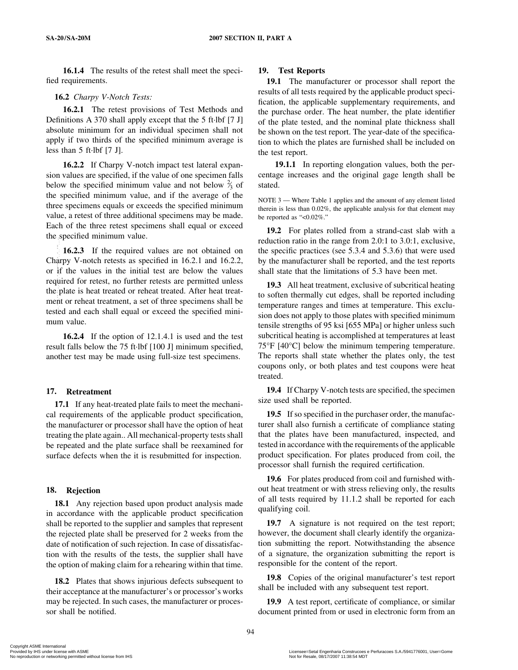**16.1.4** The results of the retest shall meet the specified requirements.

#### **16.2** *Charpy V-Notch Tests:*

**16.2.1** The retest provisions of Test Methods and Definitions A 370 shall apply except that the 5 ft·lbf [7 J] absolute minimum for an individual specimen shall not apply if two thirds of the specified minimum average is less than 5 ft·lbf [7 J].

**16.2.2** If Charpy V-notch impact test lateral expansion values are specified, if the value of one specimen falls below the specified minimum value and not below  $\frac{2}{3}$  of ⁄ the specified minimum value, and if the average of the three specimens equals or exceeds the specified minimum value, a retest of three additional specimens may be made. Each of the three retest specimens shall equal or exceed the specified minimum value.

**16.2.3** If the required values are not obtained on Charpy V-notch retests as specified in 16.2.1 and 16.2.2, or if the values in the initial test are below the values required for retest, no further retests are permitted unless the plate is heat treated or reheat treated. After heat treatment or reheat treatment, a set of three specimens shall be tested and each shall equal or exceed the specified minimum value.  $\mathbf{a}$  ,  $\mathbf{a}$  ,  $\mathbf{t}$  ,  $\mathbf{t}$ 

**16.2.4** If the option of 12.1.4.1 is used and the test result falls below the 75 ft·lbf [100 J] minimum specified, another test may be made using full-size test specimens.

#### **17. Retreatment**

**17.1** If any heat-treated plate fails to meet the mechanical requirements of the applicable product specification, the manufacturer or processor shall have the option of heat treating the plate again.. All mechanical-property tests shall be repeated and the plate surface shall be reexamined for surface defects when the it is resubmitted for inspection.

#### **18. Rejection**

**18.1** Any rejection based upon product analysis made in accordance with the applicable product specification shall be reported to the supplier and samples that represent the rejected plate shall be preserved for 2 weeks from the date of notification of such rejection. In case of dissatisfaction with the results of the tests, the supplier shall have the option of making claim for a rehearing within that time.

**18.2** Plates that shows injurious defects subsequent to their acceptance at the manufacturer's or processor's works may be rejected. In such cases, the manufacturer or processor shall be notified.

#### **19. Test Reports**

**19.1** The manufacturer or processor shall report the results of all tests required by the applicable product specification, the applicable supplementary requirements, and the purchase order. The heat number, the plate identifier of the plate tested, and the nominal plate thickness shall be shown on the test report. The year-date of the specification to which the plates are furnished shall be included on the test report.

**19.1.1** In reporting elongation values, both the percentage increases and the original gage length shall be stated.

NOTE 3 — Where Table 1 applies and the amount of any element listed therein is less than 0.02%, the applicable analysis for that element may be reported as "<0.02%."

**19.2** For plates rolled from a strand-cast slab with a reduction ratio in the range from 2.0:1 to 3.0:1, exclusive, the specific practices (see 5.3.4 and 5.3.6) that were used by the manufacturer shall be reported, and the test reports shall state that the limitations of 5.3 have been met.

**19.3** All heat treatment, exclusive of subcritical heating to soften thermally cut edges, shall be reported including temperature ranges and times at temperature. This exclusion does not apply to those plates with specified minimum tensile strengths of 95 ksi [655 MPa] or higher unless such subcritical heating is accomplished at temperatures at least 75°F [40°C] below the minimum tempering temperature. The reports shall state whether the plates only, the test coupons only, or both plates and test coupons were heat treated.

**19.4** If Charpy V-notch tests are specified, the specimen size used shall be reported.

**19.5** If so specified in the purchaser order, the manufacturer shall also furnish a certificate of compliance stating that the plates have been manufactured, inspected, and tested in accordance with the requirements of the applicable product specification. For plates produced from coil, the processor shall furnish the required certification.

**19.6** For plates produced from coil and furnished without heat treatment or with stress relieving only, the results of all tests required by 11.1.2 shall be reported for each qualifying coil.

**19.7** A signature is not required on the test report; however, the document shall clearly identify the organization submitting the report. Notwithstanding the absence of a signature, the organization submitting the report is responsible for the content of the report.

**19.8** Copies of the original manufacturer's test report shall be included with any subsequent test report.

**19.9** A test report, certificate of compliance, or similar document printed from or used in electronic form from an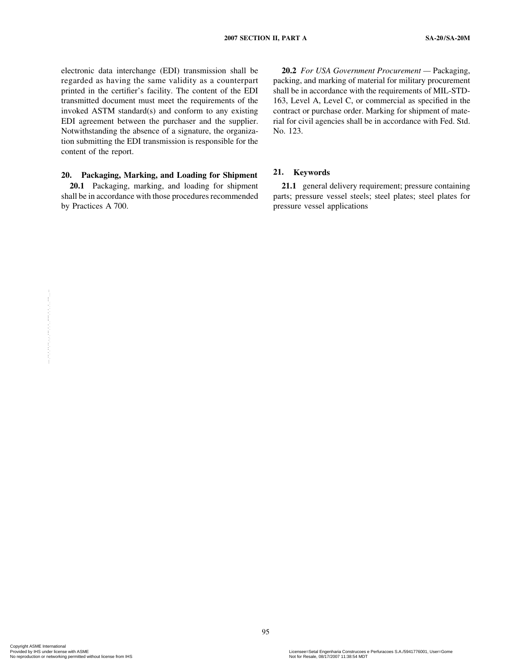electronic data interchange (EDI) transmission shall be regarded as having the same validity as a counterpart printed in the certifier's facility. The content of the EDI transmitted document must meet the requirements of the invoked ASTM standard(s) and conform to any existing EDI agreement between the purchaser and the supplier. Notwithstanding the absence of a signature, the organization submitting the EDI transmission is responsible for the content of the report.

#### **20. Packaging, Marking, and Loading for Shipment**

**20.1** Packaging, marking, and loading for shipment shall be in accordance with those procedures recommended by Practices A 700.

**20.2** *For USA Government Procurement —* Packaging, packing, and marking of material for military procurement shall be in accordance with the requirements of MIL-STD-163, Level A, Level C, or commercial as specified in the contract or purchase order. Marking for shipment of material for civil agencies shall be in accordance with Fed. Std. No. 123.

#### **21. Keywords**

**21.1** general delivery requirement; pressure containing parts; pressure vessel steels; steel plates; steel plates for pressure vessel applications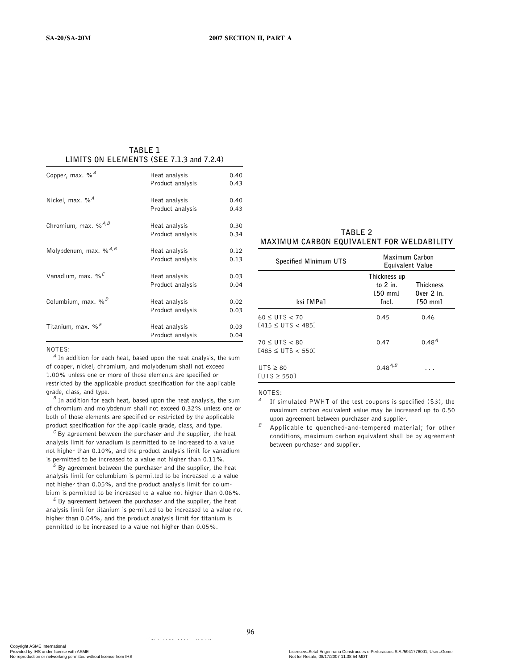#### **TABLE 1 LIMITS ON ELEMENTS (SEE 7.1.3 and 7.2.4)**

| Copper, max. % <sup>A</sup>       | Heat analysis<br>Product analysis | 0.40<br>0.43 |
|-----------------------------------|-----------------------------------|--------------|
| Nickel, max. % <sup>4</sup>       | Heat analysis<br>Product analysis | 0.40<br>0.43 |
| Chromium, max. % $^{A,B}$         | Heat analysis<br>Product analysis | 0.30<br>0.34 |
| Molybdenum, max. % <sup>A,B</sup> | Heat analysis<br>Product analysis | 0.12<br>0.13 |
| Vanadium, max. $%^{C}$            | Heat analysis<br>Product analysis | 0.03<br>0.04 |
| Columbium, max. $\%^D$            | Heat analysis<br>Product analysis | 0.02<br>0.03 |
| Titanium, max. $%^{E}$            | Heat analysis<br>Product analysis | 0.03<br>0.04 |

NOTES:

 $A$  In addition for each heat, based upon the heat analysis, the sum of copper, nickel, chromium, and molybdenum shall not exceed 1.00% unless one or more of those elements are specified or restricted by the applicable product specification for the applicable grade, class, and type.

 $B$  In addition for each heat, based upon the heat analysis, the sum of chromium and molybdenum shall not exceed 0.32% unless one or both of those elements are specified or restricted by the applicable product specification for the applicable grade, class, and type.

 $c<sup>c</sup>$  By agreement between the purchaser and the supplier, the heat analysis limit for vanadium is permitted to be increased to a value not higher than 0.10%, and the product analysis limit for vanadium is permitted to be increased to a value not higher than 0.11%.

 $D<sup>D</sup>$  By agreement between the purchaser and the supplier, the heat analysis limit for columbium is permitted to be increased to a value not higher than 0.05%, and the product analysis limit for columbium is permitted to be increased to a value not higher than 0.06%.

 $E$  By agreement between the purchaser and the supplier, the heat analysis limit for titanium is permitted to be increased to a value not higher than 0.04%, and the product analysis limit for titanium is permitted to be increased to a value not higher than 0.05%.

#### **TABLE 2 MAXIMUM CARBON EQUIVALENT FOR WELDABILITY**

| Specified Minimum UTS                              | Maximum Carbon<br>Equivalent Value                       |                                                     |  |
|----------------------------------------------------|----------------------------------------------------------|-----------------------------------------------------|--|
| ksi [MPa]                                          | Thickness up<br>to $2$ in.<br>$[50 \text{ mm}]$<br>Incl. | <b>Thickness</b><br>Over 2 in.<br>$[50 \text{ mm}]$ |  |
| $60 \leq$ UTS $<$ 70<br>$1415 \leq UTS < 485$      | 0.45                                                     | 0.46                                                |  |
| $70 \leq \text{UTS} < 80$<br>$1485 \leq UTS < 550$ | 0.47                                                     | $0.48^{A}$                                          |  |
| $UTS \geq 80$<br>$[UTS \geq 550]$                  | $0.48^{A,B}$                                             |                                                     |  |

NOTES:

- If simulated PWHT of the test coupons is specified (S3), the maximum carbon equivalent value may be increased up to 0.50 upon agreement between purchaser and supplier.
- $B$  Applicable to quenched-and-tempered material; for other conditions, maximum carbon equivalent shall be by agreement between purchaser and supplier.

--```,,,``,``,`,`,,,,``,`,`,,,`-`-`,,`,,`,`,,`---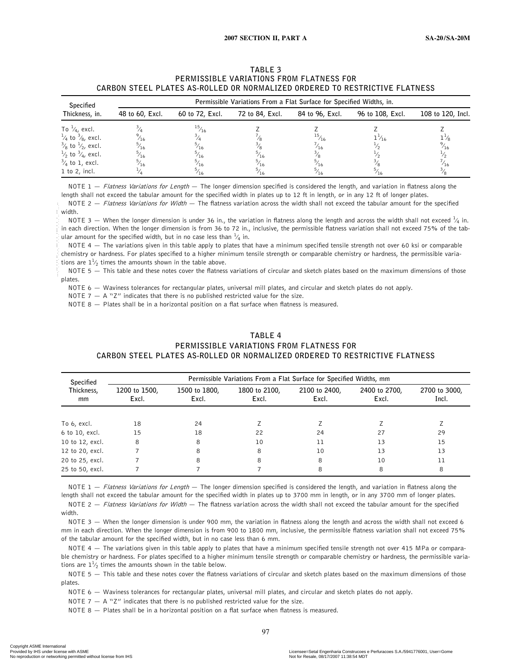| Specified                                                                                                                                                                                                 |                                                          | Permissible Variations From a Flat Surface for Specified Widths, in. |                                                |                                     |                  |                                  |
|-----------------------------------------------------------------------------------------------------------------------------------------------------------------------------------------------------------|----------------------------------------------------------|----------------------------------------------------------------------|------------------------------------------------|-------------------------------------|------------------|----------------------------------|
| Thickness, in.                                                                                                                                                                                            | 48 to 60, Excl.                                          | 60 to 72, Excl.                                                      | 72 to 84, Excl.                                | 84 to 96, Excl.                     | 96 to 108, Excl. | 108 to 120, Incl.                |
| To $\frac{1}{4}$ , excl.<br>$\frac{1}{4}$ to $\frac{3}{8}$ , excl.<br>$\frac{3}{8}$ to $\frac{1}{2}$ , excl.<br>$\frac{1}{2}$ to $\frac{3}{4}$ , excl.<br>$\frac{3}{4}$ to 1, excl.<br>$1$ to $2$ , incl. | 16<br>$\frac{5}{16}$<br>$\frac{5}{16}$<br>$\frac{5}{16}$ | $^{15}/_{16}$<br>$\frac{5}{16}$<br>$\frac{5}{16}$<br>$\frac{5}{16}$  | $\frac{5}{16}$<br>$^{5}/_{16}$<br>$^{5}/_{16}$ | $^{15}$ /16<br>16<br>$\frac{5}{16}$ | $1\frac{1}{16}$  | $1\frac{1}{2}$<br>$\frac{9}{16}$ |

#### **TABLE 3 PERMISSIBLE VARIATIONS FROM FLATNESS FOR CARBON STEEL PLATES AS-ROLLED OR NORMALIZED ORDERED TO RESTRICTIVE FLATNESS**

NOTE 1 - Flatness Variations for Length - The longer dimension specified is considered the length, and variation in flatness along the length shall not exceed the tabular amount for the specified width in plates up to 12 ft in length, or in any 12 ft of longer plates.

NOTE  $2 -$  Flatness Variations for Width  $-$  The flatness variation across the width shall not exceed the tabular amount for the specified width.

NOTE 3  $-$  When the longer dimension is under 36 in., the variation in flatness along the length and across the width shall not exceed  $\frac{1}{4}$  in. ⁄ in each direction. When the longer dimension is from 36 to 72 in., inclusive, the permissible flatness variation shall not exceed 75% of the tabular amount for the specified width, but in no case less than  $\frac{1}{4}$  in. ⁄

NOTE  $4$  – The variations given in this table apply to plates that have a minimum specified tensile strength not over 60 ksi or comparable chemistry or hardness. For plates specified to a higher minimum tensile strength or comparable chemistry or hardness, the permissible variations are  $1\frac{1}{2}$  times the amounts shown in the table above. ⁄

NOTE 5 - This table and these notes cover the flatness variations of circular and sketch plates based on the maximum dimensions of those plates.

NOTE 6 — Waviness tolerances for rectangular plates, universal mill plates, and circular and sketch plates do not apply.

NOTE  $7 - A''Z''$  indicates that there is no published restricted value for the size.

NOTE 8 – Plates shall be in a horizontal position on a flat surface when flatness is measured.

#### **TABLE 4 PERMISSIBLE VARIATIONS FROM FLATNESS FOR CARBON STEEL PLATES AS-ROLLED OR NORMALIZED ORDERED TO RESTRICTIVE FLATNESS**

| Specified        |                        | Permissible Variations From a Flat Surface for Specified Widths, mm |                        |                        |                        |                        |
|------------------|------------------------|---------------------------------------------------------------------|------------------------|------------------------|------------------------|------------------------|
| Thickness,<br>mm | 1200 to 1500,<br>Excl. | 1500 to 1800,<br>Excl.                                              | 1800 to 2100,<br>Excl. | 2100 to 2400,<br>Excl. | 2400 to 2700,<br>Excl. | 2700 to 3000,<br>Incl. |
|                  |                        |                                                                     |                        |                        |                        |                        |
| To 6, excl.      | 18                     | 24                                                                  |                        |                        |                        |                        |
| 6 to 10, excl.   | 15                     | 18                                                                  | 22                     | 24                     | 27                     | 29                     |
| 10 to 12, excl.  | 8                      | 8                                                                   | 10                     | 11                     | 13                     | 15                     |
| 12 to 20, excl.  |                        | 8                                                                   | 8                      | 10                     | 13                     | 13                     |
| 20 to 25, excl.  |                        | 8                                                                   | 8                      | 8                      | 10                     | 11                     |
| 25 to 50, excl.  |                        |                                                                     |                        | 8                      | 8                      | 8                      |

NOTE  $1 -$  Flatness Variations for Length  $-$  The longer dimension specified is considered the length, and variation in flatness along the length shall not exceed the tabular amount for the specified width in plates up to 3700 mm in length, or in any 3700 mm of longer plates.

NOTE  $2 -$  Flatness Variations for Width  $-$  The flatness variation across the width shall not exceed the tabular amount for the specified width.

NOTE 3 - When the longer dimension is under 900 mm, the variation in flatness along the length and across the width shall not exceed 6 mm in each direction. When the longer dimension is from 900 to 1800 mm, inclusive, the permissible flatness variation shall not exceed 75% of the tabular amount for the specified width, but in no case less than 6 mm.

NOTE 4 - The variations given in this table apply to plates that have a minimum specified tensile strength not over 415 MPa or comparable chemistry or hardness. For plates specified to a higher minimum tensile strength or comparable chemistry or hardness, the permissible variations are  $1\frac{1}{2}$  times the amounts shown in the table below. ⁄

NOTE 5 - This table and these notes cover the flatness variations of circular and sketch plates based on the maximum dimensions of those plates.

NOTE 6 – Waviness tolerances for rectangular plates, universal mill plates, and circular and sketch plates do not apply.

NOTE  $7 - A''Z''$  indicates that there is no published restricted value for the size.

NOTE 8 - Plates shall be in a horizontal position on a flat surface when flatness is measured.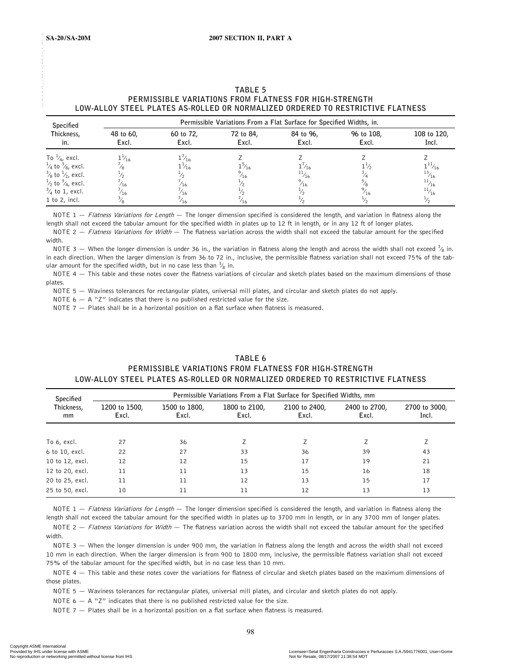| TABLE 5                                                                        |
|--------------------------------------------------------------------------------|
| PERMISSIBLE VARIATIONS FROM FLATNESS FOR HIGH-STRENGTH                         |
| LOW-ALLOY STEEL PLATES AS-ROLLED OR NORMALIZED ORDERED TO RESTRICTIVE FLATNESS |

| Specified<br>Thickness,<br>in.         |                    | Permissible Variations From a Flat Surface for Specified Widths, in. |                    |                    |                     |                         |
|----------------------------------------|--------------------|----------------------------------------------------------------------|--------------------|--------------------|---------------------|-------------------------|
|                                        | 48 to 60,<br>Excl. | 60 to 72,<br>Excl.                                                   | 72 to 84,<br>Excl. | 84 to 96,<br>Excl. | 96 to 108,<br>Excl. | 108 to 120,<br>Incl.    |
| To $\frac{1}{4}$ , excl.               | $1\frac{1}{16}$    | 1/16                                                                 |                    |                    |                     |                         |
| $\frac{1}{4}$ to $\frac{3}{8}$ , excl. |                    | $1\frac{1}{16}$                                                      | $1\%$              | $1''_{16}$         | $1\frac{1}{2}$      | $1^{11}/_{16}$          |
| $\frac{3}{8}$ to $\frac{1}{2}$ , excl. |                    |                                                                      | $\frac{9}{16}$     | $^{11}/_{16}$      |                     | $^{13}/_{16}$           |
| $\frac{1}{2}$ to $\frac{3}{4}$ , excl. | 16                 |                                                                      |                    | $\frac{9}{16}$     |                     | $^{11}$ / <sub>16</sub> |
| $\frac{3}{4}$ to 1, excl.              | 16                 | 16                                                                   |                    |                    | $\frac{9}{16}$      | $^{11}$ / <sub>16</sub> |
| $1$ to $2$ , incl.                     |                    | /16                                                                  | /16                |                    |                     |                         |

NOTE  $1 -$  Flatness Variations for Length  $-$  The longer dimension specified is considered the length, and variation in flatness along the length shall not exceed the tabular amount for the specified width in plates up to 12 ft in length, or in any 12 ft of longer plates.

NOTE  $2 -$  Flatness Variations for Width  $-$  The flatness variation across the width shall not exceed the tabular amount for the specified width.

NOTE 3  $-$  When the longer dimension is under 36 in., the variation in flatness along the length and across the width shall not exceed  $\frac{3}{6}$  in. ⁄ in each direction. When the larger dimension is from 36 to 72 in., inclusive, the permissible flatness variation shall not exceed 75% of the tabular amount for the specified width, but in no case less than  $\frac{3}{8}$  in. ⁄

NOTE 4 — This table and these notes cover the flatness variations of circular and sketch plates based on the maximum dimensions of those plates.

NOTE 5 — Waviness tolerances for rectangular plates, universal mill plates, and circular and sketch plates do not apply.

NOTE  $6 - A''Z''$  indicates that there is no published restricted value for the size.

NOTE 7 - Plates shall be in a horizontal position on a flat surface when flatness is measured.

#### **TABLE 6 PERMISSIBLE VARIATIONS FROM FLATNESS FOR HIGH-STRENGTH LOW-ALLOY STEEL PLATES AS-ROLLED OR NORMALIZED ORDERED TO RESTRICTIVE FLATNESS**

| Specified        |                        | Permissible Variations From a Flat Surface for Specified Widths, mm |                        |                        |                        |                        |
|------------------|------------------------|---------------------------------------------------------------------|------------------------|------------------------|------------------------|------------------------|
| Thickness,<br>mm | 1200 to 1500,<br>Excl. | 1500 to 1800,<br>Excl.                                              | 1800 to 2100,<br>Excl. | 2100 to 2400,<br>Excl. | 2400 to 2700,<br>Excl. | 2700 to 3000,<br>Incl. |
|                  |                        |                                                                     |                        |                        |                        |                        |
| To 6, excl.      | 27                     | 36                                                                  |                        |                        | 7                      |                        |
| 6 to 10, excl.   | 22                     | 27                                                                  | 33                     | 36                     | 39                     | 43                     |
| 10 to 12, excl.  | $12 \overline{ }$      | $12 \overline{ }$                                                   | 15                     | 17                     | 19                     | 21                     |
| 12 to 20, excl.  | 11                     | 11                                                                  | 13                     | 15                     | 16                     | 18                     |
| 20 to 25, excl.  | 11                     | 11                                                                  | 12                     | 13                     | 15                     | 17                     |
| 25 to 50, excl.  | 10                     | 11                                                                  | 11                     | $12 \overline{ }$      | 13                     | 13                     |

NOTE  $1 -$  Flatness Variations for Length  $-$  The longer dimension specified is considered the length, and variation in flatness along the length shall not exceed the tabular amount for the specified width in plates up to 3700 mm in length, or in any 3700 mm of longer plates.

NOTE  $2 -$  Flatness Variations for Width  $-$  The flatness variation across the width shall not exceed the tabular amount for the specified width.

NOTE 3 - When the longer dimension is under 900 mm, the variation in flatness along the length and across the width shall not exceed 10 mm in each direction. When the larger dimension is from 900 to 1800 mm, inclusive, the permissible flatness variation shall not exceed 75% of the tabular amount for the specified width, but in no case less than 10 mm.

NOTE 4 - This table and these notes cover the variations for flatness of circular and sketch plates based on the maximum dimensions of those plates.

NOTE 5 — Waviness tolerances for rectangular plates, universal mill plates, and circular and sketch plates do not apply.

NOTE  $6 - A''Z''$  indicates that there is no published restricted value for the size.

NOTE 7 - Plates shall be in a horizontal position on a flat surface when flatness is measured.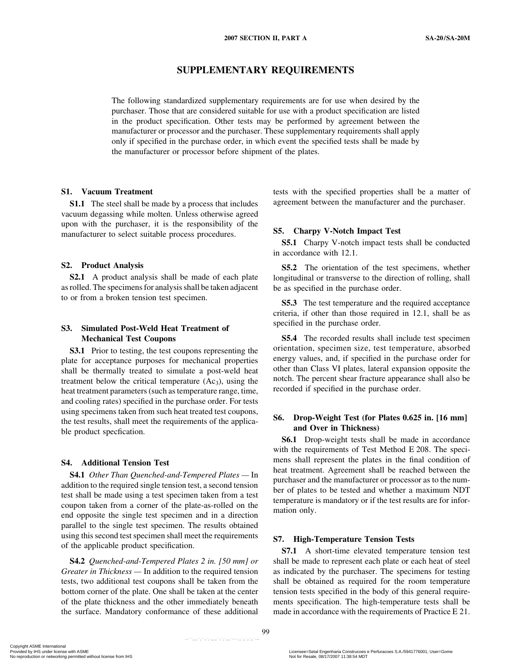#### **SUPPLEMENTARY REQUIREMENTS**

The following standardized supplementary requirements are for use when desired by the purchaser. Those that are considered suitable for use with a product specification are listed in the product specification. Other tests may be performed by agreement between the manufacturer or processor and the purchaser. These supplementary requirements shall apply only if specified in the purchase order, in which event the specified tests shall be made by the manufacturer or processor before shipment of the plates.

#### **S1. Vacuum Treatment**

**S1.1** The steel shall be made by a process that includes vacuum degassing while molten. Unless otherwise agreed upon with the purchaser, it is the responsibility of the manufacturer to select suitable process procedures.

#### **S2. Product Analysis**

**S2.1** A product analysis shall be made of each plate as rolled. The specimens for analysis shall be taken adjacent to or from a broken tension test specimen.

#### **S3. Simulated Post-Weld Heat Treatment of Mechanical Test Coupons**

**S3.1** Prior to testing, the test coupons representing the plate for acceptance purposes for mechanical properties shall be thermally treated to simulate a post-weld heat treatment below the critical temperature  $(Ac<sub>3</sub>)$ , using the heat treatment parameters (such as temperature range, time, and cooling rates) specified in the purchase order. For tests using specimens taken from such heat treated test coupons, the test results, shall meet the requirements of the applicable product specfication.

#### **S4. Additional Tension Test**

**S4.1** *Other Than Quenched-and-Tempered Plates —* In addition to the required single tension test, a second tension test shall be made using a test specimen taken from a test coupon taken from a corner of the plate-as-rolled on the end opposite the single test specimen and in a direction parallel to the single test specimen. The results obtained using this second test specimen shall meet the requirements of the applicable product specification.

**S4.2** *Quenched-and-Tempered Plates 2 in. [50 mm] or Greater in Thickness —* In addition to the required tension tests, two additional test coupons shall be taken from the bottom corner of the plate. One shall be taken at the center of the plate thickness and the other immediately beneath the surface. Mandatory conformance of these additional tests with the specified properties shall be a matter of agreement between the manufacturer and the purchaser.

#### **S5. Charpy V-Notch Impact Test**

**S5.1** Charpy V-notch impact tests shall be conducted in accordance with 12.1.

**S5.2** The orientation of the test specimens, whether longitudinal or transverse to the direction of rolling, shall be as specified in the purchase order.

**S5.3** The test temperature and the required acceptance criteria, if other than those required in 12.1, shall be as specified in the purchase order.

**S5.4** The recorded results shall include test specimen orientation, specimen size, test temperature, absorbed energy values, and, if specified in the purchase order for other than Class VI plates, lateral expansion opposite the notch. The percent shear fracture appearance shall also be recorded if specified in the purchase order.

#### **S6. Drop-Weight Test (for Plates 0.625 in. [16 mm] and Over in Thickness)**

**S6.1** Drop-weight tests shall be made in accordance with the requirements of Test Method E 208. The specimens shall represent the plates in the final condition of heat treatment. Agreement shall be reached between the purchaser and the manufacturer or processor as to the number of plates to be tested and whether a maximum NDT temperature is mandatory or if the test results are for information only.

#### **S7. High-Temperature Tension Tests**

**S7.1** A short-time elevated temperature tension test shall be made to represent each plate or each heat of steel as indicated by the purchaser. The specimens for testing shall be obtained as required for the room temperature tension tests specified in the body of this general requirements specification. The high-temperature tests shall be made in accordance with the requirements of Practice E 21.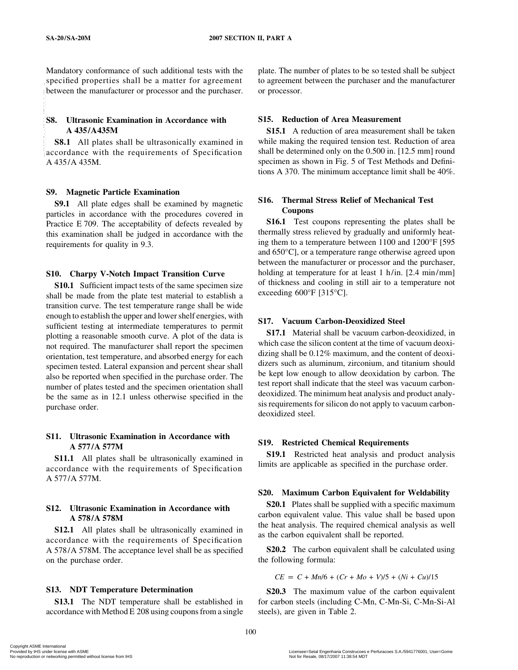Mandatory conformance of such additional tests with the specified properties shall be a matter for agreement between the manufacturer or processor and the purchaser.

#### **S8. Ultrasonic Examination in Accordance with A 435/A435M**

**S8.1** All plates shall be ultrasonically examined in accordance with the requirements of Specification A 435/A 435M.

#### **S9. Magnetic Particle Examination**

**S9.1** All plate edges shall be examined by magnetic particles in accordance with the procedures covered in Practice E 709. The acceptability of defects revealed by this examination shall be judged in accordance with the requirements for quality in 9.3.

#### **S10. Charpy V-Notch Impact Transition Curve**

**S10.1** Sufficient impact tests of the same specimen size shall be made from the plate test material to establish a transition curve. The test temperature range shall be wide enough to establish the upper and lower shelf energies, with sufficient testing at intermediate temperatures to permit plotting a reasonable smooth curve. A plot of the data is not required. The manufacturer shall report the specimen orientation, test temperature, and absorbed energy for each specimen tested. Lateral expansion and percent shear shall also be reported when specified in the purchase order. The number of plates tested and the specimen orientation shall be the same as in 12.1 unless otherwise specified in the purchase order.

#### **S11. Ultrasonic Examination in Accordance with A 577/A 577M**

**S11.1** All plates shall be ultrasonically examined in accordance with the requirements of Specification A 577/A 577M.

#### **S12. Ultrasonic Examination in Accordance with A 578/A 578M**

**S12.1** All plates shall be ultrasonically examined in accordance with the requirements of Specification A 578/A 578M. The acceptance level shall be as specified on the purchase order.

#### **S13. NDT Temperature Determination**

**S13.1** The NDT temperature shall be established in accordance with Method E 208 using coupons from a single plate. The number of plates to be so tested shall be subject to agreement between the purchaser and the manufacturer or processor.

#### **S15. Reduction of Area Measurement**

**S15.1** A reduction of area measurement shall be taken while making the required tension test. Reduction of area shall be determined only on the 0.500 in. [12.5 mm] round specimen as shown in Fig. 5 of Test Methods and Definitions A 370. The minimum acceptance limit shall be 40%.

#### **S16. Thermal Stress Relief of Mechanical Test Coupons**

**S16.1** Test coupons representing the plates shall be thermally stress relieved by gradually and uniformly heating them to a temperature between 1100 and 1200°F [595 and 650°C], or a temperature range otherwise agreed upon between the manufacturer or processor and the purchaser, holding at temperature for at least 1 h/in. [2.4 min/mm] of thickness and cooling in still air to a temperature not exceeding 600°F [315°C].

#### **S17. Vacuum Carbon-Deoxidized Steel**

**S17.1** Material shall be vacuum carbon-deoxidized, in which case the silicon content at the time of vacuum deoxidizing shall be 0.12% maximum, and the content of deoxidizers such as aluminum, zirconium, and titanium should be kept low enough to allow deoxidation by carbon. The test report shall indicate that the steel was vacuum carbondeoxidized. The minimum heat analysis and product analysis requirements for silicon do not apply to vacuum carbondeoxidized steel.

#### **S19. Restricted Chemical Requirements**

**S19.1** Restricted heat analysis and product analysis limits are applicable as specified in the purchase order.

#### **S20. Maximum Carbon Equivalent for Weldability**

**S20.1** Plates shall be supplied with a specific maximum carbon equivalent value. This value shall be based upon the heat analysis. The required chemical analysis as well as the carbon equivalent shall be reported.

**S20.2** The carbon equivalent shall be calculated using the following formula:

$$
CE = C + Mn/6 + (Cr + Mo + V)/5 + (Ni + Cu)/15
$$

**S20.3** The maximum value of the carbon equivalent for carbon steels (including C-Mn, C-Mn-Si, C-Mn-Si-Al steels), are given in Table 2.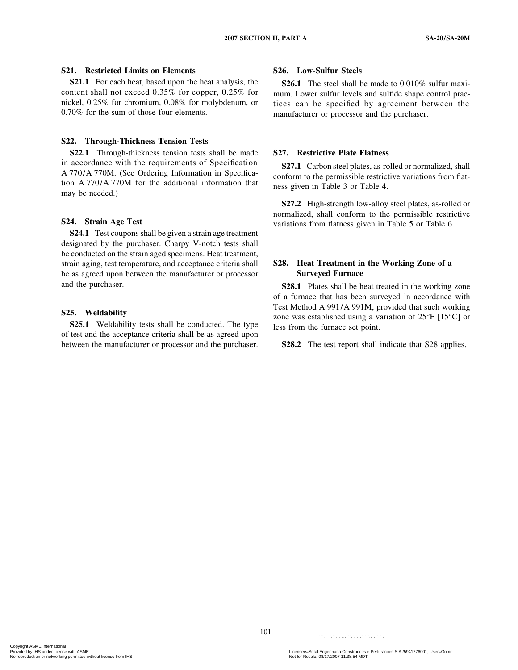#### **S21. Restricted Limits on Elements**

**S21.1** For each heat, based upon the heat analysis, the content shall not exceed 0.35% for copper, 0.25% for nickel, 0.25% for chromium, 0.08% for molybdenum, or 0.70% for the sum of those four elements.

#### **S22. Through-Thickness Tension Tests**

**S22.1** Through-thickness tension tests shall be made in accordance with the requirements of Specification A 770/A 770M. (See Ordering Information in Specification A 770/A 770M for the additional information that may be needed.)

#### **S24. Strain Age Test**

**S24.1** Test coupons shall be given a strain age treatment designated by the purchaser. Charpy V-notch tests shall be conducted on the strain aged specimens. Heat treatment, strain aging, test temperature, and acceptance criteria shall be as agreed upon between the manufacturer or processor and the purchaser.

#### **S25. Weldability**

**S25.1** Weldability tests shall be conducted. The type of test and the acceptance criteria shall be as agreed upon between the manufacturer or processor and the purchaser.

#### **S26. Low-Sulfur Steels**

**S26.1** The steel shall be made to 0.010% sulfur maximum. Lower sulfur levels and sulfide shape control practices can be specified by agreement between the manufacturer or processor and the purchaser.

#### **S27. Restrictive Plate Flatness**

**S27.1** Carbon steel plates, as-rolled or normalized, shall conform to the permissible restrictive variations from flatness given in Table 3 or Table 4.

**S27.2** High-strength low-alloy steel plates, as-rolled or normalized, shall conform to the permissible restrictive variations from flatness given in Table 5 or Table 6.

#### **S28. Heat Treatment in the Working Zone of a Surveyed Furnace**

**S28.1** Plates shall be heat treated in the working zone of a furnace that has been surveyed in accordance with Test Method A 991/A 991M, provided that such working zone was established using a variation of 25°F [15°C] or less from the furnace set point.

**S28.2** The test report shall indicate that S28 applies.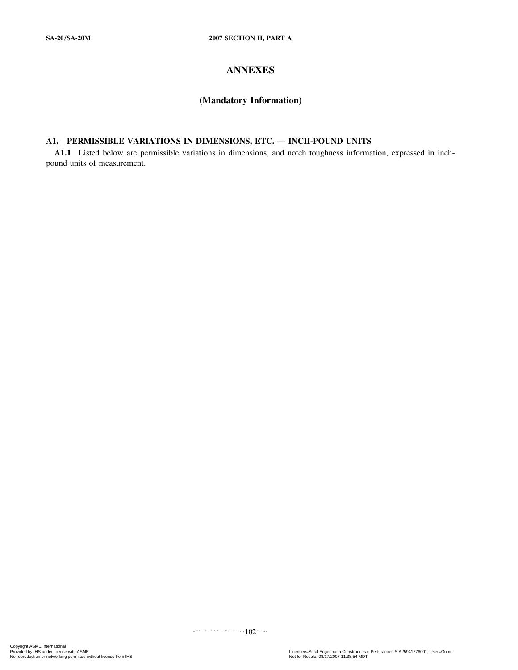#### **ANNEXES**

#### **(Mandatory Information)**

#### **A1. PERMISSIBLE VARIATIONS IN DIMENSIONS, ETC. — INCH-POUND UNITS**

**A1.1** Listed below are permissible variations in dimensions, and notch toughness information, expressed in inchpound units of measurement.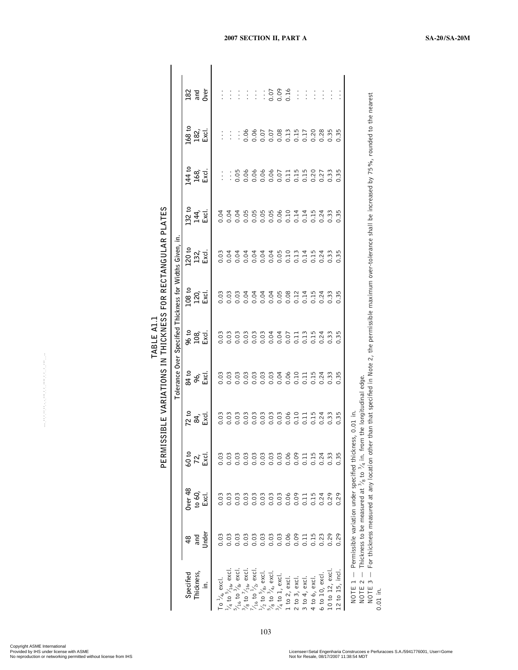|    | ī.     |
|----|--------|
|    | ī.     |
|    | ×      |
|    | ×      |
|    | ×      |
| ٠  |        |
| ×. |        |
| ×. |        |
|    | ٠      |
|    | ٠      |
| ٠  |        |
|    | ٠      |
|    | J.     |
|    | l      |
|    | ×      |
| ×. |        |
|    | ×      |
| ٠  |        |
| ×. |        |
| ٠  |        |
| ×. |        |
|    | ×      |
|    | í,     |
| ×. |        |
|    | ä      |
| ×. |        |
|    | ٠      |
| ×. |        |
| ×. |        |
| ×. |        |
|    | ×      |
|    | ï      |
|    | ×      |
|    | ×      |
|    | ×      |
| ٠  |        |
| ×. |        |
|    | ×      |
| ×. |        |
| ٠  |        |
|    | ×      |
| ×. |        |
|    | ×      |
| ×, |        |
| ×. |        |
|    |        |
|    | ×<br>ï |
|    |        |
|    | ï<br>Ï |
|    |        |

|                                        |               |                          | PERMIS      |                     |                       |                        | SIBLE VARIATIONS IN THICKNESS FOR RECTANGULAR PLATES                                    |                                                          |                      |               |                            |                                 |
|----------------------------------------|---------------|--------------------------|-------------|---------------------|-----------------------|------------------------|-----------------------------------------------------------------------------------------|----------------------------------------------------------|----------------------|---------------|----------------------------|---------------------------------|
|                                        |               |                          |             |                     |                       |                        |                                                                                         | Tolerance Over Specified Thickness for Widths Given, in. |                      |               |                            |                                 |
| Specified                              | $\frac{8}{2}$ | <b>Dver 48</b>           | 60 to       |                     |                       |                        |                                                                                         |                                                          |                      | 144 to        |                            |                                 |
| Thickness,<br>Ξ.                       | Under<br>gue  | $\frac{10}{60}$<br>Excl. | Excl<br>72, | 2 8<br>2 8<br>Lxcl. | 84 to<br>96,<br>Excl. | 96 to<br>108,<br>Excl. | 108 to<br>120,<br>Excl.                                                                 | 120 to<br>132,<br>Excl.                                  | $132 to 144$ , Excl. | 168,<br>Excl. | $\frac{168}{182}$<br>Excl. | $\frac{22}{18}$ $\frac{22}{18}$ |
| To $\frac{1}{4}$ , excl.               | 0.03          | 0.03                     | 0.03        | 0.03                | 0.03                  | 0.03                   | 0.03                                                                                    | 0.03                                                     | 0.04                 | $\vdots$      | $\vdots$                   |                                 |
| $4$ to $\frac{5}{16}$ , excl           | 0.03          | 0.03                     | 0.03        |                     |                       |                        |                                                                                         |                                                          |                      | $\vdots$      | $\frac{1}{2}$              |                                 |
| $\frac{1}{16}$ to $\frac{1}{6}$ excl   | 0.03          | 0.03                     | 0.03        |                     |                       |                        | $\begin{array}{l} 0.0000000001111 \\ 0.0000000001111 \\ 0.0000000001111 \\ \end{array}$ |                                                          |                      |               | $\vdots$                   |                                 |
| $\frac{1}{8}$ to $\frac{1}{16}$ excl   | 0.03          | 0.03                     | 0.03        |                     |                       |                        |                                                                                         |                                                          |                      |               |                            | $\frac{1}{2}$                   |
| $V_{16}$ to $V_{2}$ , excl             | 0.03          | 0.03                     | 0.03        |                     |                       |                        |                                                                                         |                                                          |                      |               |                            |                                 |
| $\frac{1}{2}$ to $\frac{5}{8}$ , excl. | 0.03          | 0.03                     | 0.03        |                     |                       |                        |                                                                                         |                                                          |                      |               |                            |                                 |
| $\frac{3}{4}$ to $\frac{3}{4}$ , excl  | 0.03          | 0.03                     | 0.03        |                     |                       |                        |                                                                                         |                                                          |                      |               |                            |                                 |
| $\frac{3}{4}$ to $1$ , excl.           | 0.03          | 0.03                     | 0.03        |                     |                       |                        |                                                                                         |                                                          |                      |               |                            |                                 |
| I to $2$ , excl.                       | 0.06          | 0.06                     | 0.06        |                     |                       |                        |                                                                                         |                                                          |                      |               |                            |                                 |
| $2$ to $3$ , excl.                     | 0.09          | 0.09                     | 0.09        |                     |                       |                        |                                                                                         |                                                          |                      |               |                            | $\frac{1}{2}$                   |
| 3 to 4, excl.                          | 0.11          | 0.11                     | 0.11        |                     |                       |                        |                                                                                         |                                                          |                      |               |                            | $\frac{1}{2}$                   |
| 4 to 6, excl                           | 0.15          | 0.15                     | 0.15        |                     |                       |                        |                                                                                         |                                                          |                      |               |                            | $\ddot{\cdot}$                  |
| 6 to 10, excl                          | 0.23          | 0.24                     | 0.24        | 0.24                | 0.24                  | 0.24                   | 0.24                                                                                    | 0.24                                                     | 0.24                 |               |                            | $\vdots$                        |
| 10 to $12$ , excl                      | 0.29          | 0.29                     | 0.33        | 0.33                | 0.33                  | 0.33                   | 0.33                                                                                    | 0.33                                                     | 0.33                 | 0.33          |                            |                                 |
| $12$ to $15$ , incl                    | 0.29          | 0.29                     | 0.35        | 0.35                | 0.35                  | 0.35                   | 0.35                                                                                    | 0.35                                                     | 0.35                 | 0.35          | 0.35                       |                                 |

NOTE 2  $-$  Thickness to be measured at  $\frac{3}{6}$  to  $\frac{3}{4}$  in. from the longitudinal edge.

NOTE 3 — For thickness measured at any location other than that specified in Note 2, the permissible maximum over-tolerance shall be increased by 75%, rounded to the nearest note 2 — Thickness to be measured at  $\frac{3}{6}$  to  $\frac{3}{4}$  in. from the longitudinal edge.<br>NOTE 2 — Thickness to be measured at  $\frac{3}{6}$  to  $\frac{3}{4}$  in. from the longitudinal edge.<br>0.01 in.

#### **2007 SECTION II, PART A SA-20/SA-20M**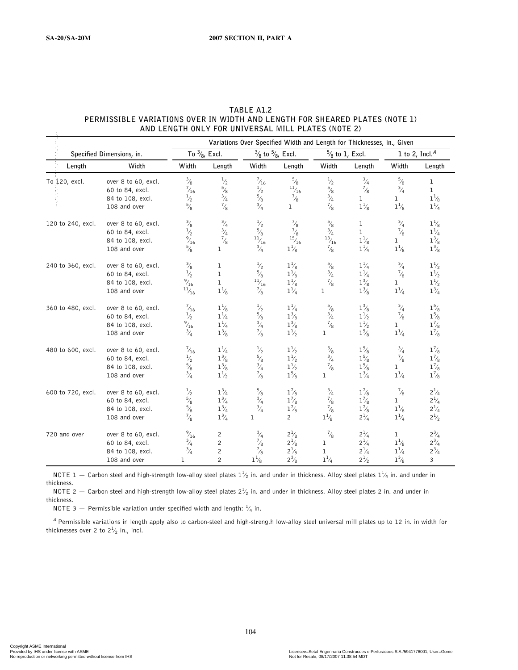|                           |                     |                |                          |                         |                                        |                     | Variations Over Specified Width and Length for Thicknesses, in., Given |                |                   |
|---------------------------|---------------------|----------------|--------------------------|-------------------------|----------------------------------------|---------------------|------------------------------------------------------------------------|----------------|-------------------|
| Specified Dimensions, in. |                     |                | To $\frac{3}{8}$ , Excl. |                         | $\frac{3}{8}$ to $\frac{5}{8}$ , Excl. |                     | $\frac{5}{8}$ to 1, Excl.                                              |                | 1 to 2, Incl. $A$ |
| Length                    | Width               | Width          | Length                   | Width                   | Length                                 | Width               | Length                                                                 | Width          | Length            |
| To 120, excl.             | over 8 to 60, excl. | $\frac{3}{8}$  | $\frac{1}{2}$            | $\frac{7}{16}$          | $\frac{5}{8}$                          | $\frac{1}{2}$       | $^{3}/_{4}$                                                            | $\frac{5}{8}$  | $\mathbf{1}$      |
|                           | 60 to 84, excl.     | $\frac{7}{16}$ | $\frac{5}{8}$            | $\frac{1}{2}$           | $^{11}$ /16                            | $\frac{5}{8}$       | $^{7}/_{8}$                                                            | $\frac{3}{4}$  | $\mathbf{1}$      |
|                           | 84 to 108, excl.    | $\frac{1}{2}$  | $\frac{3}{4}$            | $\frac{5}{8}$           | $^{7}/_{8}$                            | $\frac{3}{4}$       | ı                                                                      | 1              | $1\frac{1}{8}$    |
|                           | 108 and over        | $\frac{5}{8}$  | $\frac{7}{8}$            | $\frac{3}{4}$           | ı                                      | $\frac{7}{8}$       | $1\frac{1}{8}$                                                         | $1\frac{1}{8}$ | $1\frac{1}{4}$    |
| 120 to 240, excl.         | over 8 to 60, excl. | $\frac{3}{8}$  | $^{3}/_{4}$              | $\frac{1}{2}$           | $\frac{7}{8}$                          | $\frac{5}{8}$       | 1                                                                      | $\frac{3}{4}$  | $1\frac{1}{8}$    |
|                           | 60 to 84, excl.     | $\frac{1}{2}$  | $\frac{3}{4}$            | $\frac{5}{8}$           | $7^{0}_{6}$                            | $\frac{3}{4}$       | $\mathbf{1}$                                                           | $\frac{7}{8}$  | $1\frac{1}{4}$    |
|                           | 84 to 108, excl.    | $\frac{9}{16}$ | $\frac{7}{8}$            | $^{11}$ / <sub>16</sub> | $^{15}/_{16}$                          | $^{13}\!\!/_{\!16}$ | $1\frac{1}{8}$                                                         | $\mathbf{1}$   | $1\frac{3}{8}$    |
|                           | 108 and over        | $\frac{5}{8}$  | 1                        | $^{3}/_{4}$             | $1\frac{1}{8}$                         | $\frac{7}{8}$       | $1\frac{1}{4}$                                                         | $1\frac{1}{8}$ | $1\frac{3}{8}$    |
| 240 to 360, excl.         | over 8 to 60, excl. | $\frac{3}{8}$  | 1                        | $\frac{1}{2}$           | $1\frac{1}{8}$                         | $\frac{5}{8}$       | $1\frac{1}{4}$                                                         | $^{3}/_{4}$    | $1\frac{1}{2}$    |
|                           | 60 to 84, excl.     | $\frac{1}{2}$  | $\mathbf 1$              | $\frac{5}{8}$           | $1\frac{1}{8}$                         | $\frac{3}{4}$       | $1\frac{1}{4}$                                                         | $\frac{7}{8}$  | $1\frac{1}{2}$    |
|                           | 84 to 108, excl.    | $\frac{9}{16}$ | $\mathbf{1}$             | $^{11}$ / <sub>16</sub> | $1\frac{1}{8}$                         | $\frac{7}{8}$       | $1\frac{3}{8}$                                                         | ı              | $1\frac{1}{2}$    |
|                           | 108 and over        | $^{11}$ /16    | $1\frac{1}{8}$           | $^{7}/_{8}$             | $1\frac{1}{4}$                         | $\mathbf{1}$        | $1\frac{3}{8}$                                                         | $1\frac{1}{4}$ | $1\frac{3}{4}$    |
| 360 to 480, excl.         | over 8 to 60, excl. | $\frac{7}{16}$ | $1\frac{1}{8}$           | $\frac{1}{2}$           | $1\frac{1}{4}$                         | $\frac{5}{8}$       | $1\frac{3}{8}$                                                         | $\frac{3}{4}$  | $1\frac{5}{8}$    |
|                           | 60 to 84, excl.     | $\frac{1}{2}$  | $1\frac{1}{4}$           | $\frac{5}{8}$           | $1\frac{3}{8}$                         | $^{3}/_{4}$         | $1\frac{1}{2}$                                                         | $\frac{7}{8}$  | $1\frac{5}{8}$    |
|                           | 84 to 108, excl.    | $\frac{9}{16}$ | $1\frac{1}{4}$           | $^{3}/_{4}$             | $1\frac{3}{8}$                         | $^{7}\!/_{\!8}$     | $1\frac{1}{2}$                                                         | $\mathbf{1}$   | $1\frac{7}{8}$    |
|                           | 108 and over        | $\frac{3}{4}$  | $1\frac{3}{8}$           | $\frac{7}{8}$           | $1\frac{1}{2}$                         | $\mathbf{1}$        | $1\frac{5}{8}$                                                         | $1\frac{1}{4}$ | $1\frac{7}{8}$    |
| 480 to 600, excl.         | over 8 to 60, excl. | $\frac{7}{16}$ | $1\frac{1}{4}$           | $\frac{1}{2}$           | $1\frac{1}{2}$                         | $\frac{5}{8}$       | $1\frac{5}{8}$                                                         | $^{3}/_{4}$    | $1\frac{7}{8}$    |
|                           | 60 to 84, excl.     | $\frac{1}{2}$  | $1\frac{3}{8}$           | $\frac{5}{8}$           | $1\frac{1}{2}$                         | $^{3}/_{4}$         | $1\frac{5}{8}$                                                         | $\frac{7}{8}$  | $1\frac{7}{8}$    |
|                           | 84 to 108, excl.    | $\frac{5}{8}$  | $1\frac{3}{8}$           | $\frac{3}{4}$           | $1\frac{1}{2}$                         | $\frac{7}{8}$       | $1\%$                                                                  | $\mathbf{1}$   | $1\frac{7}{8}$    |
|                           | 108 and over        | $^{3}/_{4}$    | $1\frac{1}{2}$           | $\frac{7}{8}$           | $1\frac{5}{8}$                         | $\mathbf{1}$        | $1\frac{3}{4}$                                                         | $1\frac{1}{4}$ | $1\frac{7}{8}$    |
| 600 to 720, excl.         | over 8 to 60, excl. | $\frac{1}{2}$  | $1\frac{3}{4}$           | $\frac{5}{8}$           | $1\frac{7}{8}$                         | $^{3}/_{4}$         | $1\frac{7}{8}$                                                         | $\frac{7}{8}$  | $2^{1/4}$         |
|                           | 60 to 84, excl.     | $\frac{5}{8}$  | $1\frac{3}{4}$           | $\frac{3}{4}$           | $1\frac{7}{8}$                         | $\frac{7}{8}$       | $1\frac{7}{8}$                                                         | $\mathbf{1}$   | $2^{1/4}$         |
|                           | 84 to 108, excl.    | $\frac{5}{8}$  | $1\frac{3}{4}$           | $\frac{3}{4}$           | $1\frac{7}{8}$                         | $\frac{7}{8}$       | $1\frac{7}{8}$                                                         | $1\frac{1}{8}$ | $2^{1/4}$         |
|                           | 108 and over        | $\frac{7}{8}$  | $1\frac{3}{4}$           | 1                       | $\overline{2}$                         | $1\frac{1}{8}$      | $2^{1/4}$                                                              | $1\frac{1}{4}$ | $2^{1/2}$         |
| 720 and over              | over 8 to 60, excl. | $\frac{9}{16}$ | $\overline{c}$           | $\frac{3}{4}$           | $2^{1/8}$                              | $\frac{7}{8}$       | $2^{1/4}$                                                              | $\mathbf{1}$   | $2^{3}/_{4}$      |
|                           | 60 to 84, excl.     | $^{3}/_{4}$    | $\overline{c}$           | $\frac{7}{8}$           | $2^{1/8}$                              | $\mathbf{1}$        | $2^{1/4}$                                                              | $1\frac{1}{8}$ | $2^{3}/_{4}$      |
|                           | 84 to 108, excl.    | $\frac{3}{4}$  | $\overline{c}$           | $\frac{7}{8}$           | $2^{1/8}$                              | $\mathbf{1}$        | $2^{1/4}$                                                              | $1\frac{1}{4}$ | $2^{3}/_{4}$      |
|                           | 108 and over        | 1              | $\overline{c}$           | $1\frac{1}{8}$          | $2^{3}/_{8}$                           | $1\frac{1}{4}$      | $2^{1/2}$                                                              | $1\frac{3}{8}$ | $\mathbf{3}$      |

#### **TABLE A1.2 PERMISSIBLE VARIATIONS OVER IN WIDTH AND LENGTH FOR SHEARED PLATES (NOTE 1) AND LENGTH ONLY FOR UNIVERSAL MILL PLATES (NOTE 2)**

NOTE 1 – Carbon steel and high-strength low-alloy steel plates  $1\frac{1}{2}$  in. and under in thickness. Alloy steel plates  $1\frac{1}{4}$  in. and under in ⁄ ⁄ thickness.

NOTE 2 – Carbon steel and high-strength low-alloy steel plates  $2\frac{1}{2}$  in. and under in thickness. Alloy steel plates 2 in. and under in ⁄ thickness.

NOTE 3 – Permissible variation under specified width and length:  $\frac{1}{4}$  in. ⁄

<sup>A</sup> Permissible variations in length apply also to carbon-steel and high-strength low-alloy steel universal mill plates up to 12 in. in width for thicknesses over 2 to  $2^1/2$  in., incl. ⁄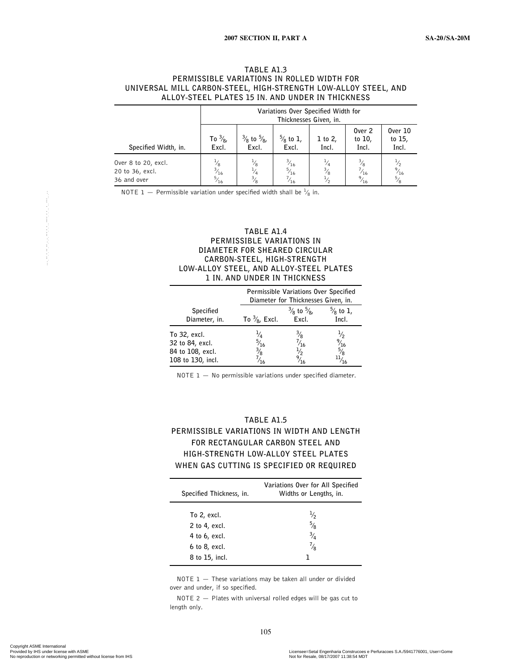#### **TABLE A1.3 PERMISSIBLE VARIATIONS IN ROLLED WIDTH FOR UNIVERSAL MILL CARBON-STEEL, HIGH-STRENGTH LOW-ALLOY STEEL, AND ALLOY-STEEL PLATES 15 IN. AND UNDER IN THICKNESS**

|                                                       |                                                 |                                               |                                                    | Variations Over Specified Width for<br>Thicknesses Given, in. |                                                   |                                             |
|-------------------------------------------------------|-------------------------------------------------|-----------------------------------------------|----------------------------------------------------|---------------------------------------------------------------|---------------------------------------------------|---------------------------------------------|
| Specified Width, in.                                  | To $\frac{3}{8}$<br>Excl.                       | $\frac{3}{8}$ to $\frac{5}{8}$<br>Excl.       | $\frac{5}{8}$ to 1,<br>Excl.                       | $1$ to 2,<br>Incl.                                            | Over <sub>2</sub><br>to 10,<br>Incl.              | Over 10<br>to 15,<br>Incl.                  |
| Over 8 to 20, excl.<br>20 to 36, excl.<br>36 and over | $\frac{1}{8}$<br>$\frac{3}{16}$<br>$^{5}/_{16}$ | $\frac{1}{8}$<br>$\frac{1}{4}$<br>$^{3}/_{8}$ | $\frac{3}{16}$<br>$\frac{5}{16}$<br>$\frac{7}{16}$ | $\frac{1}{4}$<br>$\frac{3}{8}$<br>$\frac{1}{2}$               | $\frac{3}{8}$<br>$\frac{7}{16}$<br>$\frac{9}{16}$ | $\frac{1}{2}$ $\frac{9}{16}$<br>$^{5}/_{8}$ |

NOTE 1 – Permissible variation under specified width shall be  $\frac{1}{8}$  in. ⁄

#### **TABLE A1.4 PERMISSIBLE VARIATIONS IN DIAMETER FOR SHEARED CIRCULAR CARBON-STEEL, HIGH-STRENGTH LOW-ALLOY STEEL, AND ALLOY-STEEL PLATES 1 IN. AND UNDER IN THICKNESS**

|                                                                          |                                                                    | Permissible Variations Over Specified<br>Diameter for Thicknesses Given, in. |                                                                     |  |  |  |  |  |
|--------------------------------------------------------------------------|--------------------------------------------------------------------|------------------------------------------------------------------------------|---------------------------------------------------------------------|--|--|--|--|--|
| Specified<br>Diameter, in.                                               | To $\frac{3}{2}$ , Excl.                                           | $\frac{3}{8}$ to $\frac{5}{8}$<br>Excl.                                      | $\frac{5}{8}$ to 1,<br>Incl.                                        |  |  |  |  |  |
| To 32, excl.<br>32 to 84, excl.<br>84 to 108, excl.<br>108 to 130, incl. | $\frac{1}{4}$<br>$\frac{5}{16}$<br>$\frac{3}{8}$<br>$\frac{7}{16}$ | $\frac{3}{6}$<br>$\frac{7}{16}$<br>$\frac{1}{2}$ $\frac{9}{16}$              | $\frac{1}{2}$<br>$\frac{9}{16}$<br>$\frac{5}{8}$<br>$\frac{11}{16}$ |  |  |  |  |  |

NOTE  $1 -$  No permissible variations under specified diameter.

### **TABLE A1.5 PERMISSIBLE VARIATIONS IN WIDTH AND LENGTH FOR RECTANGULAR CARBON STEEL AND HIGH-STRENGTH LOW-ALLOY STEEL PLATES WHEN GAS CUTTING IS SPECIFIED OR REQUIRED**

| Specified Thickness, in.                                         | Variations Over for All Specified<br>Widths or Lengths, in.    |
|------------------------------------------------------------------|----------------------------------------------------------------|
| To 2, excl.<br>$2$ to 4, excl.<br>4 to 6, excl.<br>6 to 8, excl. | $\frac{1}{2}$<br>$\frac{5}{8}$<br>$^{3}/_{4}$<br>$\frac{7}{8}$ |
| 8 to 15, incl.                                                   |                                                                |

NOTE  $1$  – These variations may be taken all under or divided over and under, if so specified.

NOTE 2 — Plates with universal rolled edges will be gas cut to length only.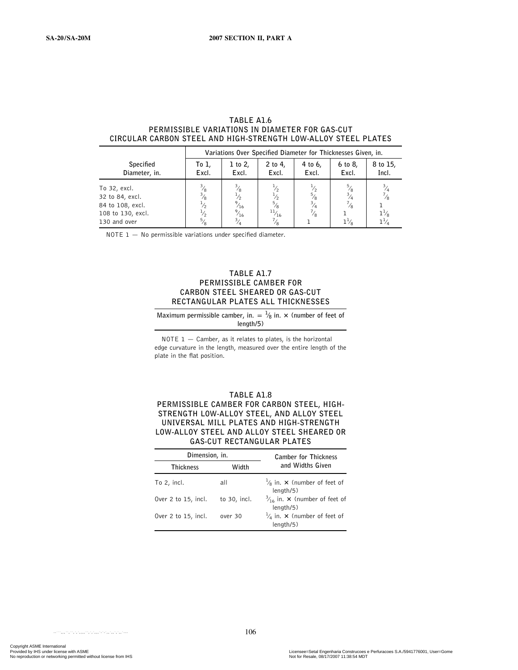| TABLE A1.6                                                     |
|----------------------------------------------------------------|
| PERMISSIBLE VARIATIONS IN DIAMETER FOR GAS-CUT                 |
| CIRCULAR CARBON STEEL AND HIGH-STRENGTH LOW-ALLOY STEEL PLATES |

|                                                                                          | Variations Over Specified Diameter for Thicknesses Given, in.                     |                                                                  |                                                           |                                                 |                                                                 |                                  |
|------------------------------------------------------------------------------------------|-----------------------------------------------------------------------------------|------------------------------------------------------------------|-----------------------------------------------------------|-------------------------------------------------|-----------------------------------------------------------------|----------------------------------|
| Specified<br>Diameter, in.                                                               | To 1,<br>Excl.                                                                    | $1$ to 2,<br>Excl.                                               | $2$ to 4,<br>Excl.                                        | 4 to 6,<br>Excl.                                | 6 to 8,<br>Excl.                                                | 8 to 15,<br>Incl.                |
| To 32, excl.<br>32 to 84, excl.<br>84 to 108, excl.<br>108 to 130, excl.<br>130 and over | $\frac{3}{8}$<br>$\frac{3}{8}$<br>$\frac{1}{2}$<br>$\frac{1}{2}$<br>$\frac{5}{8}$ | $\frac{3}{8}$<br>$\frac{9}{16}$<br>$\frac{9}{16}$<br>$^{3}/_{4}$ | $\frac{5}{8}$<br>$^{11}$ / <sub>16</sub><br>$\frac{1}{8}$ | $\frac{5}{8}$<br>$\frac{3}{4}$<br>$\frac{7}{8}$ | $\frac{5}{8}$<br>$^{3}/_{4}$<br>$\frac{7}{8}$<br>$1\frac{1}{8}$ | $1\frac{1}{8}$<br>$1\frac{1}{4}$ |

NOTE  $1 -$  No permissible variations under specified diameter.

#### **TABLE A1.7 PERMISSIBLE CAMBER FOR CARBON STEEL SHEARED OR GAS-CUT RECTANGULAR PLATES ALL THICKNESSES**

Maximum permissible camber, in.  $= \frac{1}{8}$  in.  $\times$  (number of feet of **⁄ length/5)**

NOTE  $1 -$  Camber, as it relates to plates, is the horizontal edge curvature in the length, measured over the entire length of the plate in the flat position.

#### **TABLE A1.8**

**PERMISSIBLE CAMBER FOR CARBON STEEL, HIGH-STRENGTH LOW-ALLOY STEEL, AND ALLOY STEEL UNIVERSAL MILL PLATES AND HIGH-STRENGTH LOW-ALLOY STEEL AND ALLOY STEEL SHEARED OR GAS-CUT RECTANGULAR PLATES**

| Dimension, in.      |              | <b>Camber for Thickness</b>                                        |
|---------------------|--------------|--------------------------------------------------------------------|
| <b>Thickness</b>    | Width        | and Widths Given                                                   |
| To $2$ , incl.      | all          | $\frac{1}{8}$ in. $\times$ (number of feet of<br>$l$ ength $/5$ )  |
| Over 2 to 15, incl. | to 30, incl. | $\frac{3}{16}$ in. $\times$ (number of feet of<br>$l$ ength $/5$ ) |
| Over 2 to 15, incl. | over 30      | $\frac{1}{4}$ in. $\times$ (number of feet of<br>length/5)         |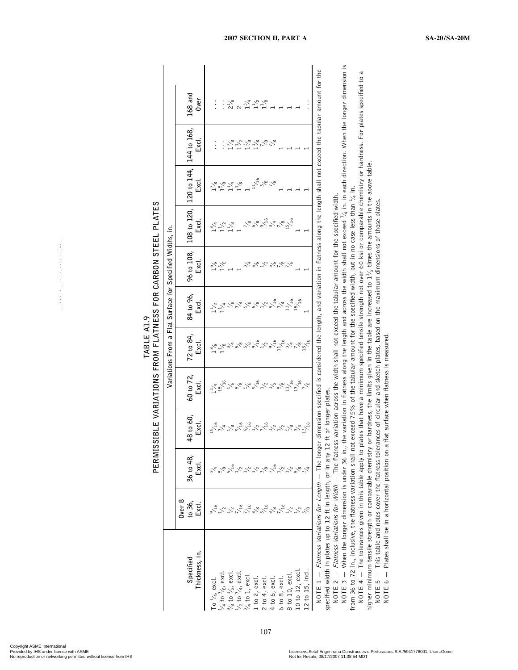|                                                                                                                                                                                                                                                                                                                                          |                                      |                                        |                      |                                                          |                                                                                                                                                                                                              |                                                                                                                                                                       | Variations From a Flat Surface for Specified Widths, in. |                                         |                     |                                                                                                                                                                    |                                                                                                                                                                                                                                                                                         |
|------------------------------------------------------------------------------------------------------------------------------------------------------------------------------------------------------------------------------------------------------------------------------------------------------------------------------------------|--------------------------------------|----------------------------------------|----------------------|----------------------------------------------------------|--------------------------------------------------------------------------------------------------------------------------------------------------------------------------------------------------------------|-----------------------------------------------------------------------------------------------------------------------------------------------------------------------|----------------------------------------------------------|-----------------------------------------|---------------------|--------------------------------------------------------------------------------------------------------------------------------------------------------------------|-----------------------------------------------------------------------------------------------------------------------------------------------------------------------------------------------------------------------------------------------------------------------------------------|
| Thickness, in.<br>Specified                                                                                                                                                                                                                                                                                                              | Over <sub>8</sub><br>to 36,<br>Excl. | 36 to 48,<br>Excl.                     | $48$ to 60,<br>Excl. | 60 to 72,<br>Excl.                                       | 72 to 84,<br>Excl.                                                                                                                                                                                           | 84 to 96,<br>Excl.                                                                                                                                                    | 96 to 108,<br>Excl.                                      | 108 to 120,<br>Excl.                    | 120 to 144,<br>Excl | 144 to 168,<br>Excl.                                                                                                                                               | 168 and<br><b>Over</b>                                                                                                                                                                                                                                                                  |
| $10$ to $12$ , excl.<br>$12$ to $15$ , incl<br>$\frac{1}{8}$ to $\frac{1}{2}$ , excl.<br>$4$ to $\frac{3}{8}$ excl<br>$\frac{1}{2}$ to $\frac{3}{4}$ , excl<br>$4$ to $1$ , excl.<br>8 to 10, excl<br>to $2$ , excl.<br>2 to $4$ , excl.<br>to 6, excl.<br>to 8, excl.<br>$\begin{bmatrix} 0 & \frac{1}{4} & \text{excl.} \end{bmatrix}$ | 2222322                              | $x^2 + y^2$<br>$\sigma_{\Gamma}$<br>ల. |                      | 174 50 50<br><u>"</u><br>"<br>"<br>" " " " " " " " " " " | $\int_{a}^{\infty} \int_{a}^{\infty} \int_{a}^{\infty} \int_{a}^{\infty} \int_{a}^{\infty} \int_{a}^{\infty} \int_{a}^{\infty} \int_{a}^{\infty} \int_{a}^{\infty}$<br>$\sqrt{4} \sqrt{6}$<br>$1\frac{3}{8}$ | e 1 <sub>0</sub> 24 y<br>$\frac{13}{15}\frac{1}{16}$<br>$\overline{4}$<br>$\frac{1}{2}\sum_{\mathcal{A}}\sum_{\mathcal{A}}\mathcal{L}_{\mathcal{A}}$<br>$\frac{6}{3}$ | $1\frac{5}{8}$<br>ల                                      | $\frac{15}{16}$<br>74<br>74<br>74<br>78 | 176,878<br>いじょう     | $\sum_{\alpha}^{\infty} \sum_{\alpha}^{\infty} \sum_{\alpha}^{\infty} \sum_{\alpha}^{\infty} \sum_{\alpha}^{\infty} \sum_{\alpha}^{\infty} \sum_{\alpha}^{\infty}$ | $\frac{1}{2}\frac{1}{8}$<br>$\begin{array}{c} 1 \sqrt[3]{2} \\ 1 \sqrt[3]{2} \\ 2 \sqrt[3]{2} \\ \end{array}$                                                                                                                                                                           |
| NOTE 2 — Flatness Variations for Width — The flatness variation across the width shall not exceed the tabular amount for the specified width.<br>NOTE $1 -$ Flatness Variations for Length $-$ The longer<br>NOTE 3 - When the longer dimension is under 36 in., th<br>specified width in plates up to 12 ft in length, or in any 12     |                                      |                                        | ft of longer plates. |                                                          |                                                                                                                                                                                                              |                                                                                                                                                                       |                                                          |                                         |                     |                                                                                                                                                                    | ne variation in flatness along the length and across the width shall not exceed $\lambda_4$ in. in each direction. When the longer dimension is<br>dimension specified is considered the length, and variation in flatness along the length shall not exceed the tabular amount for the |

# PERMISSIBLE VARIATIONS FROM FLATNESS FOR CARBON STEEL PLATES **PERMISSIBLE VARIATIONS FROM FLATNESS FOR CARBON STEEL PLATES** TABLE A1.9 **TABLE A1.9**

from 36 to 72 in., inclusive, the flatness variation shall not exceed 75% of the tabular amount for the specified width, but in no case less than  $\frac{1}{4}$  in. from 36 to 72 in., inclusive, the flatness variation shall not exceed 75% of the tabular amount for the specified width, but in no case less than 1⁄4 in.

NOTE 4 — The tolerances given in this table apply to plates that have a minimum specified tensile strength not over 60 ksi or comparable chemistry or hardness. For plates specified to a<br>higher minimum tensile strength or c NOTE 4 — The tolerances given in this table apply to plates that have a minimum specified tensile strength not over 60 ksi or comparable chemistry or hardness. For plates specified to a higher minimum tensile strength or comparable chemistry or hardness, the limits given in the table are increased to 1½ times the amounts in the above table.

NOTE 5 — This table and notes cover the flatness tolerances of circular and sketch plates, based on the maximum dimensions of those plates.<br>NOTE 6 — Plates shall be in a horizontal position on a flat surface when flatness NOTE 5 — This table and notes cover the flatness tolerances of circular and sketch plates, based on the maximum dimensions of those plates.

NOTE 6 — Plates shall be in a horizontal position on a flat surface when flatness is measured.

#### **2007 SECTION II, PART A SA-20/SA-20M**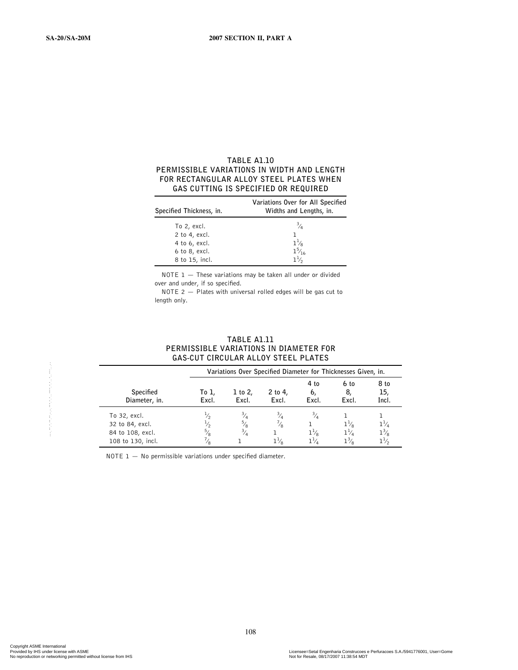#### **TABLE A1.10 PERMISSIBLE VARIATIONS IN WIDTH AND LENGTH FOR RECTANGULAR ALLOY STEEL PLATES WHEN GAS CUTTING IS SPECIFIED OR REQUIRED**

| Specified Thickness, in. | Variations Over for All Specified<br>Widths and Lengths, in. |
|--------------------------|--------------------------------------------------------------|
| To 2, excl.              | $\frac{3}{4}$                                                |
| $2$ to 4, excl.          |                                                              |
| $4$ to 6, excl.          | $1\frac{1}{8}$                                               |
| $6$ to $8$ , excl.       | $1\frac{5}{16}$                                              |
| 8 to 15, incl.           | $1\frac{1}{2}$                                               |
|                          |                                                              |

NOTE  $1$  – These variations may be taken all under or divided over and under, if so specified.

NOTE 2 — Plates with universal rolled edges will be gas cut to length only.

#### **TABLE A1.11 PERMISSIBLE VARIATIONS IN DIAMETER FOR GAS-CUT CIRCULAR ALLOY STEEL PLATES**

| To 1,         | $1$ to 2,<br>Excl.                          | 2 to 4,<br>Excl.             | 4 to<br>6,<br>Excl.             | 6 to<br>8,<br>Excl.              | 8 to<br>15,<br>Incl.                               |
|---------------|---------------------------------------------|------------------------------|---------------------------------|----------------------------------|----------------------------------------------------|
| $\frac{5}{8}$ | $^{3}/_{4}$<br>$^{5}/_{8}$<br>$\frac{3}{4}$ | $^{3}/_{4}$<br>$\frac{7}{8}$ | $\frac{3}{4}$<br>$1\frac{1}{6}$ | $1\frac{1}{8}$<br>$1\frac{1}{4}$ | $1\frac{1}{4}$<br>$1\frac{3}{8}$<br>$1\frac{1}{2}$ |
|               | Excl.<br>/8                                 |                              | $1\frac{1}{2}$                  | $1^{\frac{1}{2}}$                | $1\frac{3}{8}$                                     |

NOTE  $1 -$  No permissible variations under specified diameter.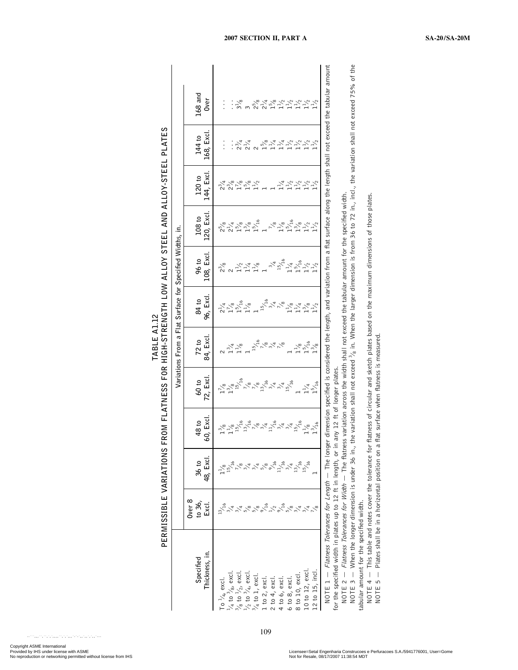|                                                                                                                                                                                                                                                                                                                               |                                        |                                                                         |                                                                                                                                                                                                                                                                                                                                                                                                                                        |                                                                                                                                                                                                                            |                                                                                                                            |                                                        | Variations From a Flat Surface for Specified Widths, in.                                                                                                                                                                                                                                                                                                                |                                                                                                                                                                                                                                                                                                                                                                                                                                                         |                           |                                                         |                                                     |
|-------------------------------------------------------------------------------------------------------------------------------------------------------------------------------------------------------------------------------------------------------------------------------------------------------------------------------|----------------------------------------|-------------------------------------------------------------------------|----------------------------------------------------------------------------------------------------------------------------------------------------------------------------------------------------------------------------------------------------------------------------------------------------------------------------------------------------------------------------------------------------------------------------------------|----------------------------------------------------------------------------------------------------------------------------------------------------------------------------------------------------------------------------|----------------------------------------------------------------------------------------------------------------------------|--------------------------------------------------------|-------------------------------------------------------------------------------------------------------------------------------------------------------------------------------------------------------------------------------------------------------------------------------------------------------------------------------------------------------------------------|---------------------------------------------------------------------------------------------------------------------------------------------------------------------------------------------------------------------------------------------------------------------------------------------------------------------------------------------------------------------------------------------------------------------------------------------------------|---------------------------|---------------------------------------------------------|-----------------------------------------------------|
| Thickness, in.<br>Specified                                                                                                                                                                                                                                                                                                   | Over 8<br>to 36,<br>Excl.              | 48, Excl.<br>36 <sub>to</sub>                                           | 60, Excl<br>48 to                                                                                                                                                                                                                                                                                                                                                                                                                      | 72, Excl<br>60t                                                                                                                                                                                                            | 84, Excl<br>72 to                                                                                                          | 96, Excl.<br>84 to                                     | <b>LO8, Excl</b><br>96 to                                                                                                                                                                                                                                                                                                                                               | 120, Excl<br>108 to                                                                                                                                                                                                                                                                                                                                                                                                                                     | 144, Excl<br>120 to       | 168, Excl<br>144 to                                     | 168 and<br><b>Over</b>                              |
| 10 to 12, excl<br>$12$ to $15$ , incl.<br>$4$ to $\frac{1}{2}$ <sub>8</sub> , excl<br>$\frac{1}{2}$ to $\frac{1}{2}$ excl<br>$\frac{1}{2}$ to $\frac{3}{4}$ , excl<br>8 to 10, excl<br>$\frac{1}{4}$ to 1, excl.<br>$t$ to $2$ , excl.<br>4 to 6, excl<br>$\Gamma$ o $\frac{1}{4}$ , excl.<br>2 to $4$ , excl<br>6 to 8, excl | $x^4$<br>$4\frac{10}{9}$ $\frac{1}{9}$ | $x_{\vec{A}}^{\text{tot}}$<br>$\frac{1}{2}$ $\frac{1}{2}$ $\frac{1}{2}$ | $\frac{1}{1} \sum_{j=1}^{N} \sum_{j=1}^{N} \sum_{j=1}^{N} \sum_{j=1}^{N}$<br>$\sum_{i=1}^{4}\sum_{j=1}^{4}\sum_{j=1}^{4}\sum_{j=1}^{4}\sum_{j=1}^{4}\sum_{j=1}^{4}\sum_{j=1}^{4}\sum_{j=1}^{4}\sum_{j=1}^{4}\sum_{j=1}^{4}\sum_{j=1}^{4}\sum_{j=1}^{4}\sum_{j=1}^{4}\sum_{j=1}^{4}\sum_{j=1}^{4}\sum_{j=1}^{4}\sum_{j=1}^{4}\sum_{j=1}^{4}\sum_{j=1}^{4}\sum_{j=1}^{4}\sum_{j=1}^{4}\sum_{j=1}^{4}\sum_{j=1}^{4}\sum_{j=1}^{4}\sum_{j$ | $\frac{1}{2}\frac{7}{8}\sum_{15/16}^{7}$<br>$\int_{\infty}^{\infty} \int_{\infty}^{\infty} \int_{\infty}^{\infty} \int_{\infty}^{\infty} \int_{\infty}^{\infty} \int_{\infty}^{\infty}$<br>$1\frac{\gamma_4}{\gamma_{16}}$ | $\frac{15}{7}$ / <sub>16</sub><br>$\frac{1}{2} \sum_{i=1}^{n} \sum_{j=1}^{n}$<br>$\frac{1}{4}$ $\frac{1}{8}$<br>シュー<br>ジェー | $\frac{15}{3}$ 16<br>21223<br>27427<br>ロロコロ<br>"ペ"ン"ン" | $\begin{picture}(120,115) \put(0,0){\line(1,0){15}} \put(15,0){\line(1,0){15}} \put(15,0){\line(1,0){15}} \put(15,0){\line(1,0){15}} \put(15,0){\line(1,0){15}} \put(15,0){\line(1,0){15}} \put(15,0){\line(1,0){15}} \put(15,0){\line(1,0){15}} \put(15,0){\line(1,0){15}} \put(15,0){\line(1,0){15}} \put(15,0){\line(1,0){15}} \put(15,0){\line$<br>822272<br>822772 | $\begin{array}{c}\n \mathbb{R} & \mathbb{R} & \mathbb{R} & \mathbb{R} & \mathbb{R} & \mathbb{R} & \mathbb{R} & \mathbb{R} & \mathbb{R} & \mathbb{R} & \mathbb{R} & \mathbb{R} & \mathbb{R} & \mathbb{R} & \mathbb{R} & \mathbb{R} & \mathbb{R} & \mathbb{R} & \mathbb{R} & \mathbb{R} & \mathbb{R} & \mathbb{R} & \mathbb{R} & \mathbb{R} & \mathbb{R} & \mathbb{R} & \mathbb{R} & \mathbb{R} & \mathbb{R} & \mathbb{R} & \math$<br>82482879<br>2248287 | 2272227<br>22722<br>ユココココ | $\frac{1}{2}$ $\frac{1}{2}$ $\frac{1}{4}$ $\frac{1}{4}$ | $\therefore \frac{1}{\infty}$<br>ると ユニココココ<br>ペンペンス |
| NOTE 1 — Flatness Tolerances for Length — The longer dimension specified is considered the length, and variation from a flat surface along the length shall not exceed the tabular amoun<br>for the specified width in plates up to 12 ft in length, or in<br>NOTE $2 -$ Flatness Tolerances for Width $-$ The flatne         |                                        |                                                                         |                                                                                                                                                                                                                                                                                                                                                                                                                                        | any 12 ft of longer plates.                                                                                                                                                                                                |                                                                                                                            |                                                        | ss variation across the width shall not exceed the tabular amount for the specified width                                                                                                                                                                                                                                                                               |                                                                                                                                                                                                                                                                                                                                                                                                                                                         |                           |                                                         |                                                     |

PERMISSIBLE VARIATIONS FROM FLATNESS FOR HIGH-STRENGTH LOW ALLOY STEEL AND ALLOY-STEEL PLATES PERMISSIBLE VARIATIONS FROM FLATNESS FOR HIGH-STRENGTH LOW ALLOY STEEL AND ALLOY-STEEL PLATES TABLE A1.12 **TABLE A1.12**

Copyright ASME International Provided by IHS under license with ASME Licensee=Setal Engenharia Construcoes e Perfuracoes S.A. No reproduction or networking permitted without license from IHS Not for Resale, 08/17/2007 11:38:54 MDT

#### **2007 SECTION II, PART A SA-20/SA-20M**

109

Licensee=Setal Engenharia Construcoes e Perfuracoes S.A. /5941776001, User=Gome<br>Not for Resale, 08/17/2007 11:38:54 MDT

tabular amount for the specified width.

NOTE 4 — This table and notes cover the tolerance for flatness of circular and sketch plates based on the maximum dimensions of those plates.

tabular amount for the specified width.<br>NOTE 4 — This table and notes cover the tolerance for flatness of circular and sketch plates based on the maximum dimensions of those plates.<br>NOTE 5 — Plates shall be in a horizontal

NOTE 5 — Plates shall be in a horizontal position on a flat surface when flatness is measured.

NOTE 3 — When the longer dimension is under 36 in., the variation shall not exceed 3⁄8 in. When the larger dimension is from 36 to 72 in., incl., the variation shall not exceed 75% of the

NOTE 3  $-$  When the longer dimension is under 36 in, the variation shall not exceed  $\frac{3}{6}$  in. When the larger dimension is from 36 to 72 in., incl., the variation shall not exceed 75% of the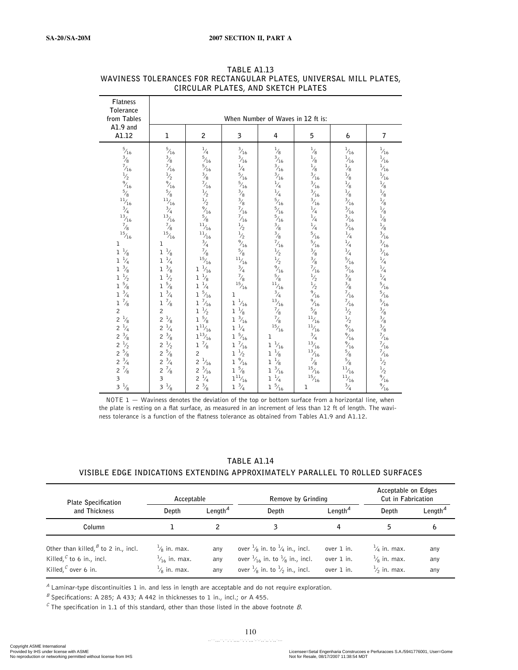**Flatness**

| Tolerance<br>from Tables                                                                                                                                                                                                                                                                                                                                                                                                                                                                                                                                           |                                                                                                                                                                                                                                                                                                                                                                                                                                                                                                                                |                                                                                                                                                                                                                                                                                                                                                                                                                                                                                                                                                                                                |                                                                                                                                                                                                                                                                                                                                                                                                                                                                                                                                                      | When Number of Waves in 12 ft is:                                                                                                                                                                                                                                                                                                                                                                                                                                                                              |                                                                                                                                                                                                                                                                                                                                                                                                                                                                                              |                                                                                                                                                                                                                                                                                                                                                                                                                                                                                      |                                                                                                                                                                                                                                                                                                                                                                                                                                                                                  |
|--------------------------------------------------------------------------------------------------------------------------------------------------------------------------------------------------------------------------------------------------------------------------------------------------------------------------------------------------------------------------------------------------------------------------------------------------------------------------------------------------------------------------------------------------------------------|--------------------------------------------------------------------------------------------------------------------------------------------------------------------------------------------------------------------------------------------------------------------------------------------------------------------------------------------------------------------------------------------------------------------------------------------------------------------------------------------------------------------------------|------------------------------------------------------------------------------------------------------------------------------------------------------------------------------------------------------------------------------------------------------------------------------------------------------------------------------------------------------------------------------------------------------------------------------------------------------------------------------------------------------------------------------------------------------------------------------------------------|------------------------------------------------------------------------------------------------------------------------------------------------------------------------------------------------------------------------------------------------------------------------------------------------------------------------------------------------------------------------------------------------------------------------------------------------------------------------------------------------------------------------------------------------------|----------------------------------------------------------------------------------------------------------------------------------------------------------------------------------------------------------------------------------------------------------------------------------------------------------------------------------------------------------------------------------------------------------------------------------------------------------------------------------------------------------------|----------------------------------------------------------------------------------------------------------------------------------------------------------------------------------------------------------------------------------------------------------------------------------------------------------------------------------------------------------------------------------------------------------------------------------------------------------------------------------------------|--------------------------------------------------------------------------------------------------------------------------------------------------------------------------------------------------------------------------------------------------------------------------------------------------------------------------------------------------------------------------------------------------------------------------------------------------------------------------------------|----------------------------------------------------------------------------------------------------------------------------------------------------------------------------------------------------------------------------------------------------------------------------------------------------------------------------------------------------------------------------------------------------------------------------------------------------------------------------------|
| A1.9 and<br>A1.12                                                                                                                                                                                                                                                                                                                                                                                                                                                                                                                                                  | 1                                                                                                                                                                                                                                                                                                                                                                                                                                                                                                                              | $\overline{c}$                                                                                                                                                                                                                                                                                                                                                                                                                                                                                                                                                                                 | 3                                                                                                                                                                                                                                                                                                                                                                                                                                                                                                                                                    | 4                                                                                                                                                                                                                                                                                                                                                                                                                                                                                                              | 5                                                                                                                                                                                                                                                                                                                                                                                                                                                                                            | 6                                                                                                                                                                                                                                                                                                                                                                                                                                                                                    | 7                                                                                                                                                                                                                                                                                                                                                                                                                                                                                |
| $\frac{5}{16}$<br>$\frac{3}{8}$<br>$\frac{7}{16}$<br>$\frac{1}{2}$<br>$\frac{9}{16}$<br>$\frac{5}{4}$ $\frac{11}{16}$<br>$\frac{3}{4}$<br>$^{13}/_{16}$<br>$\frac{7}{15/16}$<br>ı<br>$\frac{1}{8}$<br>$\mathbf{1}$<br>$1\frac{1}{4}$<br>$\begin{array}{ccc}\n & 1 & 3/8 \\ 1 & 1 & 2 \\ 1 & 5/8 \\ 1 & 2\n\end{array}$<br>$\frac{3}{4}$<br>$\mathbf{1}$<br>$\frac{7}{8}$<br>$\mathbf 1$<br>$\overline{c}$<br>$2\frac{1}{8}$<br>$\overline{c}$<br>$\frac{1}{4}$<br>$2^{3/8}$<br>$2\frac{1}{2}$<br>$\frac{2}{2}$ $\frac{5}{8}$<br>2 $\frac{3}{4}$<br>2 $\frac{7}{8}$ | $\frac{5}{16}$<br>$\frac{3}{8}$<br>$\frac{7}{16}$<br>$\frac{1}{2}$<br>$\frac{9}{16}$<br>$\frac{5}{8}$<br>$^{11}\!\!/_{\!16}$<br>$^{3}/_{4}$<br>$^{13}/_{16}$<br>$\frac{7}{8}$<br>$^{15}\!\!/_{\!16}$<br>1<br>$1~^{\mathrm{1}}\mathrm{\_8}$<br>$\frac{1}{4}$<br>$\mathbf{1}$<br>$1\frac{3}{8}$<br>$1\frac{1}{2}$<br>$1\frac{5}{8}$<br>$1\frac{3}{4}$<br>$1 \frac{7}{8}$<br>$\overline{c}$<br>$2\, ^{1}\!/_{\!8}$<br>$2\frac{1}{4}$<br>$2^{3}/_{8}$<br>$2^{1/2}$<br>$2^{5/8}$<br>$\frac{3}{4}$<br>$\overline{c}$<br>$2^{7}/_{8}$ | $\frac{1}{4}$<br>$\frac{5}{16}$<br>$^{5}\!\!/_{\!16}$<br>$^{3}/_{8}$<br>$\frac{7}{16}$<br>$\frac{1}{2}$<br>$\frac{1}{2}$<br>$\frac{9}{16}$<br>$\frac{5}{8}$<br>$^{11}$ /16<br>$^{11}\!\!/_{\!16}$<br>$\frac{3}{4}$<br>$\frac{7}{8}$<br>$^{15}\!\!/_{\!16}$<br>$\frac{1}{16}$<br>1<br>$\frac{1}{8}$<br>$\mathbf{1}$<br>$1\frac{1}{4}$<br>$1~^5\!\!/\!_{16}$<br>$1\,\frac{7}{16}$<br>$\frac{1}{1}$ $\frac{1}{2}$<br>$1\,$ $^{5}\!\! /_{8}$<br>$1^{11}\hspace{-3pt}/_{16}$<br>$1^{13}\hspace{-3pt}/_{16}$<br>$1 \frac{7}{8}$<br>$\overline{c}$<br>$2\,$ $\rm \mathit{l}_{16}$<br>$2 \frac{3}{16}$ | $\frac{3}{16}$<br>$\frac{3}{16}$<br>$\frac{1}{4}$<br>$\frac{5}{16}$<br>$\frac{5}{16}$<br>$\frac{3}{8}$<br>$\frac{3}{8}$<br>$\frac{7}{16}$<br>$\frac{7}{16}$<br>$\frac{1}{2}$ $\frac{1}{2}$<br>$\frac{9}{16}$<br>$\frac{5}{8}$<br>$^{11}\!\!/_{\!16}$<br>$^{3}/_{4}$<br>$\frac{7}{8}$<br>$^{15}/_{16}$<br>1<br>$1\phantom{.}^{\,1}\!\!/_{\!16}$<br>$\frac{1}{1}$ $\frac{1}{8}$<br>$\frac{3}{16}$<br>$\mathbf{1}$<br>$1 \frac{1}{4}$<br>$1\ ^5\!\!/_{\!16}$<br>1 $\frac{7}{16}$<br>1 $\frac{1}{2}$<br>$\frac{1}{1}$ % $\frac{9}{16}$<br>$1\frac{5}{8}$ | $\frac{1}{8}$<br>$\frac{3}{16}$<br>$\frac{3}{16}$<br>$\frac{3}{16}$<br>$\frac{1}{4}$<br>$\frac{1}{4}$ 5/ <sub>16</sub><br>$\frac{5}{16}$<br>$\frac{5}{16}$<br>$\frac{3}{8}$<br>$\frac{3}{4}$<br>$\frac{7}{16}$<br>$\frac{1}{2}$<br>$\frac{1}{2}$ $\frac{9}{16}$<br>$\frac{5}{8}$<br>$\frac{11}{16}$<br>$\frac{3}{4}$<br>$^{13}/_{16}$<br>$\frac{7}{8}$<br>$\frac{7}{15/16}$<br>1<br>$\frac{1}{16}$<br>$\mathbf 1$<br>$\frac{1}{8}$ $\frac{1}{8}$ $\frac{3}{16}$<br>$\mathbf{1}$<br>$\mathbf{1}$<br>$\mathbf 1$ | $\frac{1}{8}$<br>$\frac{1}{8}$<br>$\frac{1}{8}$<br>$\frac{3}{16}$<br>$\frac{3}{16}$<br>$\frac{3}{16}$<br>$\frac{3}{16}$<br>$\frac{1}{4}$<br>$\frac{1}{4}$<br>$\frac{1}{4}$<br>$\frac{5}{16}$<br>$\frac{5}{16}$<br>$\frac{3}{8}$<br>$\frac{3}{8}$<br>$\frac{7}{16}$<br>$\frac{1}{2}$<br>$\frac{1}{2}$<br>$\frac{9}{16}$<br>$\frac{9}{16}$<br>$\frac{5}{8}$<br>$^{11}$ / <sub>16</sub><br>$\frac{11}{16}$<br>$\frac{3}{4}$<br>$^{13}/_{16}$<br>$^{13}/_{16}$<br>$\frac{7}{8}$<br>$^{15}/_{16}$ | $\frac{1}{16}$<br>$\frac{1}{16}$<br>$\frac{1}{8}$<br>$\frac{1}{8}$<br>$\frac{1}{8}$ $\frac{1}{8}$<br>$\frac{3}{16}$<br>$\frac{3}{16}$<br>$\frac{3}{16}$<br>$\frac{3}{16}$<br>$\frac{1}{4}$<br>$\frac{1}{4}$<br>$\frac{1}{4}$<br>$\frac{5}{16}$<br>$\frac{5}{16}$<br>$\frac{3}{8}$<br>$\frac{3}{8}$<br>$\frac{7}{16}$<br>$\frac{7}{16}$<br>$\frac{1}{2}$<br>$\frac{1}{2}$ $\frac{9}{16}$<br>$\frac{9}{16}$<br>$\frac{9}{16}$<br>$\frac{5}{8}$<br>$\frac{5}{8}$<br>$^{11}\!\!/_{\!16}$ | $\frac{1}{16}$<br>$\frac{1}{16}$<br>$\frac{1}{1/16}$<br>$\frac{1}{8}$ $\frac{1}{8}$ $\frac{1}{8}$<br>$\frac{1}{8}$ $\frac{1}{8}$ $\frac{1}{8}$ $\frac{3}{16}$<br>$\frac{3}{16}$<br>$\frac{3}{16}$<br>$\frac{1}{4}$<br>$\frac{1}{4}$<br>$\frac{1}{4}$<br>$\frac{1}{4}$<br>$\frac{5}{16}$<br>$\frac{5}{16}$<br>$\frac{5}{16}$<br>$\frac{1}{3}$ /8<br>$\frac{3}{8}$ /8<br>$\frac{3}{8}$ /16<br>$\frac{7}{16}$<br>$\frac{7}{16}$<br>$\frac{1}{2}$<br>$\frac{1}{2}$<br>$\frac{9}{16}$ |
| $\begin{array}{c} 3 \\ 3 \end{array}$ $\begin{array}{c} 1 \\ 8 \end{array}$                                                                                                                                                                                                                                                                                                                                                                                                                                                                                        | 3<br>3 $\frac{1}{8}$                                                                                                                                                                                                                                                                                                                                                                                                                                                                                                           | $2\frac{1}{4}$<br>$2^{3/8}$                                                                                                                                                                                                                                                                                                                                                                                                                                                                                                                                                                    | $1^{11} / _{16}$ 1 $3 / _{4}$                                                                                                                                                                                                                                                                                                                                                                                                                                                                                                                        | $\frac{1}{4}$<br>$\mathbf 1$<br>$1\frac{5}{16}$                                                                                                                                                                                                                                                                                                                                                                                                                                                                | $^{15}/_{16}$<br>1                                                                                                                                                                                                                                                                                                                                                                                                                                                                           | $^{11}\!\!/_{\!16}$<br>$\frac{3}{4}$                                                                                                                                                                                                                                                                                                                                                                                                                                                 | $\frac{9}{16}$                                                                                                                                                                                                                                                                                                                                                                                                                                                                   |

#### **TABLE A1.13 WAVINESS TOLERANCES FOR RECTANGULAR PLATES, UNIVERSAL MILL PLATES, CIRCULAR PLATES, AND SKETCH PLATES**

NOTE 1 - Waviness denotes the deviation of the top or bottom surface from a horizontal line, when the plate is resting on a flat surface, as measured in an increment of less than 12 ft of length. The waviness tolerance is a function of the flatness tolerance as obtained from Tables A1.9 and A1.12.

#### **TABLE A1.14 VISIBLE EDGE INDICATIONS EXTENDING APPROXIMATELY PARALLEL TO ROLLED SURFACES**

| <b>Plate Specification</b>                                                                        | Acceptable                                                                  |                       | Remove by Grinding                                                                                                                                              |                                        | Acceptable on Edges<br>Cut in Fabrication                                  |                                  |
|---------------------------------------------------------------------------------------------------|-----------------------------------------------------------------------------|-----------------------|-----------------------------------------------------------------------------------------------------------------------------------------------------------------|----------------------------------------|----------------------------------------------------------------------------|----------------------------------|
| and Thickness                                                                                     | Depth                                                                       | Length $^\mathcal{A}$ | Depth                                                                                                                                                           | $L$ enath $^A$                         | Depth                                                                      | Length <sup><math>A</math></sup> |
| Column                                                                                            |                                                                             |                       | 3                                                                                                                                                               | 4                                      | ל                                                                          | 6                                |
| Other than killed, $^B$ to 2 in., incl.<br>Killed, $c$ to 6 in., incl.<br>Killed, $^c$ over 6 in. | $\frac{1}{2}$ in. max.<br>$\frac{1}{16}$ in. max.<br>$\frac{1}{2}$ in. max. | any<br>any<br>any     | over $\frac{1}{6}$ in. to $\frac{1}{4}$ in., incl.<br>over $\frac{1}{16}$ in. to $\frac{1}{8}$ in., incl.<br>over $\frac{1}{8}$ in. to $\frac{1}{2}$ in., incl. | over 1 in.<br>over 1 in.<br>over 1 in. | $\frac{1}{4}$ in. max.<br>$\frac{1}{8}$ in. max.<br>$\frac{1}{2}$ in. max. | any<br>any<br>any                |

 $A$  Laminar-type discontinuities 1 in. and less in length are acceptable and do not require exploration.

 $^B$  Specifications: A 285; A 433; A 442 in thicknesses to 1 in., incl.; or A 455.

 $c$  The specification in 1.1 of this standard, other than those listed in the above footnote  $B$ .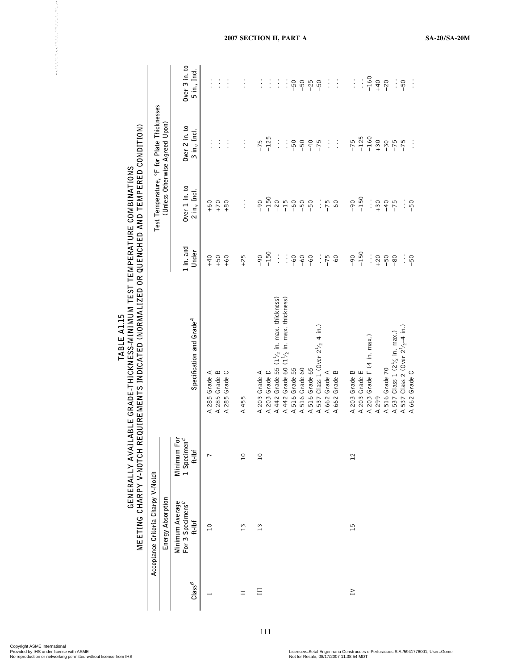TABLE A1.15<br>GENERALLY AVAILABLE GRADE-THICKNESS-MINIMUM TEST TEMPERATURE COMBINATIONS<br>MEETING CHARPY V-NOTCH REQUIREMENTS INDICATED (NORMALIZED OR QUENCHED AND TEMPERED CONDITION) MEETING CHARPY V-NOTCH REQUIREMENTS INDICATED (NORMALIZED OR QUENCHED AND TEMPERED CONDITION) **GENERALLY AVAILABLE GRADE-THICKNESS-MINIMUM TEST TEMPERATURE COMBINATIONS TABLE A1.15**

|           | Acceptance Criteria Charpy V-Notch                          |                                                    |                                                              |                    |                                                                                                                                                                                                                                                                                                                                                   | Test Temperature, °F for Plate Thicknesses |                                 |
|-----------|-------------------------------------------------------------|----------------------------------------------------|--------------------------------------------------------------|--------------------|---------------------------------------------------------------------------------------------------------------------------------------------------------------------------------------------------------------------------------------------------------------------------------------------------------------------------------------------------|--------------------------------------------|---------------------------------|
|           | Energy Absorption                                           | $\mathbf{I}$                                       |                                                              |                    |                                                                                                                                                                                                                                                                                                                                                   | (Unless Otherwise Agreed Upon)             |                                 |
| $Class^B$ | Minimum Average<br>For 3 Specimens <sup>c</sup><br>$ft-lbf$ | Minimum For<br>1 Specimen <sup>c</sup><br>$ft-lbf$ | Specification and Grade <sup>4</sup>                         | 1 in. and<br>Under | Over 1 in. to<br>2 in., Incl.                                                                                                                                                                                                                                                                                                                     | Over 2 in. to<br>$3$ in., Incl.            | Over $3$ in. to<br>5 in., Incl. |
|           | $\overline{a}$                                              | $\overline{ }$                                     | 285 Grade A<br>∢                                             | $+40$              | $-60$                                                                                                                                                                                                                                                                                                                                             | $\vdots$                                   | $\vdots$                        |
|           |                                                             |                                                    | A 285 Grade B                                                | $-50$              | $+70$                                                                                                                                                                                                                                                                                                                                             | $\vdots$                                   |                                 |
|           |                                                             |                                                    | A 285 Grade C                                                | $+60$              | $+80$                                                                                                                                                                                                                                                                                                                                             | $\vdots$                                   | $\vdots$                        |
| $\Box$    | $\frac{1}{2}$                                               | $\overline{10}$                                    | A 455                                                        | $+25$              | $\vdots$                                                                                                                                                                                                                                                                                                                                          | $\vdots$                                   |                                 |
| $\equiv$  | $\frac{2}{3}$                                               | $\overline{C}$                                     | 203 Grade A<br>∢                                             | $-90$              | $-90$                                                                                                                                                                                                                                                                                                                                             | $-75$                                      | $\vdots$                        |
|           |                                                             |                                                    | A 203 Grade D                                                | $-150$             | $-150$                                                                                                                                                                                                                                                                                                                                            | $-125$                                     | $\vdots$                        |
|           |                                                             |                                                    | A 442 Grade 55 $(1\frac{1}{2})$ in. max. thickness)          | $\vdots$           |                                                                                                                                                                                                                                                                                                                                                   | $\vdots$                                   | $\vdots$                        |
|           |                                                             |                                                    | 442 Grade 60 $(1\frac{1}{2})$ in. max. thickness)<br>$\prec$ | $\vdots$           |                                                                                                                                                                                                                                                                                                                                                   | $\vdots$                                   | $\vdots$                        |
|           |                                                             |                                                    | 516 Grade 55<br>∢                                            | $-60$              | $\begin{array}{c} 0 & 0 \\ 0 & 0 \\ 0 & 0 \\ 0 & 0 \\ 0 & 0 \\ 0 & 0 \\ 0 & 0 \\ 0 & 0 \\ 0 & 0 \\ 0 & 0 \\ 0 & 0 \\ 0 & 0 \\ 0 & 0 \\ 0 & 0 \\ 0 & 0 \\ 0 & 0 \\ 0 & 0 \\ 0 & 0 \\ 0 & 0 \\ 0 & 0 \\ 0 & 0 \\ 0 & 0 \\ 0 & 0 \\ 0 & 0 \\ 0 & 0 \\ 0 & 0 \\ 0 & 0 \\ 0 & 0 \\ 0 & 0 \\ 0 & 0 \\ 0 & 0 \\ 0 & 0 \\ 0 & 0 \\ 0 & 0 \\ 0 & 0 \\ 0 &$ | $-50$                                      | $-50$                           |
|           |                                                             |                                                    | 516 Grade 60<br>$\prec$                                      | $-60$              |                                                                                                                                                                                                                                                                                                                                                   | $-50$                                      |                                 |
|           |                                                             |                                                    | 516 Grade 65<br>$\prec$                                      | $-60$              | $-50$                                                                                                                                                                                                                                                                                                                                             | $-40$                                      | $-50$<br>$-25$                  |
|           |                                                             |                                                    | 537 Class 1 (Over $2^{1}/_{2}-4$ in.)<br>$\prec$             | $\vdots$           | $\frac{1}{2}$                                                                                                                                                                                                                                                                                                                                     | $-75$                                      | $-50$                           |
|           |                                                             |                                                    | A 662 Grade A                                                | $-75$              | $-75$                                                                                                                                                                                                                                                                                                                                             | $\vdots$                                   | $\ddot{\cdot}$                  |
|           |                                                             |                                                    | A 662 Grade B                                                | $-60$              | $-60$                                                                                                                                                                                                                                                                                                                                             | $\vdots$                                   | $\vdots$                        |
| $\geq$    | 15                                                          | 12                                                 | A 203 Grade B                                                | $-90$              | $-90$                                                                                                                                                                                                                                                                                                                                             |                                            | $\vdots$                        |
|           |                                                             |                                                    | A 203 Grade E                                                | $-150$             | $-150$                                                                                                                                                                                                                                                                                                                                            | $-75$<br>$-125$                            | $\vdots$                        |
|           |                                                             |                                                    | A 203 Grade F (4 in. max.)                                   | $\vdots$           | $\vdots$                                                                                                                                                                                                                                                                                                                                          | $-160$                                     | $-160$                          |
|           |                                                             |                                                    | 299<br>$\prec$                                               | $+20$              | $+30$                                                                                                                                                                                                                                                                                                                                             | $+30$                                      | $+40$                           |
|           |                                                             |                                                    | 516 Grade 70<br>$\prec$                                      | $-50$              | $-40$                                                                                                                                                                                                                                                                                                                                             |                                            | $-20$                           |
|           |                                                             |                                                    | 537 Class 1 $(2^{1/2}$ in. max.)<br>$\prec$                  | $-80$              | $-75$                                                                                                                                                                                                                                                                                                                                             | $-30$<br>$-75$<br>$-75$                    | $\vdots$                        |
|           |                                                             |                                                    | A 537 Class 2 (Over $2^{1}/2 - 4$ in.)                       | $\vdots$           | $\vdots$                                                                                                                                                                                                                                                                                                                                          |                                            | $-50$                           |
|           |                                                             |                                                    | A 662 Grade C                                                | $-50$              | $-50$                                                                                                                                                                                                                                                                                                                                             | $\vdots$                                   | $\vdots$                        |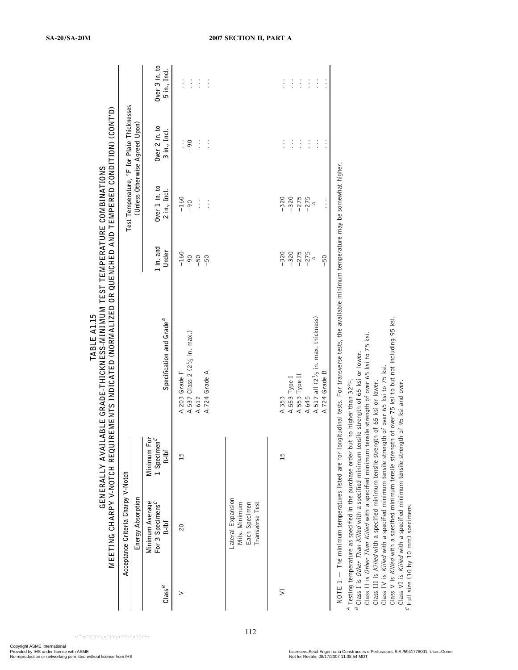|                | MEETING CHARPY V-NOTCH REQU                                                                                                                                                                                   | <b>GENERALLY AVAI</b>                            | REMENTS INDICATED (NORMALIZED OR QUENCHED AND TEMPERED CONDITION) (CONT'O)<br>LABLE GRADE-THICKNESS-MINIMUM TEST TEMPERATURE COMBINATIONS                                                                                                                                                                                                                                                                      |                                   |                                         |                                                 |                                            |
|----------------|---------------------------------------------------------------------------------------------------------------------------------------------------------------------------------------------------------------|--------------------------------------------------|----------------------------------------------------------------------------------------------------------------------------------------------------------------------------------------------------------------------------------------------------------------------------------------------------------------------------------------------------------------------------------------------------------------|-----------------------------------|-----------------------------------------|-------------------------------------------------|--------------------------------------------|
|                | Acceptance Criteria Charpy V-Notch                                                                                                                                                                            |                                                  |                                                                                                                                                                                                                                                                                                                                                                                                                |                                   |                                         | Test Temperature, °F for Plate Thicknesses      |                                            |
|                | Energy Absorption                                                                                                                                                                                             |                                                  |                                                                                                                                                                                                                                                                                                                                                                                                                |                                   |                                         | (Unless Otherwise Agreed Upon)                  |                                            |
| $Class^B$      | Minimum Average<br>For 3 Specimens <sup>c</sup><br>ft-Ibf                                                                                                                                                     | Minimum For<br>1 Specimen <sup>c</sup><br>ft-Ibf | Specification and Grade <sup>4</sup>                                                                                                                                                                                                                                                                                                                                                                           | 1 in. and<br>Under                | Over 1 in. to<br>2 in., Incl.           | Over 2 in. to<br>$3$ in., Incl.                 | Over $3$ in. to<br>5 in., Incl.            |
| $\geq$         | 20                                                                                                                                                                                                            | 15                                               | A 537 Class 2 (2 $\frac{1}{2}$ in. max.)<br>A 612<br>A 724 Grade A<br>Grade F<br>203<br>4                                                                                                                                                                                                                                                                                                                      | $-160$<br>$-50$<br>$-90$<br>$-50$ | $-160$<br>$\vdots$<br>$\vdots$<br>$-90$ | $\vdots$<br>$\ddot{\cdot}$<br>$\vdots$<br>$-90$ | $\vdots$<br>$\frac{1}{2}$<br>$\frac{1}{2}$ |
|                | Lateral Expansion<br>Transverse Test<br>Mils. Minimum<br>Each Specimen                                                                                                                                        |                                                  |                                                                                                                                                                                                                                                                                                                                                                                                                |                                   |                                         |                                                 |                                            |
| $\overline{z}$ |                                                                                                                                                                                                               | 15                                               |                                                                                                                                                                                                                                                                                                                                                                                                                | $-320$                            | $-320$                                  |                                                 |                                            |
|                |                                                                                                                                                                                                               |                                                  | $\begin{array}{l} \textsf{A} \hspace{0.1cm} \textsf{353} \hspace{0.1cm} \textsf{Type I} \ \textsf{A} \hspace{0.1cm} \textsf{553} \hspace{0.1cm} \textsf{Type II} \ \textsf{A} \hspace{0.1cm} \textsf{553} \hspace{0.1cm} \textsf{Type III} \ \textsf{A} \hspace{0.1cm} \textsf{645} \ \textsf{A} \hspace{0.1cm} \textsf{645} \ \textsf{A} \hspace{0.1cm} \textsf{517 all} \hspace{0.1cm} \textsf{127}_{2} \hs$ | $-320$                            | $-320$                                  | $\vdots$                                        | $\vdots$                                   |
|                |                                                                                                                                                                                                               |                                                  |                                                                                                                                                                                                                                                                                                                                                                                                                | $-275$<br>$-275$                  | $-275$                                  | $\vdots$                                        | $\vdots$                                   |
|                |                                                                                                                                                                                                               |                                                  |                                                                                                                                                                                                                                                                                                                                                                                                                |                                   | $-275$                                  | $\vdots$                                        | $\vdots$                                   |
|                |                                                                                                                                                                                                               |                                                  |                                                                                                                                                                                                                                                                                                                                                                                                                | $\triangledown$                   | ₹                                       | $\vdots$                                        | $\vdots$                                   |
|                |                                                                                                                                                                                                               |                                                  |                                                                                                                                                                                                                                                                                                                                                                                                                | $-50$                             | $\vdots$                                |                                                 |                                            |
|                | <sup>B</sup> Class I is <i>Other Than Killed</i> with a specified minimum tensile strength of 65 ksi or lower.<br><sup>4</sup> Testing temperature as specified in the purchase order but no higher than 32°F |                                                  | $\mathsf{NOTE}~1$ — The minimum temperatures listed are for longitudinal tests. For transverse tests, the available minimum temperature may be somewhat higher                                                                                                                                                                                                                                                 |                                   |                                         |                                                 |                                            |
|                | Class IV is Killed with a specified minimum tensile strength of over 65 ksi to 75 ksi<br>Class III is Killed with a specified minimum tensile strength of 65 ksi or lower.                                    |                                                  | Class V is Killed with a specified minimum tensile strength of over 75 ksi to but not including 95 ksi.<br>Class II is Other Than Killed with a specified minimum tensile strength of over 65 ksi to 75 ksi                                                                                                                                                                                                    |                                   |                                         |                                                 |                                            |
|                | Class VI is Killed with a specified minimum tensile strength of 95 ksi and over.<br>$^{\circ}$ Full size (10 by 10 mm) specimens.                                                                             |                                                  |                                                                                                                                                                                                                                                                                                                                                                                                                |                                   |                                         |                                                 |                                            |

**TABLE A1.15**

TABLE A1.15

**SA-20/SA-20M 2007 SECTION II, PART A**

Copyright ASME International Provided by IHS under license with ASME Licensee=Setal Engenharia Construcoes e Perfuracoes S.A. No reproduction or networking permitted without license from IHS Not for Resale, 08/17/2007 11:38:54 MDT

112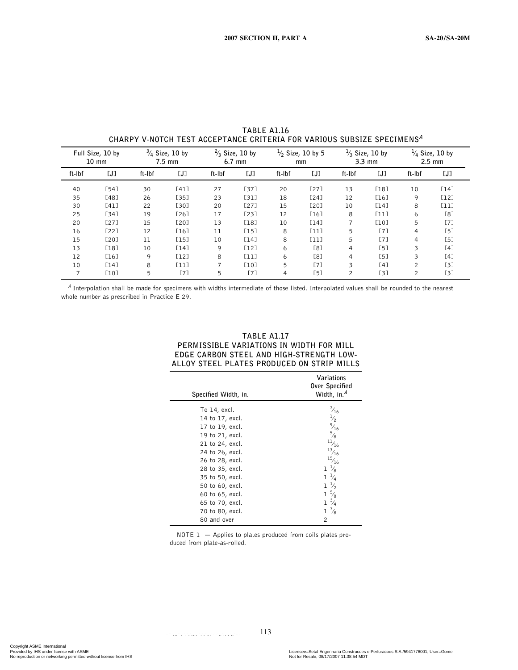|        | Full Size, 10 by<br>$10 \text{ mm}$ |        | $\frac{3}{4}$ Size, 10 by<br>$7.5 \text{ mm}$ |        | $\frac{2}{3}$ Size, 10 by<br>$6.7$ mm |        | $\frac{1}{2}$ Size, 10 by 5<br>mm |                | $\frac{1}{3}$ Size, 10 by<br>$3.3 \text{ mm}$ |                | $\frac{1}{4}$ Size, 10 by<br>$2.5 \text{ mm}$ |
|--------|-------------------------------------|--------|-----------------------------------------------|--------|---------------------------------------|--------|-----------------------------------|----------------|-----------------------------------------------|----------------|-----------------------------------------------|
| ft-Ibf | [J]                                 | ft-Ibf | [J]                                           | ft-Ibf | [J]                                   | ft-Ibf | [J]                               | ft-Ibf         | [J]                                           | ft-Ibf         | [J]                                           |
| 40     | [54]                                | 30     | [41]                                          | 27     | [37]                                  | 20     | [27]                              | 13             | [18]                                          | 10             | [14]                                          |
| 35     | [48]                                | 26     | [35]                                          | 23     | [31]                                  | 18     | [24]                              | 12             | [16]                                          | 9              | [12]                                          |
| 30     | [41]                                | 22     | [30]                                          | 20     | [27]                                  | 15     | [20]                              | 10             | [14]                                          | 8              | [11]                                          |
| 25     | [34]                                | 19     | [26]                                          | 17     | [23]                                  | 12     | [16]                              | 8              | [11]                                          | 6              | [8]                                           |
| 20     | [27]                                | 15     | [20]                                          | 13     | [18]                                  | 10     | [14]                              | 7              | [10]                                          | 5              | [7]                                           |
| 16     | [22]                                | 12     | [16]                                          | 11     | [15]                                  | 8      | [11]                              | 5              | 171                                           | 4              | [5]                                           |
| 15     | [20]                                | 11     | [15]                                          | 10     | [14]                                  | 8      | [11]                              | 5              | [7]                                           | 4              | [5]                                           |
| 13     | [18]                                | 10     | [14]                                          | 9      | [12]                                  | 6      | [8]                               | 4              | [5]                                           | 3              | [4]                                           |
| 12     | [16]                                | 9      | [12]                                          | 8      | [11]                                  | 6      | [8]                               | 4              | [5]                                           | 3              | $\lceil 4 \rceil$                             |
| 10     | [14]                                | 8      | [11]                                          | 7      | [10]                                  | 5      | [7]                               | 3              | [4]                                           | $\overline{2}$ | [3]                                           |
| 7      | [10]                                | 5      | [7]                                           | 5      | [7]                                   | 4      | [5]                               | $\overline{c}$ | [3]                                           | 2              | [3]                                           |

#### **TABLE A1.16 CHARPY V-NOTCH TEST ACCEPTANCE CRITERIA FOR VARIOUS SUBSIZE SPECIMENS<sup>A</sup>**

<sup>A</sup> Interpolation shall be made for specimens with widths intermediate of those listed. Interpolated values shall be rounded to the nearest whole number as prescribed in Practice E 29.

| TABLE A1.17                                |
|--------------------------------------------|
| PERMISSIBLE VARIATIONS IN WIDTH FOR MILL   |
| EDGE CARBON STEEL AND HIGH-STRENGTH LOW-   |
| ALLOY STEEL PLATES PRODUCED ON STRIP MILLS |

| Specified Width, in. | Variations<br>Over Specified<br>Width, in. <sup>4</sup> |
|----------------------|---------------------------------------------------------|
| To 14, excl.         | $\frac{7}{16}$                                          |
| 14 to 17, excl.      | $\frac{1}{2}$                                           |
| 17 to 19, excl.      | $\frac{9}{16}$                                          |
| 19 to 21, excl.      | $\frac{5}{8}$                                           |
| 21 to 24, excl.      | $^{11}\!\!/_{\!16}$                                     |
| 24 to 26, excl.      | $^{13}$ /16                                             |
| 26 to 28, excl.      | $^{15}\!\!/\!_{16}$                                     |
| 28 to 35, excl.      | $1\frac{1}{8}$                                          |
| 35 to 50, excl.      | $1\frac{1}{4}$                                          |
| 50 to 60, excl.      | $1\frac{1}{2}$                                          |
| 60 to 65, excl.      | $1\frac{5}{8}$                                          |
| 65 to 70, excl.      | $1\frac{3}{4}$                                          |
| 70 to 80, excl.      | $1\frac{7}{8}$                                          |
| 80 and over          | $\overline{c}$                                          |

NOTE 1 — Applies to plates produced from coils plates produced from plate-as-rolled.

--```,,,``,``,`,`,,,,``,`,`,,,`-`-`,,`,,`,`,,`---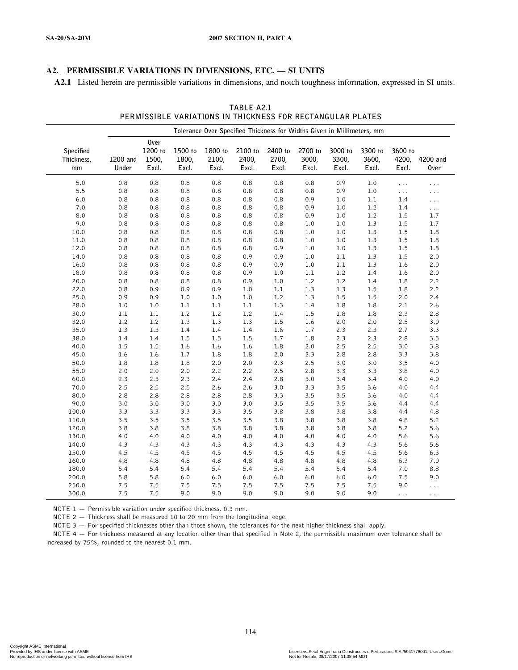#### **A2. PERMISSIBLE VARIATIONS IN DIMENSIONS, ETC. — SI UNITS**

**A2.1** Listed herein are permissible variations in dimensions, and notch toughness information, expressed in SI units.

|                               |                   |                                          |                           |                           |                           |                           | Tolerance Over Specified Thickness for Widths Given in Millimeters, mm |                           |                           |                           |                         |
|-------------------------------|-------------------|------------------------------------------|---------------------------|---------------------------|---------------------------|---------------------------|------------------------------------------------------------------------|---------------------------|---------------------------|---------------------------|-------------------------|
| Specified<br>Thickness,<br>mm | 1200 and<br>Under | <b>Over</b><br>1200 to<br>1500,<br>Excl. | 1500 to<br>1800,<br>Excl. | 1800 to<br>2100,<br>Excl. | 2100 to<br>2400,<br>Excl. | 2400 to<br>2700,<br>Excl. | 2700 to<br>3000,<br>Excl.                                              | 3000 to<br>3300,<br>Excl. | 3300 to<br>3600,<br>Excl. | 3600 to<br>4200,<br>Excl. | 4200 and<br><b>Over</b> |
| 5.0                           | 0.8               | 0.8                                      | 0.8                       | 0.8                       | 0.8                       | 0.8                       | 0.8                                                                    | 0.9                       | 1.0                       | .                         | $\ldots$                |
| 5.5                           | 0.8               | 0.8                                      | 0.8                       | 0.8                       | 0.8                       | 0.8                       | 0.8                                                                    | 0.9                       | 1.0                       | .                         | $\cdots$                |
| 6.0                           | 0.8               | 0.8                                      | 0.8                       | 0.8                       | 0.8                       | 0.8                       | 0.9                                                                    | 1.0                       | 1.1                       | 1.4                       | .                       |
| 7.0                           | 0.8               | 0.8                                      | 0.8                       | 0.8                       | 0.8                       | 0.8                       | 0.9                                                                    | 1.0                       | 1.2                       | 1.4                       | .                       |
| 8.0                           | 0.8               | 0.8                                      | 0.8                       | 0.8                       | 0.8                       | 0.8                       | 0.9                                                                    | 1.0                       | 1.2                       | 1.5                       | 1.7                     |
| 9.0                           | 0.8               | 0.8                                      | 0.8                       | 0.8                       | 0.8                       | 0.8                       | 1.0                                                                    | 1.0                       | 1.3                       | 1.5                       | 1.7                     |
| 10.0                          | 0.8               | 0.8                                      | 0.8                       | 0.8                       | 0.8                       | 0.8                       | 1.0                                                                    | 1.0                       | 1.3                       | 1.5                       | 1.8                     |
| 11.0                          | 0.8               | 0.8                                      | 0.8                       | 0.8                       | 0.8                       | 0.8                       | 1.0                                                                    | 1.0                       | 1.3                       | 1.5                       | 1.8                     |
| 12.0                          | 0.8               | 0.8                                      | 0.8                       | 0.8                       | 0.8                       | 0.9                       | 1.0                                                                    | 1.0                       | 1.3                       | 1.5                       | 1.8                     |
| 14.0                          | 0.8               | 0.8                                      | 0.8                       | 0.8                       | 0.9                       | 0.9                       | 1.0                                                                    | 1.1                       | 1.3                       | 1.5                       | 2.0                     |
| 16.0                          | 0.8               | 0.8                                      | 0.8                       | 0.8                       | 0.9                       | 0.9                       | 1.0                                                                    | 1.1                       | 1.3                       | 1.6                       | 2.0                     |
| 18.0                          | 0.8               | 0.8                                      | 0.8                       | 0.8                       | 0.9                       | 1.0                       | $1.1\,$                                                                | 1.2                       | 1.4                       | 1.6                       | 2.0                     |
| 20.0                          | 0.8               | 0.8                                      | 0.8                       | 0.8                       | 0.9                       | 1.0                       | 1.2                                                                    | 1.2                       | 1.4                       | 1.8                       | 2.2                     |
| 22.0                          | 0.8               | 0.9                                      | 0.9                       | 0.9                       | 1.0                       | 1.1                       | 1.3                                                                    | 1.3                       | 1.5                       | 1.8                       | 2.2                     |
| 25.0                          | 0.9               | 0.9                                      | 1.0                       | 1.0                       | 1.0                       | 1.2                       | 1.3                                                                    | 1.5                       | 1.5                       | 2.0                       | 2.4                     |
| 28.0                          | 1.0               | 1.0                                      | 1.1                       | 1.1                       | 1.1                       | 1.3                       | 1.4                                                                    | 1.8                       | 1.8                       | 2.1                       | 2.6                     |
| 30.0                          | 1.1               | 1.1                                      | 1.2                       | 1.2                       | 1.2                       | 1.4                       | 1.5                                                                    | 1.8                       | 1.8                       | 2.3                       | 2.8                     |
| 32.0                          | 1.2               | 1.2                                      | 1.3                       | 1.3                       | 1.3                       | 1.5                       | 1.6                                                                    | 2.0                       | 2.0                       | 2.5                       | 3.0                     |
| 35.0                          | 1.3               | 1.3                                      | 1.4                       | 1.4                       | 1.4                       | 1.6                       | 1.7                                                                    | 2.3                       | 2.3                       | 2.7                       | 3.3                     |
| 38.0                          | 1.4               | 1.4                                      | 1.5                       | 1.5                       | 1.5                       | 1.7                       | 1.8                                                                    | 2.3                       | 2.3                       | 2.8                       | 3.5                     |
| 40.0                          | 1.5               | 1.5                                      | 1.6                       | 1.6                       | 1.6                       | 1.8                       | 2.0                                                                    | 2.5                       | 2.5                       | 3.0                       | 3.8                     |
| 45.0                          | 1.6               | 1.6                                      | 1.7                       | 1.8                       | 1.8                       | 2.0                       | 2.3                                                                    | 2.8                       | 2.8                       | 3.3                       | 3.8                     |
| 50.0                          | 1.8               | 1.8                                      | 1.8                       | 2.0                       | 2.0                       | 2.3                       | 2.5                                                                    | 3.0                       | 3.0                       | 3.5                       | 4.0                     |
| 55.0                          | 2.0               | 2.0                                      | 2.0                       | 2.2                       | 2.2                       | 2.5                       | 2.8                                                                    | 3.3                       | 3.3                       | 3.8                       | 4.0                     |
| 60.0                          | 2.3               | 2.3                                      | 2.3                       | 2.4                       | 2.4                       | 2.8                       | 3.0                                                                    | 3.4                       | 3.4                       | 4.0                       | 4.0                     |
| 70.0                          | 2.5               | 2.5                                      | 2.5                       | 2.6                       | 2.6                       | 3.0                       | 3.3                                                                    | 3.5                       | 3.6                       | 4.0                       | 4.4                     |
| 80.0                          | 2.8               | 2.8                                      | 2.8                       | 2.8                       | 2.8                       | 3.3                       | 3.5                                                                    | 3.5                       | 3.6                       | 4.0                       | 4.4                     |
| 90.0                          | 3.0               | 3.0                                      | 3.0                       | 3.0                       | 3.0                       | 3.5                       | 3.5                                                                    | 3.5                       | 3.6                       | 4.4                       | 4.4                     |
| 100.0                         | 3.3               | 3.3                                      | 3.3                       | 3.3                       | 3.5                       | 3.8                       | 3.8                                                                    | 3.8                       | 3.8                       | 4.4                       | 4.8                     |
| 110.0                         | 3.5               | 3.5                                      | 3.5                       | 3.5                       | 3.5                       | 3.8                       | 3.8                                                                    | 3.8                       | 3.8                       | 4.8                       | 5.2                     |
| 120.0                         | 3.8               | 3.8                                      | 3.8                       | 3.8                       | 3.8                       | 3.8                       | 3.8                                                                    | 3.8                       | 3.8                       | 5.2                       | 5.6                     |
| 130.0                         | 4.0               | 4.0                                      | 4.0                       | 4.0                       | 4.0                       | 4.0                       | 4.0                                                                    | 4.0                       | 4.0                       | 5.6                       | 5.6                     |
| 140.0                         | 4.3               | 4.3                                      | 4.3                       | 4.3                       | 4.3                       | 4.3                       | 4.3                                                                    | 4.3                       | 4.3                       | 5.6                       | 5.6                     |
| 150.0                         | 4.5               | 4.5                                      | 4.5                       | 4.5                       | 4.5                       | 4.5                       | 4.5                                                                    | 4.5                       | 4.5                       | 5.6                       | 6.3                     |
| 160.0                         | 4.8               | 4.8                                      | 4.8                       | 4.8                       | 4.8                       | 4.8                       | 4.8                                                                    | 4.8                       | 4.8                       | 6.3                       | 7.0                     |
| 180.0                         | 5.4               | 5.4                                      | 5.4                       | 5.4                       | 5.4                       | 5.4                       | 5.4                                                                    | 5.4                       | 5.4                       | 7.0                       | 8.8                     |
| 200.0                         | 5.8               | 5.8                                      | 6.0                       | 6.0                       | 6.0                       | 6.0                       | 6.0                                                                    | 6.0                       | 6.0                       | 7.5                       | 9.0                     |
| 250.0                         | 7.5               | 7.5                                      | 7.5                       | 7.5                       | 7.5                       | 7.5                       | 7.5                                                                    | 7.5                       | 7.5                       | 9.0                       | .                       |
| 300.0                         | 7.5               | 7.5                                      | 9.0                       | 9.0                       | 9.0                       | 9.0                       | 9.0                                                                    | 9.0                       | 9.0                       | $\cdots$                  | $\cdots$                |

**TABLE A2.1 PERMISSIBLE VARIATIONS IN THICKNESS FOR RECTANGULAR PLATES**

NOTE 1 — Permissible variation under specified thickness, 0.3 mm.

NOTE 2 — Thickness shall be measured 10 to 20 mm from the longitudinal edge.

NOTE  $3$  – For specified thicknesses other than those shown, the tolerances for the next higher thickness shall apply.

NOTE  $4$  – For thickness measured at any location other than that specified in Note 2, the permissible maximum over tolerance shall be increased by 75%, rounded to the nearest 0.1 mm.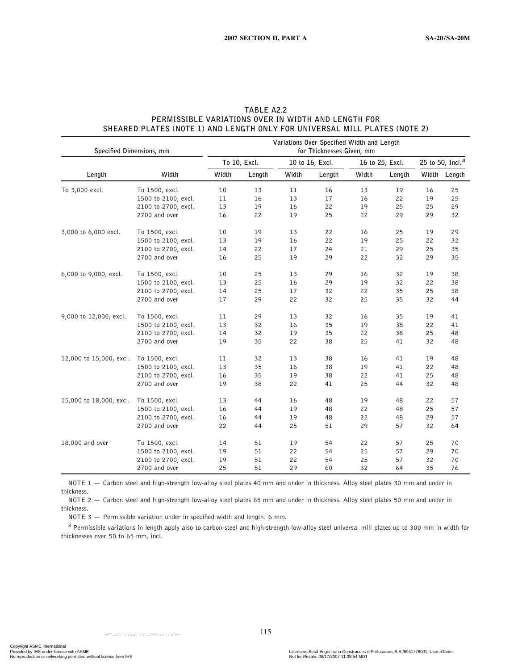|                         | Specified Dimensions, mm |       |              |       | Variations Over Specified Width and Length<br>for Thicknesses Given, mm |       |                 |       |                      |
|-------------------------|--------------------------|-------|--------------|-------|-------------------------------------------------------------------------|-------|-----------------|-------|----------------------|
|                         |                          |       | To 10, Excl. |       | 10 to 16, Excl.                                                         |       | 16 to 25, Excl. |       | 25 to 50, Incl. $^A$ |
| Length                  | Width                    | Width | Length       | Width | Length                                                                  | Width | Length          | Width | Length               |
| To 3,000 excl.          | To 1500, excl.           | 10    | 13           | 11    | 16                                                                      | 13    | 19              | 16    | 25                   |
|                         | 1500 to 2100, excl.      | 11    | 16           | 13    | 17                                                                      | 16    | 22              | 19    | 25                   |
|                         | 2100 to 2700, excl.      | 13    | 19           | 16    | 22                                                                      | 19    | 25              | 25    | 29                   |
|                         | 2700 and over            | 16    | 22           | 19    | 25                                                                      | 22    | 29              | 29    | 32                   |
| 3,000 to 6,000 excl.    | To 1500, excl.           | 10    | 19           | 13    | 22                                                                      | 16    | 25              | 19    | 29                   |
|                         | 1500 to 2100, excl.      | 13    | 19           | 16    | 22                                                                      | 19    | 25              | 22    | 32                   |
|                         | 2100 to 2700, excl.      | 14    | 22           | 17    | 24                                                                      | 21    | 29              | 25    | 35                   |
|                         | 2700 and over            | 16    | 25           | 19    | 29                                                                      | 22    | 32              | 29    | 35                   |
| 6,000 to 9,000, excl.   | To 1500, excl.           | 10    | 25           | 13    | 29                                                                      | 16    | 32              | 19    | 38                   |
|                         | 1500 to 2100, excl.      | 13    | 25           | 16    | 29                                                                      | 19    | 32              | 22    | 38                   |
|                         | 2100 to 2700, excl.      | 14    | 25           | 17    | 32                                                                      | 22    | 35              | 25    | 38                   |
|                         | 2700 and over            | 17    | 29           | 22    | 32                                                                      | 25    | 35              | 32    | 44                   |
| 9,000 to 12,000, excl.  | To 1500, excl.           | 11    | 29           | 13    | 32                                                                      | 16    | 35              | 19    | 41                   |
|                         | 1500 to 2100, excl.      | 13    | 32           | 16    | 35                                                                      | 19    | 38              | 22    | 41                   |
|                         | 2100 to 2700, excl.      | 14    | 32           | 19    | 35                                                                      | 22    | 38              | 25    | 48                   |
|                         | 2700 and over            | 19    | 35           | 22    | 38                                                                      | 25    | 41              | 32    | 48                   |
| 12,000 to 15,000, excl. | To 1500, excl.           | 11    | 32           | 13    | 38                                                                      | 16    | 41              | 19    | 48                   |
|                         | 1500 to 2100, excl.      | 13    | 35           | 16    | 38                                                                      | 19    | 41              | 22    | 48                   |
|                         | 2100 to 2700, excl.      | 16    | 35           | 19    | 38                                                                      | 22    | 41              | 25    | 48                   |
|                         | 2700 and over            | 19    | 38           | 22    | 41                                                                      | 25    | 44              | 32    | 48                   |
| 15,000 to 18,000, excl. | To 1500, excl.           | 13    | 44           | 16    | 48                                                                      | 19    | 48              | 22    | 57                   |
|                         | 1500 to 2100, excl.      | 16    | 44           | 19    | 48                                                                      | 22    | 48              | 25    | 57                   |
|                         | 2100 to 2700, excl.      | 16    | 44           | 19    | 48                                                                      | 22    | 48              | 29    | 57                   |
|                         | 2700 and over            | 22    | 44           | 25    | 51                                                                      | 29    | 57              | 32    | 64                   |
| 18,000 and over         | To 1500, excl.           | 14    | 51           | 19    | 54                                                                      | 22    | 57              | 25    | 70                   |
|                         | 1500 to 2100, excl.      | 19    | 51           | 22    | 54                                                                      | 25    | 57              | 29    | 70                   |
|                         | 2100 to 2700, excl.      | 19    | 51           | 22    | 54                                                                      | 25    | 57              | 32    | 70                   |
|                         | 2700 and over            | 25    | 51           | 29    | 60                                                                      | 32    | 64              | 35    | 76                   |

#### **TABLE A2.2 PERMISSIBLE VARIATIONS OVER IN WIDTH AND LENGTH FOR SHEARED PLATES (NOTE 1) AND LENGTH ONLY FOR UNIVERSAL MILL PLATES (NOTE 2)**

NOTE 1 - Carbon steel and high-strength low-alloy steel plates 40 mm and under in thickness. Alloy steel plates 30 mm and under in thickness.

NOTE 2 - Carbon steel and high-strength low-alloy steel plates 65 mm and under in thickness. Alloy steel plates 50 mm and under in thickness.

NOTE 3 — Permissible variation under in specified width and length: 6 mm.

<sup>A</sup> Permissible variations in length apply also to carbon-steel and high-strength low-alloy steel universal mill plates up to 300 mm in width for thicknesses over 50 to 65 mm, incl.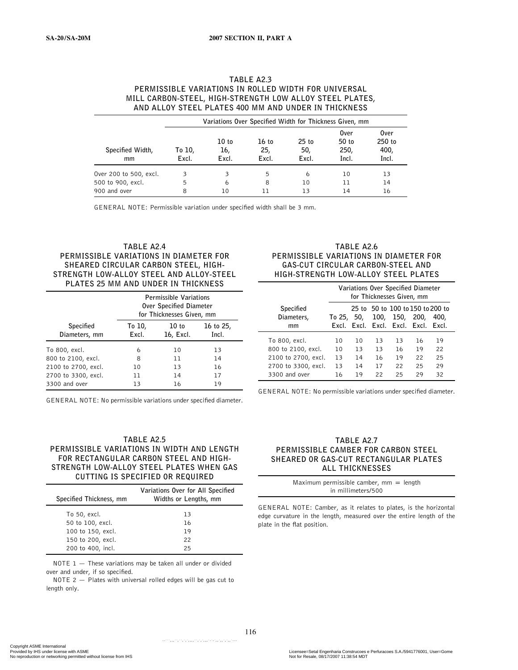| TABLE A2.3                                               |
|----------------------------------------------------------|
| PERMISSIBLE VARIATIONS IN ROLLED WIDTH FOR UNIVERSAL     |
| MILL CARBON-STEEL, HIGH-STRENGTH LOW ALLOY STEEL PLATES, |
| AND ALLOY STEEL PLATES 400 MM AND UNDER IN THICKNESS     |

|                                                             |                 | Variations Over Specified Width for Thickness Given, mm |                       |                         |                                |                                 |
|-------------------------------------------------------------|-----------------|---------------------------------------------------------|-----------------------|-------------------------|--------------------------------|---------------------------------|
| Specified Width,<br>mm                                      | To 10,<br>Excl. | 10 to<br>16,<br>Excl.                                   | 16 to<br>25,<br>Excl. | $25$ to<br>50,<br>Excl. | Over<br>50 to<br>250,<br>Incl. | Over<br>250 to<br>400,<br>Incl. |
| Over 200 to 500, excl.<br>500 to 900, excl.<br>900 and over | 3<br>5.<br>8    | 3<br>6<br>10                                            | 5<br>8<br>ו ו         | 6<br>10<br>13           | 10<br>11<br>14                 | 13<br>14<br>16                  |

GENERAL NOTE: Permissible variation under specified width shall be 3 mm.

#### **TABLE A2.4 PERMISSIBLE VARIATIONS IN DIAMETER FOR SHEARED CIRCULAR CARBON STEEL, HIGH-STRENGTH LOW-ALLOY STEEL AND ALLOY-STEEL PLATES 25 MM AND UNDER IN THICKNESS**

|                            | <b>Permissible Variations</b><br>Over Specified Diameter<br>for Thicknesses Given, mm |                    |                    |  |  |  |  |  |
|----------------------------|---------------------------------------------------------------------------------------|--------------------|--------------------|--|--|--|--|--|
| Specified<br>Diameters, mm | To 10,<br>Excl.                                                                       | 10 to<br>16, Excl. | 16 to 25,<br>Incl. |  |  |  |  |  |
| To 800, excl.              | 6                                                                                     | 10                 | 13                 |  |  |  |  |  |
| 800 to 2100, excl.         | 8                                                                                     | 11                 | 14                 |  |  |  |  |  |
| 2100 to 2700, excl.        | 10                                                                                    | 13                 | 16                 |  |  |  |  |  |
| 2700 to 3300, excl.        | 11                                                                                    | 14                 | 17                 |  |  |  |  |  |
| 3300 and over              | 13                                                                                    | 16                 | 19                 |  |  |  |  |  |

GENERAL NOTE: No permissible variations under specified diameter.

#### **TABLE A2.5 PERMISSIBLE VARIATIONS IN WIDTH AND LENGTH FOR RECTANGULAR CARBON STEEL AND HIGH-STRENGTH LOW-ALLOY STEEL PLATES WHEN GAS CUTTING IS SPECIFIED OR REQUIRED**

| Specified Thickness, mm                                                    | Variations Over for All Specified<br>Widths or Lengths, mm |
|----------------------------------------------------------------------------|------------------------------------------------------------|
| To 50, excl.<br>50 to 100, excl.<br>100 to 150, excl.<br>150 to 200, excl. | 13<br>16<br>19<br>22                                       |
| 200 to 400, incl.                                                          | 25                                                         |

NOTE 1 — These variations may be taken all under or divided over and under, if so specified.

NOTE 2 — Plates with universal rolled edges will be gas cut to length only.

#### **TABLE A2.6 PERMISSIBLE VARIATIONS IN DIAMETER FOR GAS-CUT CIRCULAR CARBON-STEEL AND HIGH-STRENGTH LOW-ALLOY STEEL PLATES**

|                               |            |    |      | Variations Over Specified Diameter<br>for Thicknesses Given, mm |             |                                          |
|-------------------------------|------------|----|------|-----------------------------------------------------------------|-------------|------------------------------------------|
| Specified<br>Diameters,<br>mm | To 25, 50, |    | 100, | 150,<br>Excl. Excl. Excl. Excl. Excl. Excl.                     | <b>200.</b> | 25 to 50 to 100 to 150 to 200 to<br>400, |
| To 800, excl.                 | 10         | 10 | 13   | 13                                                              | 16          | 19                                       |
| 800 to 2100, excl.            | 10         | 13 | 13   | 16                                                              | 19          | 22                                       |
| 2100 to 2700, excl.           | 13         | 14 | 16   | 19                                                              | 22          | 25                                       |
| 2700 to 3300, excl.           | 13         | 14 | 17   | 22                                                              | 25          | 29                                       |
| 3300 and over                 | 16         | 19 | 22   | 25                                                              | 29          | 32                                       |

GENERAL NOTE: No permissible variations under specified diameter.

#### **TABLE A2.7 PERMISSIBLE CAMBER FOR CARBON STEEL SHEARED OR GAS-CUT RECTANGULAR PLATES ALL THICKNESSES**

| Maximum permissible camber, $mm = length$ |  |
|-------------------------------------------|--|
| in millimeters/500                        |  |

GENERAL NOTE: Camber, as it relates to plates, is the horizontal edge curvature in the length, measured over the entire length of the plate in the flat position.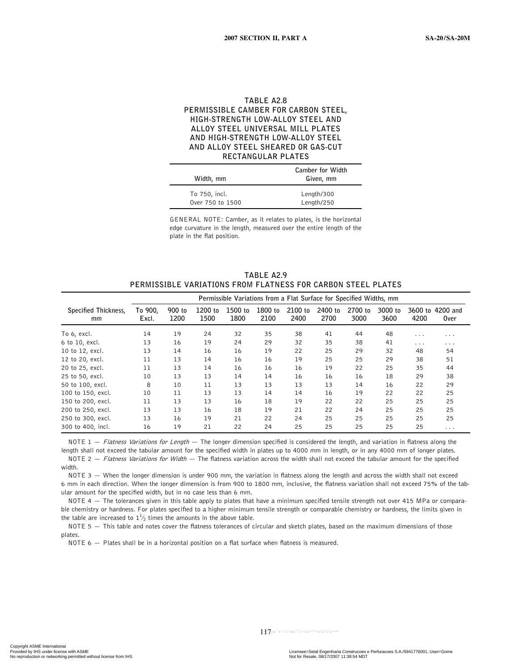#### **TABLE A2.8 PERMISSIBLE CAMBER FOR CARBON STEEL, HIGH-STRENGTH LOW-ALLOY STEEL AND ALLOY STEEL UNIVERSAL MILL PLATES AND HIGH-STRENGTH LOW-ALLOY STEEL AND ALLOY STEEL SHEARED OR GAS-CUT RECTANGULAR PLATES**

| Width, mm        | Camber for Width<br>Given, mm |
|------------------|-------------------------------|
| To 750, incl.    | Length/300                    |
| Over 750 to 1500 | Length/250                    |

GENERAL NOTE: Camber, as it relates to plates, is the horizontal edge curvature in the length, measured over the entire length of the plate in the flat position.

|                                                              | TABLE A2.9 |  |
|--------------------------------------------------------------|------------|--|
| PERMISSIBLE VARIATIONS FROM FLATNESS FOR CARBON STEEL PLATES |            |  |

|                            | Permissible Variations from a Flat Surface for Specified Widths, mm |                |                 |                 |                 |                 |                 |                 |                 |                 |                         |
|----------------------------|---------------------------------------------------------------------|----------------|-----------------|-----------------|-----------------|-----------------|-----------------|-----------------|-----------------|-----------------|-------------------------|
| Specified Thickness,<br>mm | To 900,<br>Excl.                                                    | 900 to<br>1200 | 1200 to<br>1500 | 1500 to<br>1800 | 1800 to<br>2100 | 2100 to<br>2400 | 2400 to<br>2700 | 2700 to<br>3000 | 3000 to<br>3600 | 3600 to<br>4200 | 4200 and<br><b>Over</b> |
| To 6, excl.                | 14                                                                  | 19             | 24              | 32              | 35              | 38              | 41              | 44              | 48              | $\cdots$        | $\cdots$                |
| 6 to 10, excl.             | 13                                                                  | 16             | 19              | 24              | 29              | 32              | 35              | 38              | 41              | $\cdots$        | $\cdots$                |
| 10 to 12, excl.            | 13                                                                  | 14             | 16              | 16              | 19              | 22              | 25              | 29              | 32              | 48              | 54                      |
| 12 to 20, excl.            | 11                                                                  | 13             | 14              | 16              | 16              | 19              | 25              | 25              | 29              | 38              | 51                      |
| 20 to 25, excl.            | 11                                                                  | 13             | 14              | 16              | 16              | 16              | 19              | 22              | 25              | 35              | 44                      |
| 25 to 50, excl.            | 10                                                                  | 13             | 13              | 14              | 14              | 16              | 16              | 16              | 18              | 29              | 38                      |
| 50 to 100, excl.           | 8                                                                   | 10             | 11              | 13              | 13              | 13              | 13              | 14              | 16              | 22              | 29                      |
| 100 to 150, excl.          | 10                                                                  | 11             | 13              | 13              | 14              | 14              | 16              | 19              | 22              | 22              | 25                      |
| 150 to 200, excl.          | 11                                                                  | 13             | 13              | 16              | 18              | 19              | 22              | 22              | 25              | 25              | 25                      |
| 200 to 250, excl.          | 13                                                                  | 13             | 16              | 18              | 19              | 21              | 22              | 24              | 25              | 25              | 25                      |
| 250 to 300, excl.          | 13                                                                  | 16             | 19              | 21              | 22              | 24              | 25              | 25              | 25              | 25              | 25                      |
| 300 to 400, incl.          | 16                                                                  | 19             | 21              | 22              | 24              | 25              | 25              | 25              | 25              | 25              | $\cdots$                |

NOTE  $1 -$  Flatness Variations for Length  $-$  The longer dimension specified is considered the length, and variation in flatness along the length shall not exceed the tabular amount for the specified width in plates up to 4000 mm in length, or in any 4000 mm of longer plates.

NOTE  $2$  – Flatness Variations for Width – The flatness variation across the width shall not exceed the tabular amount for the specified width.

NOTE 3 - When the longer dimension is under 900 mm, the variation in flatness along the length and across the width shall not exceed 6 mm in each direction. When the longer dimension is from 900 to 1800 mm, inclusive, the flatness variation shall not exceed 75% of the tabular amount for the specified width, but in no case less than 6 mm.

NOTE  $4 -$  The tolerances given in this table apply to plates that have a minimum specified tensile strength not over 415 MPa or comparable chemistry or hardness. For plates specified to a higher minimum tensile strength or comparable chemistry or hardness, the limits given in the table are increased to  $1\frac{1}{2}$  times the amounts in the above table. ⁄

NOTE 5 - This table and notes cover the flatness tolerances of circular and sketch plates, based on the maximum dimensions of those plates.

NOTE 6 - Plates shall be in a horizontal position on a flat surface when flatness is measured.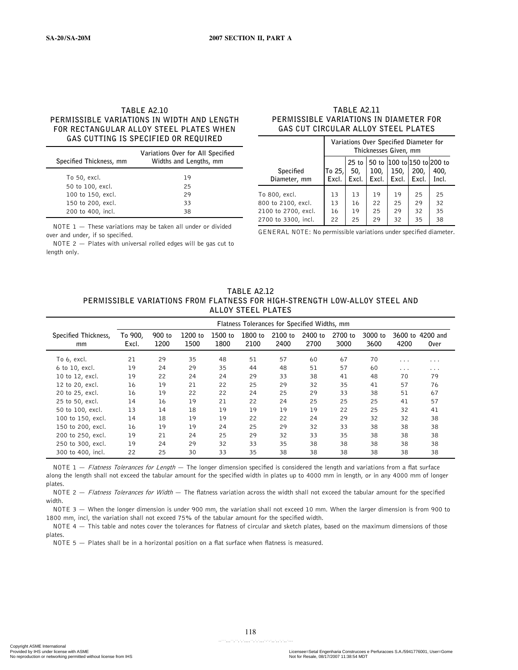#### **TABLE A2.10 PERMISSIBLE VARIATIONS IN WIDTH AND LENGTH FOR RECTANGULAR ALLOY STEEL PLATES WHEN GAS CUTTING IS SPECIFIED OR REQUIRED**

| Specified Thickness, mm | Variations Over for All Specified<br>Widths and Lengths, mm |
|-------------------------|-------------------------------------------------------------|
| To 50, excl.            | 19                                                          |
| 50 to 100, excl.        | 25                                                          |
| 100 to 150, excl.       | 29                                                          |
| 150 to 200, excl.       | 33                                                          |
| 200 to 400, incl.       | 38                                                          |

NOTE 1 — These variations may be taken all under or divided over and under, if so specified.

NOTE 2 — Plates with universal rolled edges will be gas cut to length only.

#### **TABLE A2.11 PERMISSIBLE VARIATIONS IN DIAMETER FOR GAS CUT CIRCULAR ALLOY STEEL PLATES**

|                           | Variations Over Specified Diameter for<br>Thicknesses Given, mm |              |               |                                                           |               |               |  |  |
|---------------------------|-----------------------------------------------------------------|--------------|---------------|-----------------------------------------------------------|---------------|---------------|--|--|
| Specified<br>Diameter, mm | To 25, <br>Excl.                                                | 50,<br>Excl. | 100,<br>Excl. | 25 to   50 to   100 to   150 to   200 to<br>150,<br>Excl. | 200,<br>Excl. | 400,<br>Incl. |  |  |
| To 800, excl.             | 13                                                              | 13           | 19            | 19                                                        | 25            | 25            |  |  |
| 800 to 2100, excl.        | 13                                                              | 16           | 22            | 25                                                        | 29            | 32            |  |  |
| 2100 to 2700, excl.       | 16                                                              | 19           | 25            | 29                                                        | 32            | 35            |  |  |
| 2700 to 3300, incl.       | 22                                                              | 25           | 29            | 32                                                        | 35            | 38            |  |  |

GENERAL NOTE: No permissible variations under specified diameter.

| TABLE A2.12                                                                |
|----------------------------------------------------------------------------|
| PERMISSIBLE VARIATIONS FROM FLATNESS FOR HIGH-STRENGTH LOW-ALLOY STEEL AND |
| ALLOY STEEL PLATES                                                         |

|                            | Flatness Tolerances for Specified Widths, mm |                |                 |                 |                 |                 |                 |                 |                 |          |                                 |
|----------------------------|----------------------------------------------|----------------|-----------------|-----------------|-----------------|-----------------|-----------------|-----------------|-----------------|----------|---------------------------------|
| Specified Thickness,<br>mm | To 900,<br>Excl.                             | 900 to<br>1200 | 1200 to<br>1500 | 1500 to<br>1800 | 1800 to<br>2100 | 2100 to<br>2400 | 2400 to<br>2700 | 2700 to<br>3000 | 3000 to<br>3600 | 4200     | 3600 to 4200 and<br><b>Over</b> |
| To 6, excl.                | 21                                           | 29             | 35              | 48              | 51              | 57              | 60              | 67              | 70              | $\cdots$ | $\cdots$                        |
| 6 to 10, excl.             | 19                                           | 24             | 29              | 35              | 44              | 48              | 51              | 57              | 60              | $\cdots$ | $\cdots$                        |
| 10 to 12, excl.            | 19                                           | 22             | 24              | 24              | 29              | 33              | 38              | 41              | 48              | 70       | 79                              |
| 12 to 20, excl.            | 16                                           | 19             | 21              | 22              | 25              | 29              | 32              | 35              | 41              | 57       | 76                              |
| 20 to 25, excl.            | 16                                           | 19             | 22              | 22              | 24              | 25              | 29              | 33              | 38              | 51       | 67                              |
| 25 to 50, excl.            | 14                                           | 16             | 19              | 21              | 22              | 24              | 25              | 25              | 25              | 41       | 57                              |
| 50 to 100, excl.           | 13                                           | 14             | 18              | 19              | 19              | 19              | 19              | 22              | 25              | 32       | 41                              |
| 100 to 150, excl.          | 14                                           | 18             | 19              | 19              | 22              | 22              | 24              | 29              | 32              | 32       | 38                              |
| 150 to 200, excl.          | 16                                           | 19             | 19              | 24              | 25              | 29              | 32              | 33              | 38              | 38       | 38                              |
| 200 to 250, excl.          | 19                                           | 21             | 24              | 25              | 29              | 32              | 33              | 35              | 38              | 38       | 38                              |
| 250 to 300, excl.          | 19                                           | 24             | 29              | 32              | 33              | 35              | 38              | 38              | 38              | 38       | 38                              |
| 300 to 400, incl.          | 22                                           | 25             | 30              | 33              | 35              | 38              | 38              | 38              | 38              | 38       | 38                              |

NOTE  $1 -$  Flatness Tolerances for Length – The longer dimension specified is considered the length and variations from a flat surface along the length shall not exceed the tabular amount for the specified width in plates up to 4000 mm in length, or in any 4000 mm of longer plates.

NOTE  $2 -$  Flatness Tolerances for Width  $-$  The flatness variation across the width shall not exceed the tabular amount for the specified width.

NOTE 3 – When the longer dimension is under 900 mm, the variation shall not exceed 10 mm. When the larger dimension is from 900 to 1800 mm, incl, the variation shall not exceed 75% of the tabular amount for the specified width.

NOTE 4 - This table and notes cover the tolerances for flatness of circular and sketch plates, based on the maximum dimensions of those plates.

NOTE 5 — Plates shall be in a horizontal position on a flat surface when flatness is measured.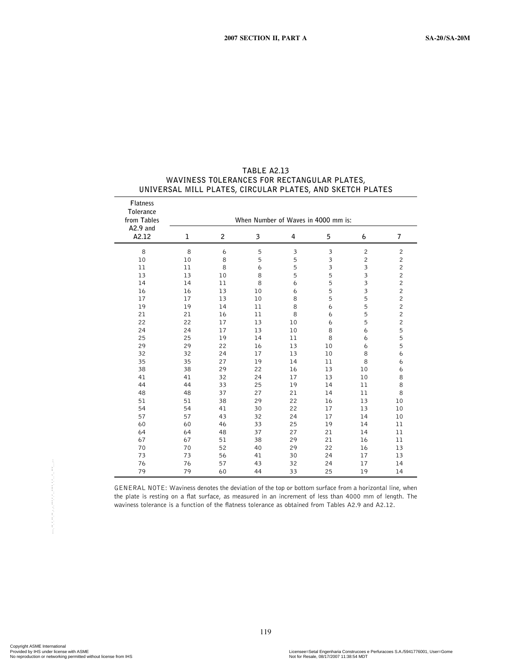| TABLE A2.13                                               |
|-----------------------------------------------------------|
| WAVINESS TOLERANCES FOR RECTANGULAR PLATES,               |
| UNIVERSAL MILL PLATES, CIRCULAR PLATES, AND SKETCH PLATES |

| <b>Flatness</b><br><b>Tolerance</b><br>from Tables |    |                |                         | When Number of Waves in 4000 mm is: |                         |                |                |
|----------------------------------------------------|----|----------------|-------------------------|-------------------------------------|-------------------------|----------------|----------------|
| $A2.9$ and<br>A2.12                                | ı  | $\overline{c}$ | $\overline{\mathbf{3}}$ | 4                                   | 5                       | 6              | $\overline{7}$ |
| 8                                                  | 8  | 6              | 5                       | $\overline{\mathbf{3}}$             | 3                       | $\overline{c}$ | $\overline{c}$ |
| 10                                                 | 10 | 8              | 5                       | 5                                   | 3                       | $\overline{c}$ | $\overline{c}$ |
| 11                                                 | 11 | 8              | 6                       | 5                                   | $\overline{\mathbf{3}}$ | 3              | $\overline{c}$ |
| 13                                                 | 13 | 10             | 8                       | 5                                   | 5                       | 3              | $\overline{c}$ |
| 14                                                 | 14 | 11             | 8                       | 6                                   | 5                       | 3              | $\overline{c}$ |
| 16                                                 | 16 | 13             | 10                      | 6                                   | 5                       | 3              | $\overline{c}$ |
| 17                                                 | 17 | 13             | 10                      | 8                                   | 5                       | 5              | $\overline{c}$ |
| 19                                                 | 19 | 14             | 11                      | 8                                   | 6                       | 5              | $\overline{c}$ |
| 21                                                 | 21 | 16             | 11                      | 8                                   | 6                       | 5              | $\overline{c}$ |
| 22                                                 | 22 | 17             | 13                      | 10                                  | 6                       | 5              | $\overline{c}$ |
| 24                                                 | 24 | 17             | 13                      | 10                                  | 8                       | 6              | 5              |
| 25                                                 | 25 | 19             | 14                      | 11                                  | 8                       | 6              | 5              |
| 29                                                 | 29 | 22             | 16                      | 13                                  | 10                      | 6              | 5              |
| 32                                                 | 32 | 24             | 17                      | 13                                  | 10                      | 8              | 6              |
| 35                                                 | 35 | 27             | 19                      | 14                                  | 11                      | 8              | 6              |
| 38                                                 | 38 | 29             | 22                      | 16                                  | 13                      | 10             | 6              |
| 41                                                 | 41 | 32             | 24                      | 17                                  | 13                      | 10             | 8              |
| 44                                                 | 44 | 33             | 25                      | 19                                  | 14                      | 11             | 8              |
| 48                                                 | 48 | 37             | 27                      | 21                                  | 14                      | 11             | 8              |
| 51                                                 | 51 | 38             | 29                      | 22                                  | 16                      | 13             | 10             |
| 54                                                 | 54 | 41             | 30                      | 22                                  | 17                      | 13             | 10             |
| 57                                                 | 57 | 43             | 32                      | 24                                  | 17                      | 14             | 10             |
| 60                                                 | 60 | 46             | 33                      | 25                                  | 19                      | 14             | 11             |
| 64                                                 | 64 | 48             | 37                      | 27                                  | 21                      | 14             | 11             |
| 67                                                 | 67 | 51             | 38                      | 29                                  | 21                      | 16             | 11             |
| 70                                                 | 70 | 52             | 40                      | 29                                  | 22                      | 16             | 13             |
| 73                                                 | 73 | 56             | 41                      | 30                                  | 24                      | 17             | 13             |
| 76                                                 | 76 | 57             | 43                      | 32                                  | 24                      | 17             | 14             |
| 79                                                 | 79 | 60             | 44                      | 33                                  | 25                      | 19             | 14             |

GENERAL NOTE: Waviness denotes the deviation of the top or bottom surface from a horizontal line, when the plate is resting on a flat surface, as measured in an increment of less than 4000 mm of length. The waviness tolerance is a function of the flatness tolerance as obtained from Tables A2.9 and A2.12.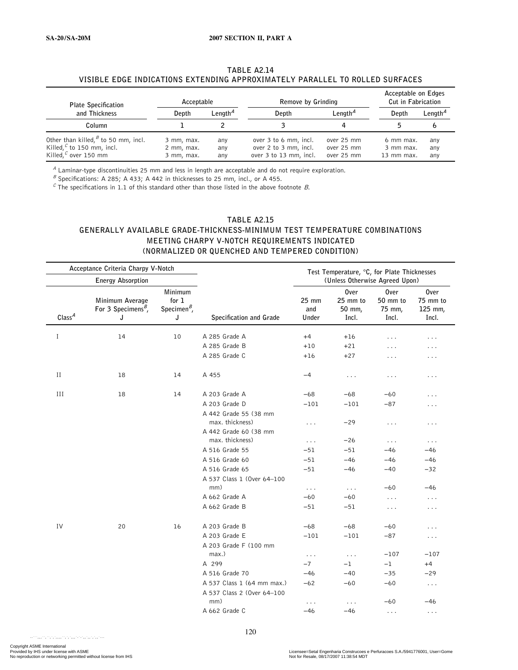#### **TABLE A2.14 VISIBLE EDGE INDICATIONS EXTENDING APPROXIMATELY PARALLEL TO ROLLED SURFACES**

| <b>Plate Specification</b>                                                                                       | Acceptable                             |                   | Remove by Grinding                                                       |                                        | Acceptable on Edges<br>Cut in Fabrication |                                  |
|------------------------------------------------------------------------------------------------------------------|----------------------------------------|-------------------|--------------------------------------------------------------------------|----------------------------------------|-------------------------------------------|----------------------------------|
| and Thickness                                                                                                    | Depth                                  | $L$ ength $A$     | Depth                                                                    | $L$ ength $A$                          | Depth                                     | Length <sup><math>A</math></sup> |
| Column                                                                                                           |                                        |                   |                                                                          |                                        |                                           |                                  |
| Other than killed, $^B$ to 50 mm, incl.<br>Killed, $\epsilon$ to 150 mm, incl.<br>Killed, $\epsilon$ over 150 mm | 3 mm, max.<br>2 mm, max.<br>3 mm, max. | any<br>any<br>any | over 3 to 6 mm, incl.<br>over 2 to 3 mm, incl.<br>over 3 to 13 mm, incl. | over 25 mm<br>over 25 mm<br>over 25 mm | 6 mm max.<br>3 mm max.<br>13 mm max.      | any<br>any<br>any                |

 $A$  Laminar-type discontinuities 25 mm and less in length are acceptable and do not require exploration.

 $^{\text{\tiny{\textregistered}}}$  Specifications: A 285; A 433; A 442 in thicknesses to 25 mm, incl., or A 455.

 $^c$  The specifications in 1.1 of this standard other than those listed in the above footnote  $B$ .

| TABLE A2.15 |  |
|-------------|--|
|-------------|--|

#### **GENERALLY AVAILABLE GRADE-THICKNESS-MINIMUM TEST TEMPERATURE COMBINATIONS MEETING CHARPY V-NOTCH REQUIREMENTS INDICATED (NORMALIZED OR QUENCHED AND TEMPERED CONDITION)**

| Acceptance Criteria Charpy V-Notch |                                                        |                                                    | Test Temperature, °C, for Plate Thicknesses |                         |                                            |                                            |                                      |
|------------------------------------|--------------------------------------------------------|----------------------------------------------------|---------------------------------------------|-------------------------|--------------------------------------------|--------------------------------------------|--------------------------------------|
| <b>Energy Absorption</b>           |                                                        |                                                    |                                             |                         |                                            | (Unless Otherwise Agreed Upon)             |                                      |
| Class <sup>A</sup>                 | Minimum Average<br>For 3 Specimens <sup>B</sup> ,<br>J | Minimum<br>for $1$<br>Specimen <sup>B</sup> ,<br>J | Specification and Grade                     | $25$ mm<br>and<br>Under | <b>Over</b><br>25 mm to<br>50 mm,<br>Incl. | <b>Over</b><br>50 mm to<br>75 mm,<br>Incl. | Over<br>75 mm to<br>125 mm,<br>Incl. |
| $\bf{I}$                           | 14                                                     | 10                                                 | A 285 Grade A                               | $+4$                    | $+16$                                      | $\sim$ $\sim$ $\sim$                       | .                                    |
|                                    |                                                        |                                                    | A 285 Grade B                               | $+10$                   | $+21$                                      | $\cdots$                                   | .                                    |
|                                    |                                                        |                                                    | A 285 Grade C                               | $+16$                   | $+27$                                      | $\cdots$                                   | .                                    |
| $_{\rm II}$                        | 18                                                     | 14                                                 | A 455                                       | $-4$                    | $\sim$ $\sim$ $\sim$                       | $\sim$ $\sim$ $\sim$                       | $\cdots$                             |
| III                                | 18                                                     | 14                                                 | A 203 Grade A                               | $-68$                   | $-68$                                      | $-60$                                      | .                                    |
|                                    |                                                        |                                                    | A 203 Grade D                               | $-101$                  | $-101$                                     | $-87$                                      | .                                    |
|                                    |                                                        | A 442 Grade 55 (38 mm<br>max. thickness)           |                                             | $-29$                   |                                            |                                            |                                      |
|                                    |                                                        | A 442 Grade 60 (38 mm                              | $\cdots$                                    |                         | $\sim$ $\sim$ $\sim$                       | $\cdots$                                   |                                      |
|                                    |                                                        |                                                    | max. thickness)                             | $\sim$ $\sim$ $\sim$    | $-26$                                      | $\ddotsc$                                  | $\ddotsc$                            |
|                                    |                                                        |                                                    | A 516 Grade 55                              | $-51$                   | $-51$                                      | $-46$                                      | $-46$                                |
|                                    |                                                        |                                                    | A 516 Grade 60                              | $-51$                   | $-46$                                      | $-46$                                      | $-46$                                |
|                                    |                                                        |                                                    | A 516 Grade 65                              | $-51$                   | $-46$                                      | $-40$                                      | $-32$                                |
|                                    |                                                        |                                                    | A 537 Class 1 (Over 64-100                  |                         |                                            |                                            |                                      |
|                                    |                                                        |                                                    | mm)                                         | $\sim$ $\sim$ $\sim$    | $\sim$ $\sim$ $\sim$                       | $-60$                                      | $-46$                                |
|                                    |                                                        |                                                    | A 662 Grade A                               | $-60$                   | $-60$                                      | $\ddotsc$                                  | $\cdots$                             |
|                                    |                                                        |                                                    | A 662 Grade B                               | $-51$                   | $-51$                                      | $\sim$ $\sim$ $\sim$                       | $\cdots$                             |
| IV                                 | 20                                                     | 16                                                 | A 203 Grade B                               | $-68$                   | $-68$                                      | $-60$                                      | .                                    |
|                                    |                                                        |                                                    | A 203 Grade E                               | $-101$                  | $-101$                                     | $-87$                                      | $\cdots$                             |
|                                    |                                                        |                                                    | A 203 Grade F (100 mm                       |                         |                                            |                                            |                                      |
|                                    |                                                        |                                                    | $max.$ )                                    | $\sim$ $\sim$ $\sim$    | $\sim$ $\sim$ $\sim$                       | $-107$                                     | $-107$                               |
|                                    |                                                        |                                                    | A 299                                       | $-7$                    | $^{-1}$                                    | $-1$                                       | $+4$                                 |
|                                    |                                                        |                                                    | A 516 Grade 70                              | $-46$                   | $-40$                                      | $-35$                                      | $-29$                                |
|                                    |                                                        |                                                    | A 537 Class 1 (64 mm max.)                  | $-62$                   | $-60$                                      | $-60$                                      | $\sim$ $\sim$ $\sim$                 |
|                                    |                                                        |                                                    | A 537 Class 2 (Over 64-100                  |                         |                                            |                                            |                                      |
|                                    |                                                        |                                                    | mm)                                         | $\cdots$                | $\sim$ $\sim$ $\sim$                       | $-60$                                      | $-46$                                |
|                                    |                                                        |                                                    | A 662 Grade C                               | $-46$                   | $-46$                                      | $\ldots$ .                                 | $\cdots$                             |

Copyright ASME International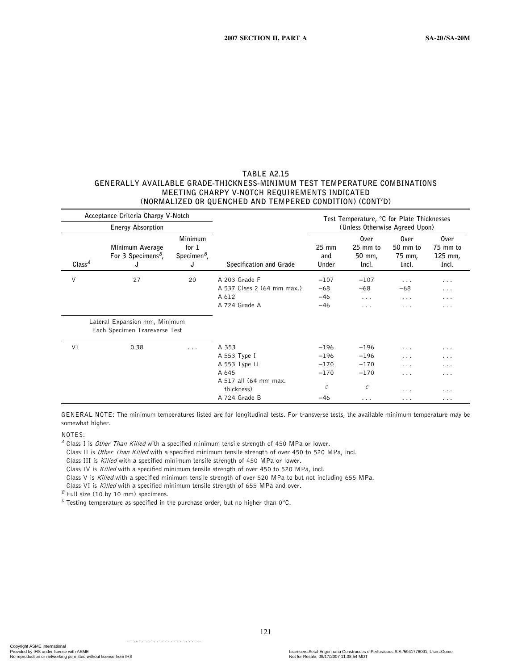#### **TABLE A2.15 GENERALLY AVAILABLE GRADE-THICKNESS-MINIMUM TEST TEMPERATURE COMBINATIONS MEETING CHARPY V-NOTCH REQUIREMENTS INDICATED (NORMALIZED OR QUENCHED AND TEMPERED CONDITION) (CONT'D)**

| Acceptance Criteria Charpy V-Notch |                                                                |                                                                 |                                                                                        |                                           | Test Temperature, °C for Plate Thicknesses |                                            |                                                          |  |
|------------------------------------|----------------------------------------------------------------|-----------------------------------------------------------------|----------------------------------------------------------------------------------------|-------------------------------------------|--------------------------------------------|--------------------------------------------|----------------------------------------------------------|--|
| <b>Energy Absorption</b>           |                                                                |                                                                 |                                                                                        |                                           | (Unless Otherwise Agreed Upon)             |                                            |                                                          |  |
| Class <sup>A</sup>                 | Minimum Average<br>For 3 Specimens <sup>B</sup> ,              | Minimum<br>for $1$<br>Specimen <sup><math>B</math></sup> ,<br>J | Specification and Grade                                                                | $25 \text{ mm}$<br>and<br>Under           | Over<br>25 mm to<br>50 mm,<br>Incl.        | Over<br>50 mm to<br>75 mm,<br>Incl.        | Over<br>75 mm to<br>125 mm,<br>Incl.                     |  |
| V                                  | 27<br>20                                                       |                                                                 | A 203 Grade F<br>A 537 Class 2 (64 mm max.)<br>A 612<br>A 724 Grade A                  | $-107$<br>$-68$<br>$-46$<br>$-46$         | $-107$<br>$-68$<br>$\cdots$<br>$\ddotsc$   | $\cdots$<br>$-68$<br>$\cdots$<br>$\cdots$  | $\cdots$<br>$\cdots$<br>$\cdots$<br>$\cdots$             |  |
|                                    | Lateral Expansion mm, Minimum<br>Each Specimen Transverse Test |                                                                 |                                                                                        |                                           |                                            |                                            |                                                          |  |
| VI                                 | 0.38                                                           | $\ddotsc$                                                       | A 353<br>A 553 Type I<br>A 553 Type II<br>A 645<br>A 517 all (64 mm max.<br>thickness) | $-196$<br>$-196$<br>$-170$<br>$-170$<br>C | $-196$<br>$-196$<br>$-170$<br>$-170$<br>С  | .<br>$\cdots$<br>.<br>$\cdots$<br>$\cdots$ | $\cdots$<br>$\cdots$<br>$\cdots$<br>$\cdots$<br>$\cdots$ |  |
|                                    |                                                                |                                                                 | A 724 Grade B                                                                          | $-46$                                     | $\cdots$                                   | $\cdots$                                   | $\ddotsc$                                                |  |

GENERAL NOTE: The minimum temperatures listed are for longitudinal tests. For transverse tests, the available minimum temperature may be somewhat higher.

#### NOTES:

 $A$  Class I is *Other Than Killed* with a specified minimum tensile strength of 450 MPa or lower.

Class II is Other Than Killed with a specified minimum tensile strength of over 450 to 520 MPa, incl.

Class III is Killed with a specified minimum tensile strength of 450 MPa or lower.

Class IV is Killed with a specified minimum tensile strength of over 450 to 520 MPa, incl.

Class V is Killed with a specified minimum tensile strength of over 520 MPa to but not including 655 MPa.

Class VI is Killed with a specified minimum tensile strength of 655 MPa and over.

 $B$  Full size (10 by 10 mm) specimens.

 $c$  Testing temperature as specified in the purchase order, but no higher than 0°C.

--```,,,``,``,`,`,,,,``,`,`,,,`-`-`,,`,,`,`,,`---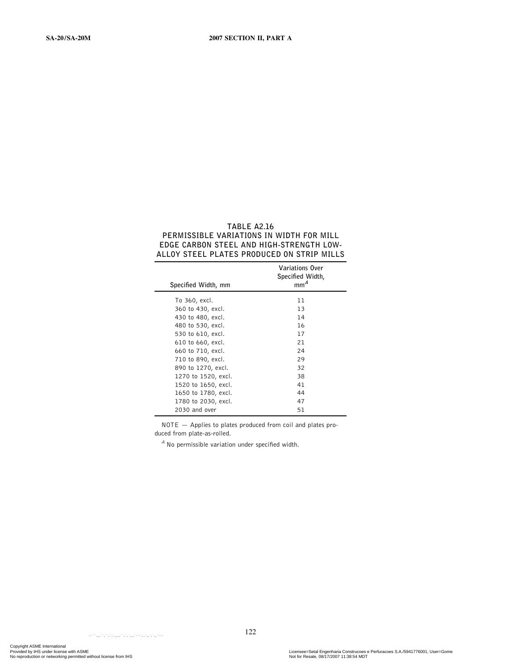#### **TABLE A2.16 PERMISSIBLE VARIATIONS IN WIDTH FOR MILL EDGE CARBON STEEL AND HIGH-STRENGTH LOW-ALLOY STEEL PLATES PRODUCED ON STRIP MILLS**

| Specified Width, mm | Variations Over<br>Specified Width,<br>mm <sup>A</sup> |
|---------------------|--------------------------------------------------------|
| To 360, excl.       | 11                                                     |
| 360 to 430, excl.   | 13                                                     |
| 430 to 480, excl.   | 14                                                     |
| 480 to 530, excl.   | 16                                                     |
| 530 to 610, excl.   | 17                                                     |
| 610 to 660, excl.   | 21                                                     |
| 660 to 710, excl.   | 24                                                     |
| 710 to 890, excl.   | 29                                                     |
| 890 to 1270, excl.  | 32                                                     |
| 1270 to 1520, excl. | 38                                                     |
| 1520 to 1650, excl. | 41                                                     |
| 1650 to 1780, excl. | 44                                                     |
| 1780 to 2030, excl. | 47                                                     |
| 2030 and over       | 51                                                     |

NOTE — Applies to plates produced from coil and plates produced from plate-as-rolled.

 $A$  No permissible variation under specified width.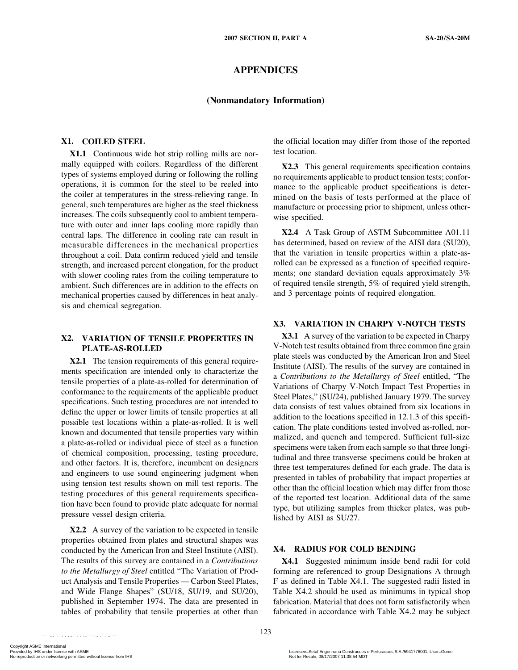#### **APPENDICES**

#### **(Nonmandatory Information)**

#### **X1. COILED STEEL**

**X1.1** Continuous wide hot strip rolling mills are normally equipped with coilers. Regardless of the different types of systems employed during or following the rolling operations, it is common for the steel to be reeled into the coiler at temperatures in the stress-relieving range. In general, such temperatures are higher as the steel thickness increases. The coils subsequently cool to ambient temperature with outer and inner laps cooling more rapidly than central laps. The difference in cooling rate can result in measurable differences in the mechanical properties throughout a coil. Data confirm reduced yield and tensile strength, and increased percent elongation, for the product with slower cooling rates from the coiling temperature to ambient. Such differences are in addition to the effects on mechanical properties caused by differences in heat analysis and chemical segregation.

#### **X2. VARIATION OF TENSILE PROPERTIES IN PLATE-AS-ROLLED**

**X2.1** The tension requirements of this general requirements specification are intended only to characterize the tensile properties of a plate-as-rolled for determination of conformance to the requirements of the applicable product specifications. Such testing procedures are not intended to define the upper or lower limits of tensile properties at all possible test locations within a plate-as-rolled. It is well known and documented that tensile properties vary within a plate-as-rolled or individual piece of steel as a function of chemical composition, processing, testing procedure, and other factors. It is, therefore, incumbent on designers and engineers to use sound engineering judgment when using tension test results shown on mill test reports. The testing procedures of this general requirements specification have been found to provide plate adequate for normal pressure vessel design criteria.

**X2.2** A survey of the variation to be expected in tensile properties obtained from plates and structural shapes was conducted by the American Iron and Steel Institute (AISI). The results of this survey are contained in a *Contributions to the Metallurgy of Steel* entitled "The Variation of Product Analysis and Tensile Properties — Carbon Steel Plates, and Wide Flange Shapes" (SU/18, SU/19, and SU/20), published in September 1974. The data are presented in tables of probability that tensile properties at other than the official location may differ from those of the reported test location.

**X2.3** This general requirements specification contains no requirements applicable to product tension tests; conformance to the applicable product specifications is determined on the basis of tests performed at the place of manufacture or processing prior to shipment, unless otherwise specified.

**X2.4** A Task Group of ASTM Subcommittee A01.11 has determined, based on review of the AISI data (SU20), that the variation in tensile properties within a plate-asrolled can be expressed as a function of specified requirements; one standard deviation equals approximately 3% of required tensile strength, 5% of required yield strength, and 3 percentage points of required elongation.

#### **X3. VARIATION IN CHARPY V-NOTCH TESTS**

**X3.1** A survey of the variation to be expected in Charpy V-Notch test results obtained from three common fine grain plate steels was conducted by the American Iron and Steel Institute (AISI). The results of the survey are contained in a *Contributions to the Metallurgy of Steel* entitled, "The Variations of Charpy V-Notch Impact Test Properties in Steel Plates," (SU/24), published January 1979. The survey data consists of test values obtained from six locations in addition to the locations specified in 12.1.3 of this specification. The plate conditions tested involved as-rolled, normalized, and quench and tempered. Sufficient full-size specimens were taken from each sample so that three longitudinal and three transverse specimens could be broken at three test temperatures defined for each grade. The data is presented in tables of probability that impact properties at other than the official location which may differ from those of the reported test location. Additional data of the same type, but utilizing samples from thicker plates, was published by AISI as SU/27.

#### **X4. RADIUS FOR COLD BENDING**

**X4.1** Suggested minimum inside bend radii for cold forming are referenced to group Designations A through F as defined in Table X4.1. The suggested radii listed in Table X4.2 should be used as minimums in typical shop fabrication. Material that does not form satisfactorily when fabricated in accordance with Table X4.2 may be subject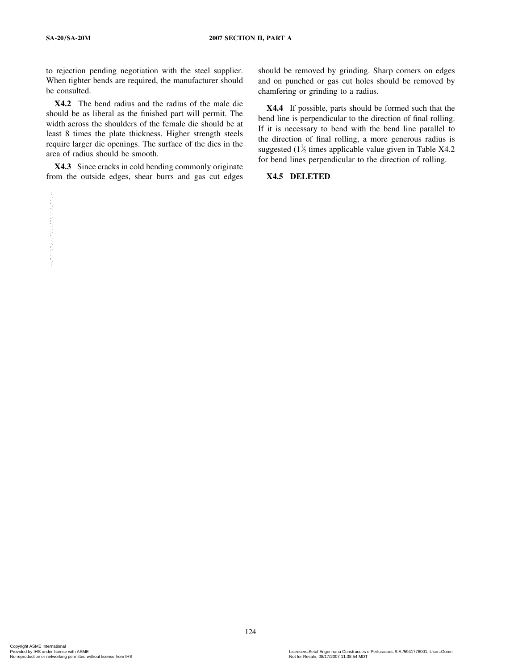to rejection pending negotiation with the steel supplier. When tighter bends are required, the manufacturer should be consulted.

**X4.2** The bend radius and the radius of the male die should be as liberal as the finished part will permit. The width across the shoulders of the female die should be at least 8 times the plate thickness. Higher strength steels require larger die openings. The surface of the dies in the area of radius should be smooth.

**X4.3** Since cracks in cold bending commonly originate from the outside edges, shear burrs and gas cut edges should be removed by grinding. Sharp corners on edges and on punched or gas cut holes should be removed by chamfering or grinding to a radius.

**X4.4** If possible, parts should be formed such that the bend line is perpendicular to the direction of final rolling. If it is necessary to bend with the bend line parallel to the direction of final rolling, a more generous radius is suggested  $(1\frac{1}{2})$  times applicable value given in Table X4.2 ⁄ for bend lines perpendicular to the direction of rolling.

#### **X4.5 DELETED**